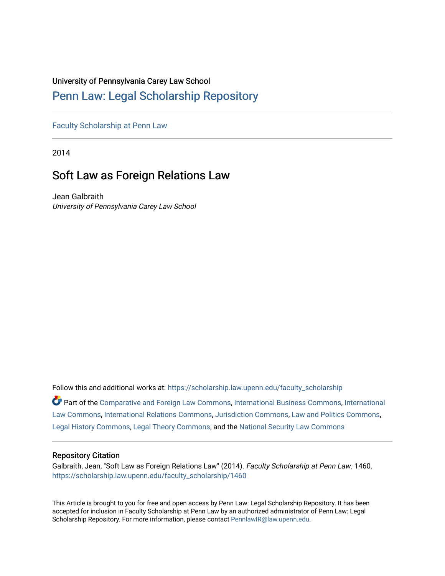# University of Pennsylvania Carey Law School

# [Penn Law: Legal Scholarship Repository](https://scholarship.law.upenn.edu/)

[Faculty Scholarship at Penn Law](https://scholarship.law.upenn.edu/faculty_scholarship)

2014

# Soft Law as Foreign Relations Law

Jean Galbraith University of Pennsylvania Carey Law School

Follow this and additional works at: [https://scholarship.law.upenn.edu/faculty\\_scholarship](https://scholarship.law.upenn.edu/faculty_scholarship?utm_source=scholarship.law.upenn.edu%2Ffaculty_scholarship%2F1460&utm_medium=PDF&utm_campaign=PDFCoverPages) 

Part of the [Comparative and Foreign Law Commons,](http://network.bepress.com/hgg/discipline/836?utm_source=scholarship.law.upenn.edu%2Ffaculty_scholarship%2F1460&utm_medium=PDF&utm_campaign=PDFCoverPages) [International Business Commons,](http://network.bepress.com/hgg/discipline/634?utm_source=scholarship.law.upenn.edu%2Ffaculty_scholarship%2F1460&utm_medium=PDF&utm_campaign=PDFCoverPages) [International](http://network.bepress.com/hgg/discipline/609?utm_source=scholarship.law.upenn.edu%2Ffaculty_scholarship%2F1460&utm_medium=PDF&utm_campaign=PDFCoverPages) [Law Commons,](http://network.bepress.com/hgg/discipline/609?utm_source=scholarship.law.upenn.edu%2Ffaculty_scholarship%2F1460&utm_medium=PDF&utm_campaign=PDFCoverPages) [International Relations Commons,](http://network.bepress.com/hgg/discipline/389?utm_source=scholarship.law.upenn.edu%2Ffaculty_scholarship%2F1460&utm_medium=PDF&utm_campaign=PDFCoverPages) [Jurisdiction Commons,](http://network.bepress.com/hgg/discipline/850?utm_source=scholarship.law.upenn.edu%2Ffaculty_scholarship%2F1460&utm_medium=PDF&utm_campaign=PDFCoverPages) [Law and Politics Commons,](http://network.bepress.com/hgg/discipline/867?utm_source=scholarship.law.upenn.edu%2Ffaculty_scholarship%2F1460&utm_medium=PDF&utm_campaign=PDFCoverPages) [Legal History Commons](http://network.bepress.com/hgg/discipline/904?utm_source=scholarship.law.upenn.edu%2Ffaculty_scholarship%2F1460&utm_medium=PDF&utm_campaign=PDFCoverPages), [Legal Theory Commons](http://network.bepress.com/hgg/discipline/369?utm_source=scholarship.law.upenn.edu%2Ffaculty_scholarship%2F1460&utm_medium=PDF&utm_campaign=PDFCoverPages), and the [National Security Law Commons](http://network.bepress.com/hgg/discipline/1114?utm_source=scholarship.law.upenn.edu%2Ffaculty_scholarship%2F1460&utm_medium=PDF&utm_campaign=PDFCoverPages)

# Repository Citation

Galbraith, Jean, "Soft Law as Foreign Relations Law" (2014). Faculty Scholarship at Penn Law. 1460. [https://scholarship.law.upenn.edu/faculty\\_scholarship/1460](https://scholarship.law.upenn.edu/faculty_scholarship/1460?utm_source=scholarship.law.upenn.edu%2Ffaculty_scholarship%2F1460&utm_medium=PDF&utm_campaign=PDFCoverPages)

This Article is brought to you for free and open access by Penn Law: Legal Scholarship Repository. It has been accepted for inclusion in Faculty Scholarship at Penn Law by an authorized administrator of Penn Law: Legal Scholarship Repository. For more information, please contact [PennlawIR@law.upenn.edu.](mailto:PennlawIR@law.upenn.edu)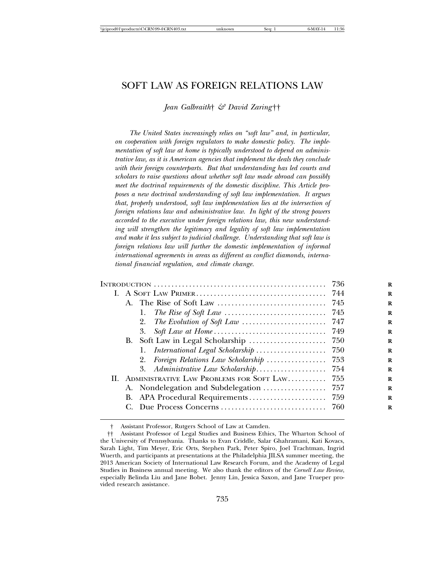# SOFT LAW AS FOREIGN RELATIONS LAW

*Jean Galbraith*† *& David Zaring*††

*The United States increasingly relies on "soft law" and, in particular, on cooperation with foreign regulators to make domestic policy. The implementation of soft law at home is typically understood to depend on administrative law, as it is American agencies that implement the deals they conclude with their foreign counterparts. But that understanding has led courts and scholars to raise questions about whether soft law made abroad can possibly meet the doctrinal requirements of the domestic discipline. This Article proposes a new doctrinal understanding of soft law implementation. It argues that, properly understood, soft law implementation lies at the intersection of foreign relations law and administrative law. In light of the strong powers accorded to the executive under foreign relations law, this new understanding will strengthen the legitimacy and legality of soft law implementation and make it less subject to judicial challenge. Understanding that soft law is foreign relations law will further the domestic implementation of informal international agreements in areas as different as conflict diamonds, international financial regulation, and climate change.*

|                                                                                                 | 736   |
|-------------------------------------------------------------------------------------------------|-------|
|                                                                                                 |       |
|                                                                                                 |       |
| The Rise of Soft Law $\ldots \ldots \ldots \ldots \ldots \ldots \ldots \ldots \ldots$ 745<br>1. |       |
| 2.                                                                                              |       |
| 3.                                                                                              |       |
| B. Soft Law in Legal Scholarship                                                                | 750   |
| International Legal Scholarship                                                                 | - 750 |
| Foreign Relations Law Scholarship<br>2.                                                         | - 753 |
| 3. Administrative Law Scholarship                                                               | -754  |
| ADMINISTRATIVE LAW PROBLEMS FOR SOFT LAW<br>II.                                                 | 755   |
|                                                                                                 |       |
|                                                                                                 |       |
|                                                                                                 |       |
|                                                                                                 |       |

<sup>†</sup> Assistant Professor, Rutgers School of Law at Camden.

<sup>††</sup> Assistant Professor of Legal Studies and Business Ethics, The Wharton School of the University of Pennsylvania. Thanks to Evan Criddle, Salar Ghahramani, Kati Kovacs, Sarah Light, Tim Meyer, Eric Orts, Stephen Park, Peter Spiro, Joel Trachtman, Ingrid Wuerth, and participants at presentations at the Philadelphia JILSA summer meeting, the 2013 American Society of International Law Research Forum, and the Academy of Legal Studies in Business annual meeting. We also thank the editors of the *Cornell Law Review*, especially Belinda Liu and Jane Bobet. Jenny Lin, Jessica Saxon, and Jane Trueper provided research assistance.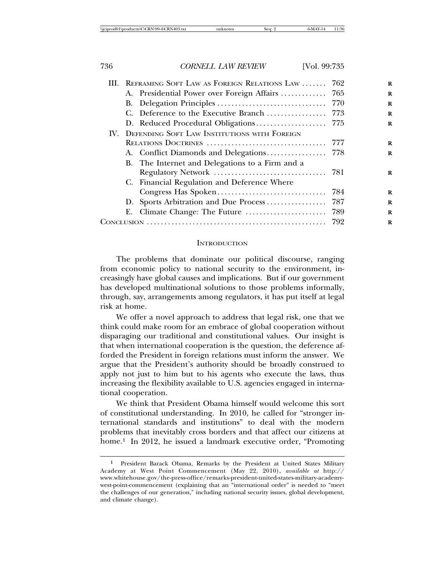|  | III. REFRAMING SOFT LAW AS FOREIGN RELATIONS LAW | 762  |
|--|--------------------------------------------------|------|
|  | A. Presidential Power over Foreign Affairs  765  |      |
|  |                                                  |      |
|  |                                                  |      |
|  | D. Reduced Procedural Obligations                | 775  |
|  | IV. DEFENDING SOFT LAW INSTITUTIONS WITH FOREIGN |      |
|  |                                                  |      |
|  |                                                  |      |
|  | B. The Internet and Delegations to a Firm and a  |      |
|  |                                                  |      |
|  | C. Financial Regulation and Deference Where      |      |
|  |                                                  | 784  |
|  | D. Sports Arbitration and Due Process            | 787  |
|  |                                                  | -789 |
|  |                                                  | 792  |
|  |                                                  |      |

#### **INTRODUCTION**

The problems that dominate our political discourse, ranging from economic policy to national security to the environment, increasingly have global causes and implications. But if our government has developed multinational solutions to those problems informally, through, say, arrangements among regulators, it has put itself at legal risk at home.

We offer a novel approach to address that legal risk, one that we think could make room for an embrace of global cooperation without disparaging our traditional and constitutional values. Our insight is that when international cooperation is the question, the deference afforded the President in foreign relations must inform the answer. We argue that the President's authority should be broadly construed to apply not just to him but to his agents who execute the laws, thus increasing the flexibility available to U.S. agencies engaged in international cooperation.

We think that President Obama himself would welcome this sort of constitutional understanding. In 2010, he called for "stronger international standards and institutions" to deal with the modern problems that inevitably cross borders and that affect our citizens at home.<sup>1</sup> In 2012, he issued a landmark executive order, "Promoting

<sup>1</sup> President Barack Obama, Remarks by the President at United States Military Academy at West Point Commencement (May 22, 2010), *available at* http:// www.whitehouse.gov/the-press-office/remarks-president-united-states-military-academywest-point-commencement (explaining that an "international order" is needed to "meet the challenges of our generation," including national security issues, global development, and climate change).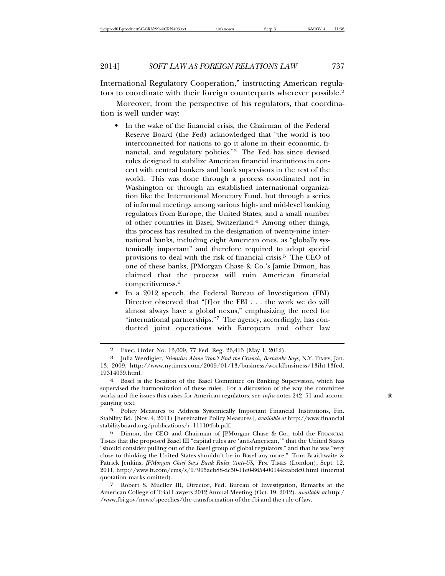International Regulatory Cooperation," instructing American regulators to coordinate with their foreign counterparts wherever possible.2

Moreover, from the perspective of his regulators, that coordination is well under way:

- In the wake of the financial crisis, the Chairman of the Federal Reserve Board (the Fed) acknowledged that "the world is too interconnected for nations to go it alone in their economic, financial, and regulatory policies."3 The Fed has since devised rules designed to stabilize American financial institutions in concert with central bankers and bank supervisors in the rest of the world. This was done through a process coordinated not in Washington or through an established international organization like the International Monetary Fund, but through a series of informal meetings among various high- and mid-level banking regulators from Europe, the United States, and a small number of other countries in Basel, Switzerland.4 Among other things, this process has resulted in the designation of twenty-nine international banks, including eight American ones, as "globally systemically important" and therefore required to adopt special provisions to deal with the risk of financial crisis.5 The CEO of one of these banks, JPMorgan Chase & Co.'s Jamie Dimon, has claimed that the process will ruin American financial competitiveness.<sup>6</sup>
- In a 2012 speech, the Federal Bureau of Investigation (FBI) Director observed that "[f]or the FBI . . . the work we do will almost always have a global nexus," emphasizing the need for "international partnerships."7 The agency, accordingly, has conducted joint operations with European and other law

5 Policy Measures to Address Systemically Important Financial Institutions, Fin. Stability Bd. (Nov. 4, 2011) [hereinafter Policy Measures], *available at* http://www.financial stabilityboard.org/publications/r\_111104bb.pdf.

6 Dimon, the CEO and Chairman of JPMorgan Chase & Co., told the FINANCIAL TIMES that the proposed Basel III "capital rules are 'anti-American,'" that the United States "should consider pulling out of the Basel group of global regulators," and that he was "very close to thinking the United States shouldn't be in Basel any more." Tom Braithwaite & Patrick Jenkins, *JPMorgan Chief Says Bank Rules 'Anti-US*,' FIN. TIMES (London), Sept. 12, 2011, http://www.ft.com/cms/s/0/905aeb88-dc50-11e0-8654-00144feabdc0.html (internal quotation marks omitted).

7 Robert S. Mueller III, Director, Fed. Bureau of Investigation, Remarks at the American College of Trial Lawyers 2012 Annual Meeting (Oct. 19, 2012), *available at* http:/ /www.fbi.gov/news/speeches/the-transformation-of-the-fbi-and-the-rule-of-law.

<sup>2</sup> Exec. Order No. 13,609, 77 Fed. Reg. 26,413 (May 1, 2012).

<sup>3</sup> Julia Werdigier, *Stimulus Alone Won't End the Crunch, Bernanke Says*, N.Y. TIMES, Jan. 13, 2009, http://www.nytimes.com/2009/01/13/business/worldbusiness/13iht-13fed. 19314039.html.

<sup>4</sup> Basel is the location of the Basel Committee on Banking Supervision, which has supervised the harmonization of these rules. For a discussion of the way the committee works and the issues this raises for American regulators, see *infra* notes 242–51 and accompanying text.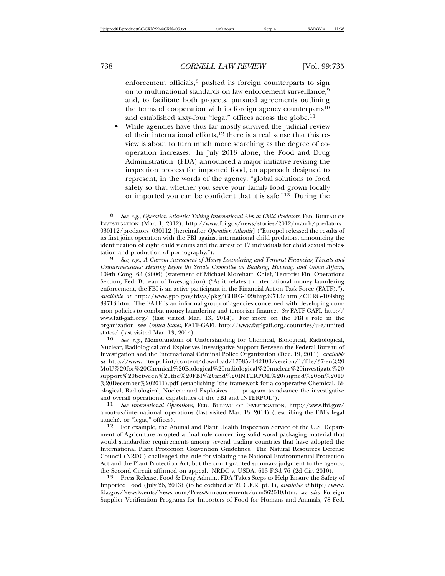enforcement officials,<sup>8</sup> pushed its foreign counterparts to sign on to multinational standards on law enforcement surveillance,9 and, to facilitate both projects, pursued agreements outlining the terms of cooperation with its foreign agency counterparts<sup>10</sup> and established sixty-four "legat" offices across the globe.<sup>11</sup>

• While agencies have thus far mostly survived the judicial review of their international efforts, $12$  there is a real sense that this review is about to turn much more searching as the degree of cooperation increases. In July 2013 alone, the Food and Drug Administration (FDA) announced a major initiative revising the inspection process for imported food, an approach designed to represent, in the words of the agency, "global solutions to food safety so that whether you serve your family food grown locally or imported you can be confident that it is safe."13 During the

*Countermeasures: Hearing Before the Senate Committee on Banking, Housing, and Urban Affairs*, 109th Cong. 63 (2006) (statement of Michael Morehart, Chief, Terrorist Fin. Operations Section, Fed. Bureau of Investigation) ("As it relates to international money laundering enforcement, the FBI is an active participant in the Financial Action Task Force (FATF)."), *available at* http://www.gpo.gov/fdsys/pkg/CHRG-109shrg39713/html/CHRG-109shrg 39713.htm. The FATF is an informal group of agencies concerned with developing common policies to combat money laundering and terrorism finance. *See* FATF-GAFI, http:// www.fatf-gafi.org/ (last visited Mar. 13, 2014). For more on the FBI's role in the organization, see *United States*, FATF-GAFI, http://www.fatf-gafi.org/countries/u-z/united states/ (last visited Mar. 13, 2014).

10 *See, e.g.*, Memorandum of Understanding for Chemical, Biological, Radiological, Nuclear, Radiological and Explosives Investigative Support Between the Federal Bureau of Investigation and the International Criminal Police Organization (Dec. 19, 2011), *available at* http://www.interpol.int/content/download/17585/142100/version/1/file/37-en%20 MoU%20for%20Chemical%20Biological%20radiological%20nuclear%20investigate%20 support%20between%20the%20FBI%20and%20INTERPOL%20(signed%20on%2019 %20December%202011).pdf (establishing "the framework for a cooperative Chemical, Biological, Radiological, Nuclear and Explosives . . . program to advance the investigative

11 See International Operations, FED. BUREAU OF INVESTIGATION, http://www.fbi.gov/ about-us/international\_operations (last visited Mar. 13, 2014) (describing the FBI's legal

<sup>12</sup> For example, the Animal and Plant Health Inspection Service of the U.S. Department of Agriculture adopted a final rule concerning solid wood packaging material that would standardize requirements among several trading countries that have adopted the International Plant Protection Convention Guidelines. The Natural Resources Defense Council (NRDC) challenged the rule for violating the National Environmental Protection Act and the Plant Protection Act, but the court granted summary judgment to the agency; the Second Circuit affirmed on appeal. NRDC v. USDA, 613 F.3d 76 (2d Cir. 2010).

13 Press Release, Food & Drug Admin., FDA Takes Steps to Help Ensure the Safety of Imported Food (July 26, 2013) (to be codified at 21 C.F.R. pt. 1), *available at* http://www. fda.gov/NewsEvents/Newsroom/PressAnnouncements/ucm362610.htm; *see also* Foreign Supplier Verification Programs for Importers of Food for Humans and Animals, 78 Fed.

<sup>8</sup> *See, e.g.*, *Operation Atlantic: Taking International Aim at Child Predators*, FED. BUREAU OF INVESTIGATION (Mar. 1, 2012), http://www.fbi.gov/news/stories/2012/march/predators\_ 030112/predators\_030112 [hereinafter *Operation Atlantic*] ("Europol released the results of its first joint operation with the FBI against international child predators, announcing the identification of eight child victims and the arrest of 17 individuals for child sexual molestation and production of pornography."). <sup>9</sup> *See, e.g.*, *A Current Assessment of Money Laundering and Terrorist Financing Threats and*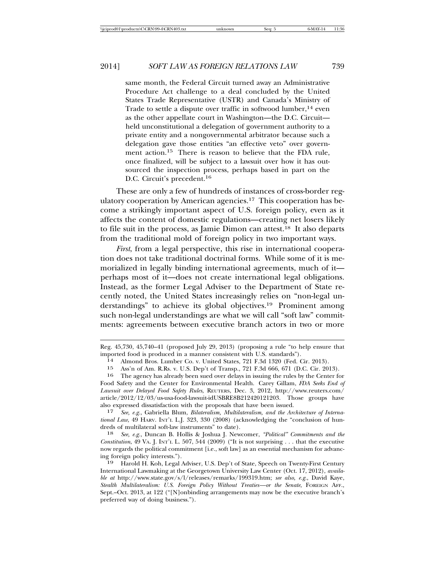same month, the Federal Circuit turned away an Administrative Procedure Act challenge to a deal concluded by the United States Trade Representative (USTR) and Canada's Ministry of Trade to settle a dispute over traffic in softwood lumber,  $14$  even as the other appellate court in Washington—the D.C. Circuit held unconstitutional a delegation of government authority to a private entity and a nongovernmental arbitrator because such a delegation gave those entities "an effective veto" over government action.15 There is reason to believe that the FDA rule, once finalized, will be subject to a lawsuit over how it has outsourced the inspection process, perhaps based in part on the D.C. Circuit's precedent.16

These are only a few of hundreds of instances of cross-border regulatory cooperation by American agencies.17 This cooperation has become a strikingly important aspect of U.S. foreign policy, even as it affects the content of domestic regulations—creating net losers likely to file suit in the process, as Jamie Dimon can attest.18 It also departs from the traditional mold of foreign policy in two important ways.

*First*, from a legal perspective, this rise in international cooperation does not take traditional doctrinal forms. While some of it is memorialized in legally binding international agreements, much of it perhaps most of it—does not create international legal obligations. Instead, as the former Legal Adviser to the Department of State recently noted, the United States increasingly relies on "non-legal understandings" to achieve its global objectives.19 Prominent among such non-legal understandings are what we will call "soft law" commitments: agreements between executive branch actors in two or more

18 *See, e.g.*, Duncan B. Hollis & Joshua J. Newcomer, *"Political" Commitments and the Constitution*, 49 VA. J. INT'L L. 507, 544 (2009) ("It is not surprising . . . that the executive now regards the political commitment [i.e., soft law] as an essential mechanism for advancing foreign policy interests.").<br>19 Harold H Koh Legal

Reg. 45,730, 45,740–41 (proposed July 29, 2013) (proposing a rule "to help ensure that imported food is produced in a manner consistent with U.S. standards").<br><sup>14</sup> Almond Bros. Lumber Co. v. United States, 721 F.3d 1320 (Fed. Cir. 2013).<br><sup>15</sup> Ass'n of Am. R.Rs. v. U.S. Den't of Transp. 721 F.3d 666–671 (D.C.

<sup>15</sup> Ass'n of Am. R.Rs. v. U.S. Dep't of Transp., 721 F.3d 666, 671 (D.C. Cir. 2013).

The agency has already been sued over delays in issuing the rules by the Center for Food Safety and the Center for Environmental Health. Carey Gillam, *FDA Seeks End of Lawsuit over Delayed Food Safety Rules*, REUTERS, Dec. 3, 2012, http://www.reuters.com/ article/2012/12/03/us-usa-food-lawsuit-idUSBRE8B212420121203. Those groups have also expressed dissatisfaction with the proposals that have been issued.

<sup>17</sup> *See, e.g.*, Gabriella Blum, *Bilateralism, Multilateralism, and the Architecture of International Law*, 49 HARV. INT'L L.J. 323, 330 (2008) (acknowledging the "conclusion of hundreds of multilateral soft-law instruments" to date).

Harold H. Koh, Legal Adviser, U.S. Dep't of State, Speech on Twenty-First Century International Lawmaking at the Georgetown University Law Center (Oct. 17, 2012), *available at* http://www.state.gov/s/l/releases/remarks/199319.htm; *see also, e.g.*, David Kaye, *Stealth Multilateralism: U.S. Foreign Policy Without Treaties—or the Senate*, FOREIGN AFF., Sept.–Oct. 2013, at 122 ("[N]onbinding arrangements may now be the executive branch's preferred way of doing business.").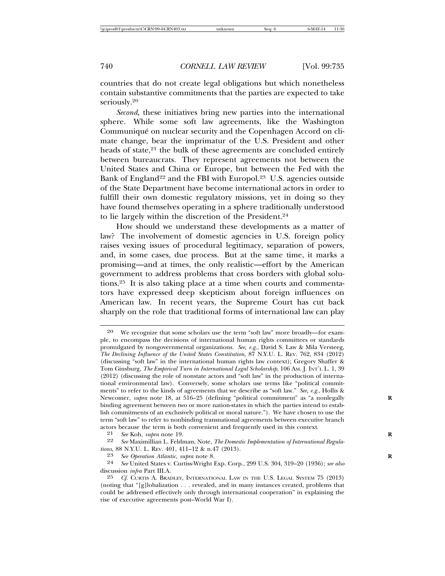countries that do not create legal obligations but which nonetheless contain substantive commitments that the parties are expected to take seriously.20

*Second*, these initiatives bring new parties into the international sphere. While some soft law agreements, like the Washington Communiqué on nuclear security and the Copenhagen Accord on climate change, bear the imprimatur of the U.S. President and other heads of state,<sup>21</sup> the bulk of these agreements are concluded entirely between bureaucrats. They represent agreements not between the United States and China or Europe, but between the Fed with the Bank of England<sup>22</sup> and the FBI with Europol.<sup>23</sup> U.S. agencies outside of the State Department have become international actors in order to fulfill their own domestic regulatory missions, yet in doing so they have found themselves operating in a sphere traditionally understood to lie largely within the discretion of the President.24

How should we understand these developments as a matter of law? The involvement of domestic agencies in U.S. foreign policy raises vexing issues of procedural legitimacy, separation of powers, and, in some cases, due process. But at the same time, it marks a promising—and at times, the only realistic—effort by the American government to address problems that cross borders with global solutions.25 It is also taking place at a time when courts and commentators have expressed deep skepticism about foreign influences on American law. In recent years, the Supreme Court has cut back sharply on the role that traditional forms of international law can play

<sup>20</sup> We recognize that some scholars use the term "soft law" more broadly—for example, to encompass the decisions of international human rights committees or standards promulgated by nongovernmental organizations. *See, e.g.*, David S. Law & Mila Versteeg, *The Declining Influence of the United States Constitution*, 87 N.Y.U. L. REV. 762, 834 (2012) (discussing "soft law" in the international human rights law context); Gregory Shaffer & Tom Ginsburg, *The Empirical Turn in International Legal Scholarship*, 106 AM. J. INT'L L. 1, 39 (2012) (discussing the role of nonstate actors and "soft law" in the production of international environmental law). Conversely, some scholars use terms like "political commitments" to refer to the kinds of agreements that we describe as "soft law." *See, e.g.*, Hollis & Newcomer, *supra* note 18, at 516–25 (defining "political commitment" as "a nonlegally binding agreement between two or more nation-states in which the parties intend to establish commitments of an exclusively political or moral nature."). We have chosen to use the term "soft law" to refer to nonbinding transnational agreements between executive branch actors because the term is both convenient and frequently used in this context.<br> $\frac{21}{10}$  See Koh subra note 19

<sup>21</sup> *See* Koh, *supra* note 19. **R**

See Maximillian L. Feldman, Note, *The Domestic Implementation of International Regulations*, 88 N.Y.U. L. REV. 401, 411–12 & n.47 (2013).<br><sup>23</sup> See Oberation Atlantic, subra note 8

<sup>23</sup> *See Operation Atlantic*, *supra* note 8. **R**

<sup>24</sup> *See* United States v. Curtiss-Wright Exp. Corp., 299 U.S. 304, 319–20 (1936); *see also* discussion *infra* Part III.A.

<sup>25</sup> *Cf.* CURTIS A. BRADLEY, INTERNATIONAL LAW IN THE U.S. LEGAL SYSTEM 75 (2013) (noting that "[g]lobalization . . . revealed, and in many instances created, problems that could be addressed effectively only through international cooperation" in explaining the rise of executive agreements post–World War I).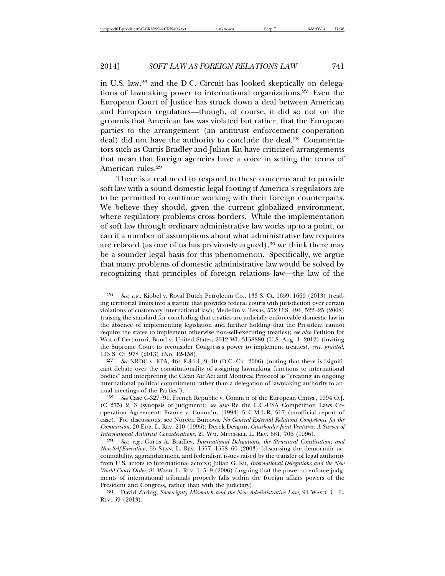in U.S. law,26 and the D.C. Circuit has looked skeptically on delegations of lawmaking power to international organizations.27 Even the European Court of Justice has struck down a deal between American and European regulators—though, of course, it did so not on the grounds that American law was violated but rather, that the European parties to the arrangement (an antitrust enforcement cooperation deal) did not have the authority to conclude the deal.<sup>28</sup> Commentators such as Curtis Bradley and Julian Ku have criticized arrangements that mean that foreign agencies have a voice in setting the terms of American rules.29

There is a real need to respond to these concerns and to provide soft law with a sound domestic legal footing if America's regulators are to be permitted to continue working with their foreign counterparts. We believe they should, given the current globalized environment, where regulatory problems cross borders. While the implementation of soft law through ordinary administrative law works up to a point, or can if a number of assumptions about what administrative law requires are relaxed (as one of us has previously argued), $30$  we think there may be a sounder legal basis for this phenomenon. Specifically, we argue that many problems of domestic administrative law would be solved by recognizing that principles of foreign relations law—the law of the

<sup>26</sup> *See, e.g.*, Kiobel v. Royal Dutch Petroleum Co., 133 S. Ct. 1659, 1669 (2013) (reading territorial limits into a statute that provides federal courts with jurisdiction over certain violations of customary international law); Medellín v. Texas, 552 U.S. 491, 522–25 (2008) (raising the standard for concluding that treaties are judicially enforceable domestic law in the absence of implementing legislation and further holding that the President cannot require the states to implement otherwise non-self-executing treaties); *see also* Petition for Writ of Certiorori, Bond v. United States, 2012 WL 3158880 (U.S. Aug. 1, 2012) (inviting the Supreme Court to reconsider Congress's power to implement treaties), *cert. granted*, 133 S. Ct. 978 (2013) (No. 12-158).

<sup>27</sup> *See* NRDC v. EPA, 464 F.3d 1, 9–10 (D.C. Cir. 2006) (noting that there is "significant debate over the constitutionality of assigning lawmaking functions to international bodies" and interpreting the Clean Air Act and Montreal Protocol as "creating an ongoing international political commitment rather than a delegation of lawmaking authority to annual meetings of the Parties").

<sup>28</sup> *See* Case C-327/91, French Republic v. Comm'n of the European Cmtys., 1994 O.J. (C 275) 2, 3 (synopsis of judgment); *see also* Re the E.C.-USA Competition Laws Cooperation Agreement: France v. Comm'n, [1994] 5 C.M.L.R. 517 (unofficial report of case). For discussions, see Noreen Burrows, *No General External Relations Competence for the Commission*, 20 EUR. L. REV. 210 (1995); Derek Devgun, *Crossborder Joint Ventures: A Survey of International Antitrust Considerations*, 21 WM. MITCHELL L. REV. 681, 706 (1996).

<sup>29</sup> *See, e.g.*, Curtis A. Bradley, *International Delegations, the Structural Constitution, and Non-Self-Execution*, 55 STAN. L. REV. 1557, 1558–60 (2003) (discussing the democratic accountability, aggrandizement, and federalism issues raised by the transfer of legal authority from U.S. actors to international actors); Julian G. Ku, *International Delegations and the New World Court Order*, 81 WASH. L. REV. 1, 5–9 (2006) (arguing that the power to enforce judgments of international tribunals properly falls within the foreign affairs powers of the

<sup>&</sup>lt;sup>30</sup> David Zaring, Sovereignty Mismatch and the New Administrative Law, 91 WASH. U. L. REV. 59 (2013).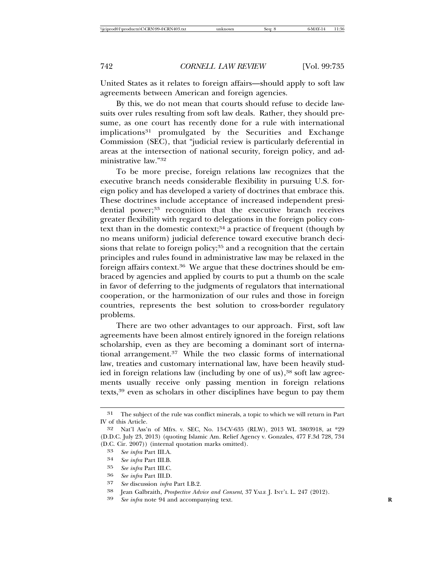United States as it relates to foreign affairs—should apply to soft law agreements between American and foreign agencies.

By this, we do not mean that courts should refuse to decide lawsuits over rules resulting from soft law deals. Rather, they should presume, as one court has recently done for a rule with international implications<sup>31</sup> promulgated by the Securities and Exchange Commission (SEC), that "judicial review is particularly deferential in areas at the intersection of national security, foreign policy, and administrative law."32

To be more precise, foreign relations law recognizes that the executive branch needs considerable flexibility in pursuing U.S. foreign policy and has developed a variety of doctrines that embrace this. These doctrines include acceptance of increased independent presidential power;<sup>33</sup> recognition that the executive branch receives greater flexibility with regard to delegations in the foreign policy context than in the domestic context; $34$  a practice of frequent (though by no means uniform) judicial deference toward executive branch decisions that relate to foreign policy;<sup>35</sup> and a recognition that the certain principles and rules found in administrative law may be relaxed in the foreign affairs context.36 We argue that these doctrines should be embraced by agencies and applied by courts to put a thumb on the scale in favor of deferring to the judgments of regulators that international cooperation, or the harmonization of our rules and those in foreign countries, represents the best solution to cross-border regulatory problems.

There are two other advantages to our approach. First, soft law agreements have been almost entirely ignored in the foreign relations scholarship, even as they are becoming a dominant sort of international arrangement.37 While the two classic forms of international law, treaties and customary international law, have been heavily studied in foreign relations law (including by one of us), $38$  soft law agreements usually receive only passing mention in foreign relations texts,39 even as scholars in other disciplines have begun to pay them

- 35 *See infra* Part III.C.
- 36 *See infra* Part III.D.
- 37 *See* discussion *infra* Part I.B.2.
- 38 Jean Galbraith, *Prospective Advice and Consent*, 37 YALE J. INT'L L. 247 (2012).
- See infra note 94 and accompanying text.

<sup>31</sup> The subject of the rule was conflict minerals, a topic to which we will return in Part IV of this Article.

<sup>32</sup> Nat'l Ass'n of Mfrs. v. SEC, No. 13-CV-635 (RLW), 2013 WL 3803918, at \*29 (D.D.C. July 23, 2013) (quoting Islamic Am. Relief Agency v. Gonzales, 477 F.3d 728, 734 (D.C. Cir. 2007)) (internal quotation marks omitted).

<sup>33</sup> *See infra* Part III.A.

<sup>34</sup> *See infra* Part III.B.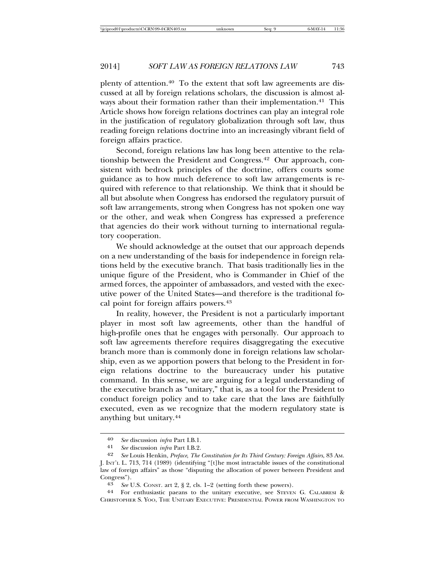plenty of attention.40 To the extent that soft law agreements are discussed at all by foreign relations scholars, the discussion is almost always about their formation rather than their implementation.<sup>41</sup> This Article shows how foreign relations doctrines can play an integral role in the justification of regulatory globalization through soft law, thus reading foreign relations doctrine into an increasingly vibrant field of foreign affairs practice.

Second, foreign relations law has long been attentive to the relationship between the President and Congress.42 Our approach, consistent with bedrock principles of the doctrine, offers courts some guidance as to how much deference to soft law arrangements is required with reference to that relationship. We think that it should be all but absolute when Congress has endorsed the regulatory pursuit of soft law arrangements, strong when Congress has not spoken one way or the other, and weak when Congress has expressed a preference that agencies do their work without turning to international regulatory cooperation.

We should acknowledge at the outset that our approach depends on a new understanding of the basis for independence in foreign relations held by the executive branch. That basis traditionally lies in the unique figure of the President, who is Commander in Chief of the armed forces, the appointer of ambassadors, and vested with the executive power of the United States—and therefore is the traditional focal point for foreign affairs powers.43

In reality, however, the President is not a particularly important player in most soft law agreements, other than the handful of high-profile ones that he engages with personally. Our approach to soft law agreements therefore requires disaggregating the executive branch more than is commonly done in foreign relations law scholarship, even as we apportion powers that belong to the President in foreign relations doctrine to the bureaucracy under his putative command. In this sense, we are arguing for a legal understanding of the executive branch as "unitary," that is, as a tool for the President to conduct foreign policy and to take care that the laws are faithfully executed, even as we recognize that the modern regulatory state is anything but unitary.44

<sup>40</sup> *See* discussion *infra* Part I.B.1.

<sup>41</sup> *See* discussion *infra* Part I.B.2.

<sup>42</sup> *See* Louis Henkin, *Preface*, *The Constitution for Its Third Century: Foreign Affairs*, 83 AM. J. INT'L L. 713, 714 (1989) (identifying "[t]he most intractable issues of the constitutional law of foreign affairs" as those "disputing the allocation of power between President and Congress"). <sup>43</sup> *See* U.S. CONST. art 2, § 2, cls. 1–2 (setting forth these powers). <sup>44</sup> For enthusiastic paeans to the unitary executive, see STEVEN G. CALABRESI &

CHRISTOPHER S. YOO, THE UNITARY EXECUTIVE: PRESIDENTIAL POWER FROM WASHINGTON TO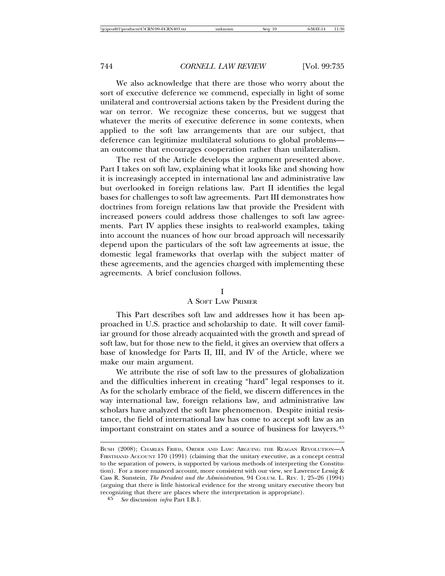We also acknowledge that there are those who worry about the sort of executive deference we commend, especially in light of some unilateral and controversial actions taken by the President during the war on terror. We recognize these concerns, but we suggest that whatever the merits of executive deference in some contexts, when applied to the soft law arrangements that are our subject, that deference can legitimize multilateral solutions to global problems an outcome that encourages cooperation rather than unilateralism.

The rest of the Article develops the argument presented above. Part I takes on soft law, explaining what it looks like and showing how it is increasingly accepted in international law and administrative law but overlooked in foreign relations law. Part II identifies the legal bases for challenges to soft law agreements. Part III demonstrates how doctrines from foreign relations law that provide the President with increased powers could address those challenges to soft law agreements. Part IV applies these insights to real-world examples, taking into account the nuances of how our broad approach will necessarily depend upon the particulars of the soft law agreements at issue, the domestic legal frameworks that overlap with the subject matter of these agreements, and the agencies charged with implementing these agreements. A brief conclusion follows.

#### I

# A SOFT LAW PRIMER

This Part describes soft law and addresses how it has been approached in U.S. practice and scholarship to date. It will cover familiar ground for those already acquainted with the growth and spread of soft law, but for those new to the field, it gives an overview that offers a base of knowledge for Parts II, III, and IV of the Article, where we make our main argument.

We attribute the rise of soft law to the pressures of globalization and the difficulties inherent in creating "hard" legal responses to it. As for the scholarly embrace of the field, we discern differences in the way international law, foreign relations law, and administrative law scholars have analyzed the soft law phenomenon. Despite initial resistance, the field of international law has come to accept soft law as an important constraint on states and a source of business for lawyers.45

BUSH (2008); CHARLES FRIED, ORDER AND LAW: ARGUING THE REAGAN REVOLUTION—A FIRSTHAND ACCOUNT 170 (1991) (claiming that the unitary executive, as a concept central to the separation of powers, is supported by various methods of interpreting the Constitution). For a more nuanced account, more consistent with our view, see Lawrence Lessig & Cass R. Sunstein, *The President and the Administration*, 94 COLUM. L. REV. 1, 25–26 (1994) (arguing that there is little historical evidence for the strong unitary executive theory but recognizing that there are places where the interpretation is appropriate).

<sup>45</sup> *See* discussion *infra* Part I.B.1.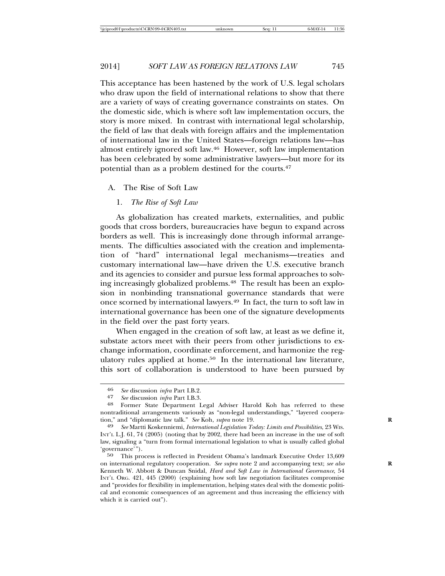This acceptance has been hastened by the work of U.S. legal scholars who draw upon the field of international relations to show that there are a variety of ways of creating governance constraints on states. On the domestic side, which is where soft law implementation occurs, the story is more mixed. In contrast with international legal scholarship, the field of law that deals with foreign affairs and the implementation of international law in the United States—foreign relations law—has almost entirely ignored soft law.46 However, soft law implementation has been celebrated by some administrative lawyers—but more for its potential than as a problem destined for the courts.47

#### A. The Rise of Soft Law

1. *The Rise of Soft Law*

As globalization has created markets, externalities, and public goods that cross borders, bureaucracies have begun to expand across borders as well. This is increasingly done through informal arrangements. The difficulties associated with the creation and implementation of "hard" international legal mechanisms—treaties and customary international law—have driven the U.S. executive branch and its agencies to consider and pursue less formal approaches to solving increasingly globalized problems.48 The result has been an explosion in nonbinding transnational governance standards that were once scorned by international lawyers.49 In fact, the turn to soft law in international governance has been one of the signature developments in the field over the past forty years.

When engaged in the creation of soft law, at least as we define it, substate actors meet with their peers from other jurisdictions to exchange information, coordinate enforcement, and harmonize the regulatory rules applied at home.<sup>50</sup> In the international law literature, this sort of collaboration is understood to have been pursued by

<sup>46</sup> *See* discussion *infra* Part I.B.2.

<sup>&</sup>lt;sup>48</sup> Former State Department Legal Adviser Harold Koh has referred to these nontraditional arrangements variously as "non-legal understandings," "layered cooperation," and "diplomatic law talk." *See* Koh, *supra* note 19.

<sup>49</sup> *See* Martti Koskenniemi, *International Legislation Today: Limits and Possibilities*, 23 WIS. INT'L L.J. 61, 74 (2005) (noting that by 2002, there had been an increase in the use of soft law, signaling a "turn from formal international legislation to what is usually called global 'governance'").

<sup>50</sup> This process is reflected in President Obama's landmark Executive Order 13,609 on international regulatory cooperation. *See supra* note 2 and accompanying text; *see also* **R** Kenneth W. Abbott & Duncan Snidal, *Hard and Soft Law in International Governance*, 54 INT'L ORG. 421, 445 (2000) (explaining how soft law negotiation facilitates compromise and "provides for flexibility in implementation, helping states deal with the domestic political and economic consequences of an agreement and thus increasing the efficiency with which it is carried out").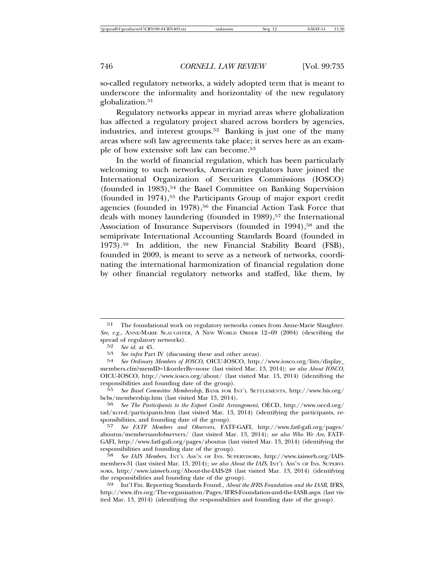so-called regulatory networks, a widely adopted term that is meant to underscore the informality and horizontality of the new regulatory globalization.<sup>51</sup>

Regulatory networks appear in myriad areas where globalization has affected a regulatory project shared across borders by agencies, industries, and interest groups.52 Banking is just one of the many areas where soft law agreements take place; it serves here as an example of how extensive soft law can become.53

In the world of financial regulation, which has been particularly welcoming to such networks, American regulators have joined the International Organization of Securities Commissions (IOSCO) (founded in 1983),54 the Basel Committee on Banking Supervision (founded in 1974),55 the Participants Group of major export credit agencies (founded in 1978),<sup>56</sup> the Financial Action Task Force that deals with money laundering (founded in 1989),<sup>57</sup> the International Association of Insurance Supervisors (founded in 1994),<sup>58</sup> and the semiprivate International Accounting Standards Board (founded in 1973).59 In addition, the new Financial Stability Board (FSB), founded in 2009, is meant to serve as a network of networks, coordinating the international harmonization of financial regulation done by other financial regulatory networks and staffed, like them, by

59 Int'l Fin. Reporting Standards Found., *About the IFRS Foundation and the IASB*, IFRS, http://www.ifrs.org/The-organisation/Pages/IFRS-Foundation-and-the-IASB.aspx (last visited Mar. 13, 2014) (identifying the responsibilities and founding date of the group).

<sup>51</sup> The foundational work on regulatory networks comes from Anne-Marie Slaughter. *See, e.g.*, ANNE-MARIE SLAUGHTER, A NEW WORLD ORDER 12–69 (2004) (describing the spread of regulatory networks).

<sup>52</sup> *See id.* at 45.

<sup>53</sup> *See infra* Part IV (discussing these and other areas).<br>54 *See Ordinary Members of JOSCO* OICU-JOSCO http:

<sup>54</sup> *See Ordinary Members of IOSCO*, OICU-IOSCO, http://www.iosco.org/lists/display\_ members.cfm?memID=1&orderBy=none (last visited Mar. 13, 2014); *see also About IOSCO*, OICU-IOSCO, http://www.iosco.org/about/ (last visited Mar. 13, 2014) (identifying the responsibilities and founding date of the group).<br>55 See Basel Committee Membership BANK FOR I

<sup>55</sup> *See Basel Committee Membership*, BANK FOR INT'L SETTLEMENTS, http://www.bis.org/ bcbs/membership.htm (last visited Mar 13, 2014).

<sup>56</sup> *See The Participants to the Export Credit Arrangement*, OECD, http://www.oecd.org/ tad/xcred/participants.htm (last visited Mar. 13, 2014) (identifying the participants, responsibilities, and founding date of the group).

<sup>57</sup> *See FATF Members and Observers*, FATF-GAFI, http://www.fatf-gafi.org/pages/ aboutus/membersandobservers/ (last visited Mar. 13, 2014); *see also Who We Are*, FATF-GAFI, http://www.fatf-gafi.org/pages/aboutus (last visited Mar. 13, 2014) (identifying the responsibilities and founding date of the group).

<sup>58</sup> *See IAIS Members*, INT'L ASS'N OF INS. SUPERVISORS, http://www.iaisweb.org/IAISmembers-31 (last visited Mar. 13, 2014); see also About the IAIS, INT'L Ass'N OF INS. SUPERVI-SORS, http://www.iaisweb.org/About-the-IAIS-28 (last visited Mar. 13, 2014) (identifying the responsibilities and founding date of the group).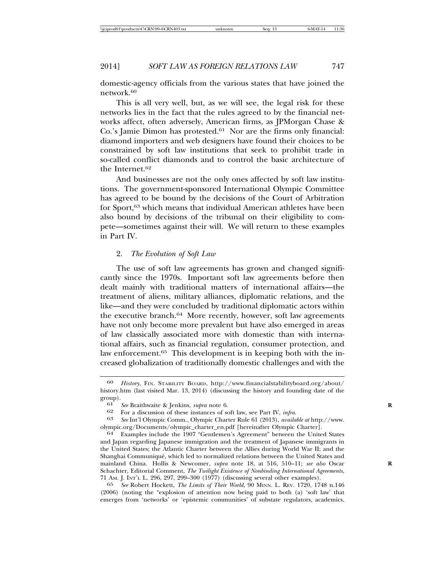domestic-agency officials from the various states that have joined the network.60

This is all very well, but, as we will see, the legal risk for these networks lies in the fact that the rules agreed to by the financial networks affect, often adversely, American firms, as JPMorgan Chase & Co.'s Jamie Dimon has protested.61 Nor are the firms only financial: diamond importers and web designers have found their choices to be constrained by soft law institutions that seek to prohibit trade in so-called conflict diamonds and to control the basic architecture of the Internet.62

And businesses are not the only ones affected by soft law institutions. The government-sponsored International Olympic Committee has agreed to be bound by the decisions of the Court of Arbitration for Sport,63 which means that individual American athletes have been also bound by decisions of the tribunal on their eligibility to compete—sometimes against their will. We will return to these examples in Part IV.

# 2. *The Evolution of Soft Law*

The use of soft law agreements has grown and changed significantly since the 1970s. Important soft law agreements before then dealt mainly with traditional matters of international affairs—the treatment of aliens, military alliances, diplomatic relations, and the like—and they were concluded by traditional diplomatic actors within the executive branch.64 More recently, however, soft law agreements have not only become more prevalent but have also emerged in areas of law classically associated more with domestic than with international affairs, such as financial regulation, consumer protection, and law enforcement.<sup>65</sup> This development is in keeping both with the increased globalization of traditionally domestic challenges and with the

<sup>60</sup> *History*, FIN. STABILITY BOARD, http://www.financialstabilityboard.org/about/ history.htm (last visited Mar. 13, 2014) (discussing the history and founding date of the  $\begin{bmatrix} \text{group} \\ \text{61} \end{bmatrix}$ .

<sup>61</sup> *See* Braithwaite & Jenkins, *supra* note 6. **R**

<sup>62</sup> For a discussion of these instances of soft law, see Part IV, *infra*. <sup>63</sup> *See* Int'l Olympic Comm., Olympic Charter Rule 61 (2013), *available at* http://www. olympic.org/Documents/olympic\_charter\_en.pdf [hereinafter Olympic Charter]. <sup>64</sup> Examples include the 1907 "Gentlemen's Agreement" between the United States

and Japan regarding Japanese immigration and the treatment of Japanese immigrants in the United States; the Atlantic Charter between the Allies during World War II; and the Shanghai Communique, which led to normalized relations between the United States and ´ mainland China. Hollis & Newcomer, *supra* note 18, at 516, 510–11; *see also* Oscar **R** Schachter, Editorial Comment, *The Twilight Existence of Nonbinding International Agreements*, 71 AM. J. INT'L L. 296, 297, 299–300 (1977) (discussing several other examples).

<sup>65</sup> *See* Robert Hockett, *The Limits of Their World*, 90 MINN. L. REV. 1720, 1748 n.146 (2006) (noting the "explosion of attention now being paid to both (a) 'soft law' that emerges from 'networks' or 'epistemic communities' of substate regulators, academics,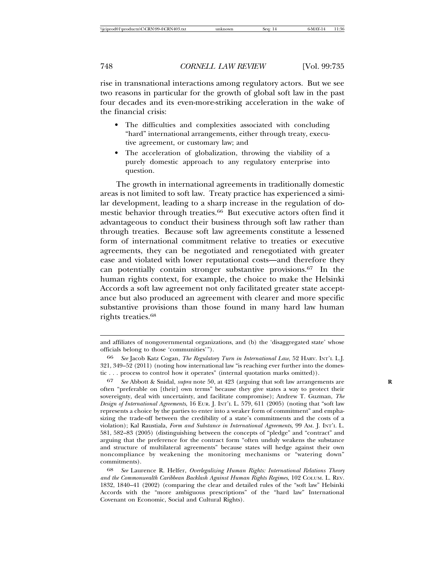rise in transnational interactions among regulatory actors. But we see two reasons in particular for the growth of global soft law in the past four decades and its even-more-striking acceleration in the wake of the financial crisis:

- The difficulties and complexities associated with concluding "hard" international arrangements, either through treaty, executive agreement, or customary law; and
- The acceleration of globalization, throwing the viability of a purely domestic approach to any regulatory enterprise into question.

The growth in international agreements in traditionally domestic areas is not limited to soft law. Treaty practice has experienced a similar development, leading to a sharp increase in the regulation of domestic behavior through treaties.<sup>66</sup> But executive actors often find it advantageous to conduct their business through soft law rather than through treaties. Because soft law agreements constitute a lessened form of international commitment relative to treaties or executive agreements, they can be negotiated and renegotiated with greater ease and violated with lower reputational costs—and therefore they can potentially contain stronger substantive provisions.67 In the human rights context, for example, the choice to make the Helsinki Accords a soft law agreement not only facilitated greater state acceptance but also produced an agreement with clearer and more specific substantive provisions than those found in many hard law human rights treaties.68

and affiliates of nongovernmental organizations, and (b) the 'disaggregated state' whose officials belong to those 'communities'").

<sup>66</sup> *See* Jacob Katz Cogan, *The Regulatory Turn in International Law*, 52 HARV. INT'L L.J. 321, 349–52 (2011) (noting how international law "is reaching ever further into the domestic . . . process to control how it operates" (internal quotation marks omitted)).

<sup>67</sup> *See* Abbott & Snidal, *supra* note 50, at 423 (arguing that soft law arrangements are **R** often "preferable on [their] own terms" because they give states a way to protect their sovereignty, deal with uncertainty, and facilitate compromise); Andrew T. Guzman, *The Design of International Agreements*, 16 EUR. J. INT'L L. 579, 611 (2005) (noting that "soft law represents a choice by the parties to enter into a weaker form of commitment" and emphasizing the trade-off between the credibility of a state's commitments and the costs of a violation); Kal Raustiala, *Form and Substance in International Agreements*, 99 AM. J. INT'L L. 581, 582–83 (2005) (distinguishing between the concepts of "pledge" and "contract" and arguing that the preference for the contract form "often unduly weakens the substance and structure of multilateral agreements" because states will hedge against their own noncompliance by weakening the monitoring mechanisms or "watering down" commitments).

<sup>68</sup> *See* Laurence R. Helfer, *Overlegalizing Human Rights: International Relations Theory and the Commonwealth Caribbean Backlash Against Human Rights Regimes*, 102 COLUM. L. REV. 1832, 1840–41 (2002) (comparing the clear and detailed rules of the "soft law" Helsinki Accords with the "more ambiguous prescriptions" of the "hard law" International Covenant on Economic, Social and Cultural Rights).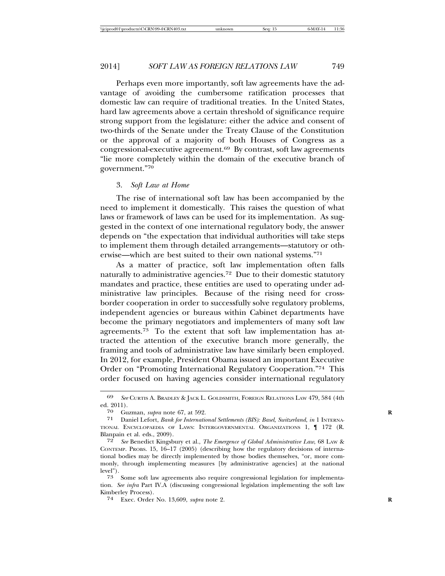Perhaps even more importantly, soft law agreements have the advantage of avoiding the cumbersome ratification processes that domestic law can require of traditional treaties. In the United States, hard law agreements above a certain threshold of significance require strong support from the legislature: either the advice and consent of two-thirds of the Senate under the Treaty Clause of the Constitution or the approval of a majority of both Houses of Congress as a congressional-executive agreement.69 By contrast, soft law agreements "lie more completely within the domain of the executive branch of government."70

#### 3. *Soft Law at Home*

The rise of international soft law has been accompanied by the need to implement it domestically. This raises the question of what laws or framework of laws can be used for its implementation. As suggested in the context of one international regulatory body, the answer depends on "the expectation that individual authorities will take steps to implement them through detailed arrangements—statutory or otherwise—which are best suited to their own national systems."71

As a matter of practice, soft law implementation often falls naturally to administrative agencies.72 Due to their domestic statutory mandates and practice, these entities are used to operating under administrative law principles. Because of the rising need for crossborder cooperation in order to successfully solve regulatory problems, independent agencies or bureaus within Cabinet departments have become the primary negotiators and implementers of many soft law agreements.73 To the extent that soft law implementation has attracted the attention of the executive branch more generally, the framing and tools of administrative law have similarly been employed. In 2012, for example, President Obama issued an important Executive Order on "Promoting International Regulatory Cooperation."74 This order focused on having agencies consider international regulatory

<sup>69</sup> *See* CURTIS A. BRADLEY & JACK L. GOLDSMITH, FOREIGN RELATIONS LAW 479, 584 (4th ed. 2011).

<sup>70</sup> Guzman, *supra* note 67, at 592. **R**

<sup>71</sup> Daniel Lefort, *Bank for International Settlements (BIS): Basel, Switzerland*, *in* 1 INTERNA-TIONAL ENCYCLOPAEDIA OF LAWS: INTERGOVERNMENTAL ORGANIZATIONS 1, ¶ 172 (R. Blanpain et al. eds., 2009).

<sup>72</sup> *See* Benedict Kingsbury et al., *The Emergence of Global Administrative Law*, 68 LAW & CONTEMP. PROBS. 15, 16–17 (2005) (describing how the regulatory decisions of international bodies may be directly implemented by those bodies themselves, "or, more commonly, through implementing measures [by administrative agencies] at the national level").

<sup>73</sup> Some soft law agreements also require congressional legislation for implementation. *See infra* Part IV.A (discussing congressional legislation implementing the soft law Kimberley Process).

<sup>74</sup> Exec. Order No. 13,609, *supra* note 2. **R**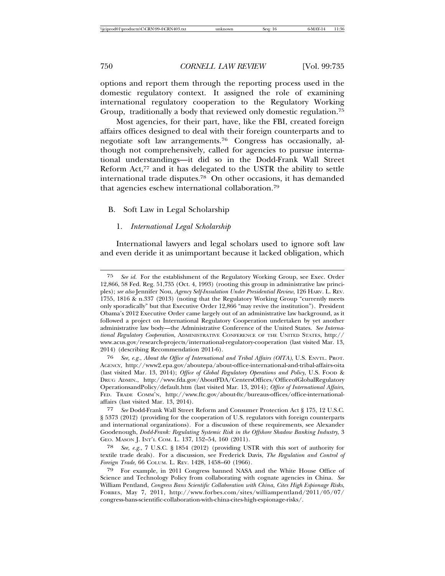options and report them through the reporting process used in the domestic regulatory context. It assigned the role of examining international regulatory cooperation to the Regulatory Working Group, traditionally a body that reviewed only domestic regulation.75

Most agencies, for their part, have, like the FBI, created foreign affairs offices designed to deal with their foreign counterparts and to negotiate soft law arrangements.76 Congress has occasionally, although not comprehensively, called for agencies to pursue international understandings—it did so in the Dodd-Frank Wall Street Reform Act,<sup>77</sup> and it has delegated to the USTR the ability to settle international trade disputes.78 On other occasions, it has demanded that agencies eschew international collaboration.79

#### B. Soft Law in Legal Scholarship

#### 1. *International Legal Scholarship*

International lawyers and legal scholars used to ignore soft law and even deride it as unimportant because it lacked obligation, which

<sup>75</sup> *See id.* For the establishment of the Regulatory Working Group, see Exec. Order 12,866, 58 Fed. Reg. 51,735 (Oct. 4, 1993) (rooting this group in administrative law principles); *see also* Jennifer Nou, *Agency Self-Insulation Under Presidential Review*, 126 HARV. L. REV. 1755, 1816 & n.337 (2013) (noting that the Regulatory Working Group "currently meets only sporadically" but that Executive Order 12,866 "may revive the institution"). President Obama's 2012 Executive Order came largely out of an administrative law background, as it followed a project on International Regulatory Cooperation undertaken by yet another administrative law body—the Administrative Conference of the United States. *See International Regulatory Cooperation*, ADMINISTRATIVE CONFERENCE OF THE UNITED STATES, http:// www.acus.gov/research-projects/international-regulatory-cooperation (last visited Mar. 13, 2014) (describing Recommendation 2011-6).

<sup>76</sup> *See, e.g.*, *About the Office of International and Tribal Affairs (OITA)*, U.S. ENVTL. PROT. AGENCY, http://www2.epa.gov/aboutepa/about-office-international-and-tribal-affairs-oita (last visited Mar. 13, 2014); *Office of Global Regulatory Operations and Policy*, U.S. FOOD & DRUG ADMIN., http://www.fda.gov/AboutFDA/CentersOffices/OfficeofGlobalRegulatory OperationsandPolicy/default.htm (last visited Mar. 13, 2014); *Office of International Affairs*, FED. TRADE COMM'N, http://www.ftc.gov/about-ftc/bureaus-offices/office-internationalaffairs (last visited Mar. 13, 2014).

<sup>77</sup> *See* Dodd-Frank Wall Street Reform and Consumer Protection Act § 175, 12 U.S.C. § 5373 (2012) (providing for the cooperation of U.S. regulators with foreign counterparts and international organizations). For a discussion of these requirements, see Alexander Goodenough, *Dodd-Frank: Regulating Systemic Risk in the Offshore Shadow Banking Industry*, 3 GEO. MASON J. INT'L COM. L. 137, 152–54, 160 (2011).

<sup>78</sup> *See, e.g.*, 7 U.S.C. § 1854 (2012) (providing USTR with this sort of authority for textile trade deals). For a discussion, see Frederick Davis, *The Regulation and Control of Foreign Trade*, 66 COLUM. L. REV. 1428, 1458–60 (1966).

<sup>79</sup> For example, in 2011 Congress banned NASA and the White House Office of Science and Technology Policy from collaborating with cognate agencies in China. *See* William Pentland, *Congress Bans Scientific Collaboration with China, Cites High Espionage Risks*, FORBES, May 7, 2011, http://www.forbes.com/sites/williampentland/2011/05/07/ congress-bans-scientific-collaboration-with-china-cites-high-espionage-risks/.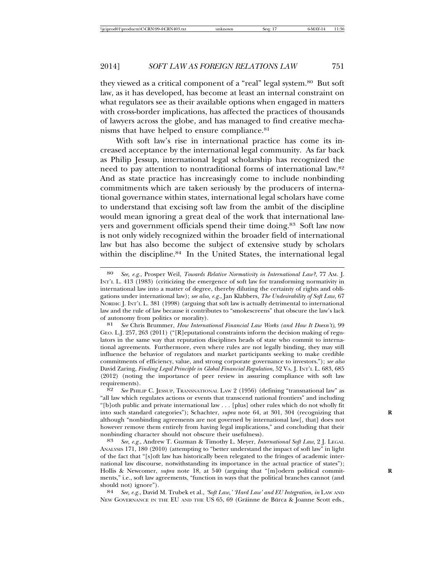they viewed as a critical component of a "real" legal system.80 But soft law, as it has developed, has become at least an internal constraint on what regulators see as their available options when engaged in matters with cross-border implications, has affected the practices of thousands of lawyers across the globe, and has managed to find creative mechanisms that have helped to ensure compliance.<sup>81</sup>

With soft law's rise in international practice has come its increased acceptance by the international legal community. As far back as Philip Jessup, international legal scholarship has recognized the need to pay attention to nontraditional forms of international law.82 And as state practice has increasingly come to include nonbinding commitments which are taken seriously by the producers of international governance within states, international legal scholars have come to understand that excising soft law from the ambit of the discipline would mean ignoring a great deal of the work that international lawyers and government officials spend their time doing.<sup>83</sup> Soft law now is not only widely recognized within the broader field of international law but has also become the subject of extensive study by scholars within the discipline.<sup>84</sup> In the United States, the international legal

<sup>80</sup> *See, e.g.*, Prosper Weil, *Towards Relative Normativity in International Law?*, 77 AM. J. INT'L L. 413 (1983) (criticizing the emergence of soft law for transforming normativity in international law into a matter of degree, thereby diluting the certainty of rights and obligations under international law); *see also, e.g.*, Jan Klabbers, *The Undesirability of Soft Law*, 67 NORDIC J. INT'L L. 381 (1998) (arguing that soft law is actually detrimental to international law and the rule of law because it contributes to "smokescreens" that obscure the law's lack of autonomy from politics or morality).

<sup>81</sup> *See* Chris Brummer, *How International Financial Law Works (and How It Doesn't)*, 99 GEO. L.J. 257, 263 (2011) ("[R]eputational constraints inform the decision making of regulators in the same way that reputation disciplines heads of state who commit to international agreements. Furthermore, even where rules are not legally binding, they may still influence the behavior of regulators and market participants seeking to make credible commitments of efficiency, value, and strong corporate governance to investors."); *see also* David Zaring, *Finding Legal Principle in Global Financial Regulation*, 52 VA. J. INT'L L. 683, 685 (2012) (noting the importance of peer review in assuring compliance with soft law requirements).

<sup>82</sup> *See* PHILIP C. JESSUP, TRANSNATIONAL LAW 2 (1956) (defining "transnational law" as "all law which regulates actions or events that transcend national frontiers" and including "[b]oth public and private international law . . . [plus] other rules which do not wholly fit into such standard categories"); Schachter, *supra* note 64, at 301, 304 (recognizing that **R** although "nonbinding agreements are not governed by international law[, that] does not however remove them entirely from having legal implications," and concluding that their nonbinding character should not obscure their usefulness). <sup>83</sup> *See, e.g.*, Andrew T. Guzman & Timothy L. Meyer, *International Soft Law*, 2 J. LEGAL

ANALYSIS 171, 180 (2010) (attempting to "better understand the impact of soft law" in light of the fact that "[s]oft law has historically been relegated to the fringes of academic international law discourse, notwithstanding its importance in the actual practice of states"); Hollis & Newcomer, *supra* note 18, at 540 (arguing that "[m]odern political commitments," i.e., soft law agreements, "function in ways that the political branches cannot (and should not) ignore"). <sup>84</sup> *See, e.g.*, David M. Trubek et al., *'Soft Law,' 'Hard Law' and EU Integration*, *in* LAW AND

NEW GOVERNANCE IN THE EU AND THE US 65, 69 (Gráinne de Búrca & Joanne Scott eds.,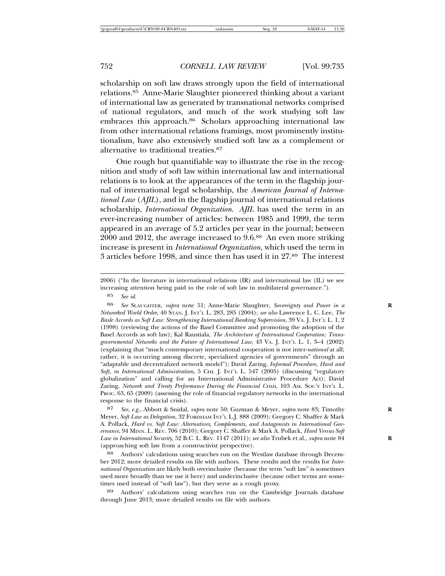scholarship on soft law draws strongly upon the field of international relations.85 Anne-Marie Slaughter pioneered thinking about a variant of international law as generated by transnational networks comprised of national regulators, and much of the work studying soft law embraces this approach.<sup>86</sup> Scholars approaching international law from other international relations framings, most prominently institutionalism, have also extensively studied soft law as a complement or alternative to traditional treaties.87

One rough but quantifiable way to illustrate the rise in the recognition and study of soft law within international law and international relations is to look at the appearances of the term in the flagship journal of international legal scholarship, the *American Journal of International Law* (*AJIL*), and in the flagship journal of international relations scholarship, *International Organization*. *AJIL* has used the term in an ever-increasing number of articles: between 1985 and 1999, the term appeared in an average of 5.2 articles per year in the journal; between 2000 and 2012, the average increased to 9.6.88 An even more striking increase is present in *International Organization*, which used the term in 3 articles before 1998, and since then has used it in 27.89 The interest

87 *See, e.g.*, Abbott & Snidal, *supra* note 50; Guzman & Meyer, *supra* note 83; Timothy **R** Meyer, *Soft Law as Delegation*, 32 FORDHAM INT'L L.J. 888 (2009); Gregory C. Shaffer & Mark A. Pollack, *Hard vs. Soft Law: Alternatives, Complements, and Antagonists in International Governance*, 94 MINN. L. REV. 706 (2010); Gregory C. Shaffer & Mark A. Pollack, *Hard Versus Soft Law in International Security*, 52 B.C. L. REV. 1147 (2011); *see also* Trubek et al., *supra* note 84 **R** (approaching soft law from a constructivist perspective).

88 Authors' calculations using searches run on the Westlaw database through December 2012; more detailed results on file with authors. These results and the results for *International Organization* are likely both overinclusive (because the term "soft law" is sometimes used more broadly than we use it here) and underinclusive (because other terms are sometimes used instead of "soft law"), but they serve as a rough proxy.

Authors' calculations using searches run on the Cambridge Journals database through June 2013; more detailed results on file with authors.

<sup>2006) (&</sup>quot;In the literature in international relations (IR) and international law (IL) we see increasing attention being paid to the role of soft law in multilateral governance.").

<sup>85</sup> *See id.*

<sup>86</sup> *See* SLAUGHTER, *supra* note 51; Anne-Marie Slaughter, *Sovereignty and Power in a* **R** *Networked World Order*, 40 STAN. J. INT'L L. 283, 285 (2004); *see also* Lawrence L. C. Lee, *The Basle Accords as Soft Law: Strengthening International Banking Supervision*, 39 VA. J. INT'L L. 1, 2 (1998) (reviewing the actions of the Basel Committee and promoting the adoption of the Basel Accords as soft law); Kal Raustiala, *The Architecture of International Cooperation: Transgovernmental Networks and the Future of International Law*, 43 VA. J. INT'L L. 1, 3–4 (2002) (explaining that "much contemporary international cooperation is not inter-*national* at all; rather, it is occurring among discrete, specialized agencies of governments" through an "adaptable and decentralized network model"); David Zaring, *Informal Procedure, Hard and Soft, in International Administration*, 5 CHI. J. INT'L L. 547 (2005) (discussing "regulatory globalization" and calling for an International Administrative Procedure Act); David Zaring, *Network and Treaty Performance During the Financial Crisis*, 103 AM. SOC'Y INT'L L. PROC. 63, 65 (2009) (assessing the role of financial regulatory networks in the international response to the financial crisis).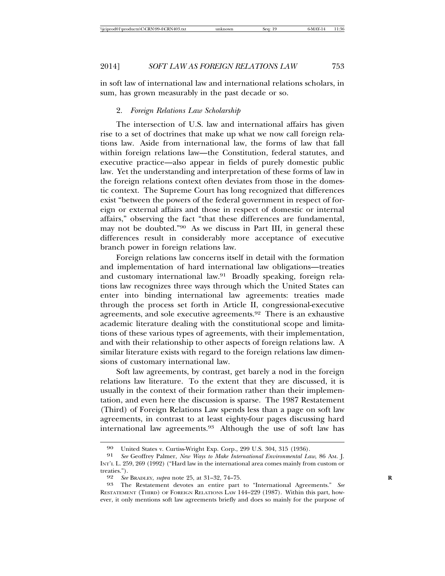in soft law of international law and international relations scholars, in sum, has grown measurably in the past decade or so.

## 2. *Foreign Relations Law Scholarship*

The intersection of U.S. law and international affairs has given rise to a set of doctrines that make up what we now call foreign relations law. Aside from international law, the forms of law that fall within foreign relations law—the Constitution, federal statutes, and executive practice—also appear in fields of purely domestic public law. Yet the understanding and interpretation of these forms of law in the foreign relations context often deviates from those in the domestic context. The Supreme Court has long recognized that differences exist "between the powers of the federal government in respect of foreign or external affairs and those in respect of domestic or internal affairs," observing the fact "that these differences are fundamental, may not be doubted."90 As we discuss in Part III, in general these differences result in considerably more acceptance of executive branch power in foreign relations law.

Foreign relations law concerns itself in detail with the formation and implementation of hard international law obligations—treaties and customary international law.91 Broadly speaking, foreign relations law recognizes three ways through which the United States can enter into binding international law agreements: treaties made through the process set forth in Article II, congressional-executive agreements, and sole executive agreements.92 There is an exhaustive academic literature dealing with the constitutional scope and limitations of these various types of agreements, with their implementation, and with their relationship to other aspects of foreign relations law. A similar literature exists with regard to the foreign relations law dimensions of customary international law.

Soft law agreements, by contrast, get barely a nod in the foreign relations law literature. To the extent that they are discussed, it is usually in the context of their formation rather than their implementation, and even here the discussion is sparse. The 1987 Restatement (Third) of Foreign Relations Law spends less than a page on soft law agreements, in contrast to at least eighty-four pages discussing hard international law agreements.93 Although the use of soft law has

<sup>90</sup> United States v. Curtiss-Wright Exp. Corp., 299 U.S. 304, 315 (1936).<br>91 See Geoffrey Palmer. New Ways to Make International Environmental La

<sup>91</sup> *See* Geoffrey Palmer, *New Ways to Make International Environmental Law*, 86 AM. J. INT'L L. 259, 269 (1992) ("Hard law in the international area comes mainly from custom or treaties.").<br>92  $See$ 

<sup>92</sup> *See* BRADLEY, *supra* note 25, at 31–32, 74–75. **R**

<sup>93</sup> The Restatement devotes an entire part to "International Agreements." *See* RESTATEMENT (THIRD) OF FOREIGN RELATIONS LAW 144–229 (1987). Within this part, however, it only mentions soft law agreements briefly and does so mainly for the purpose of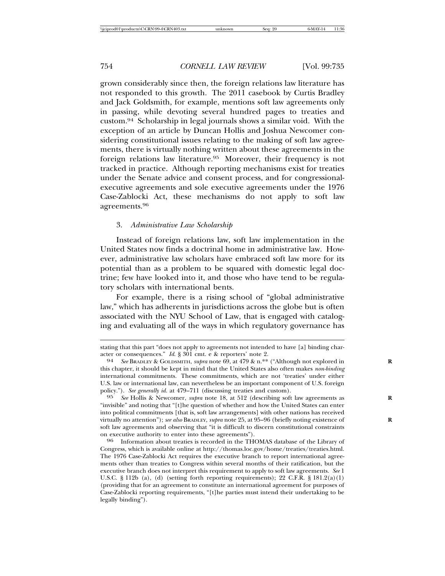grown considerably since then, the foreign relations law literature has not responded to this growth. The 2011 casebook by Curtis Bradley and Jack Goldsmith, for example, mentions soft law agreements only in passing, while devoting several hundred pages to treaties and custom.94 Scholarship in legal journals shows a similar void. With the exception of an article by Duncan Hollis and Joshua Newcomer considering constitutional issues relating to the making of soft law agreements, there is virtually nothing written about these agreements in the foreign relations law literature.95 Moreover, their frequency is not tracked in practice. Although reporting mechanisms exist for treaties under the Senate advice and consent process, and for congressionalexecutive agreements and sole executive agreements under the 1976 Case-Zablocki Act, these mechanisms do not apply to soft law agreements.96

#### 3. *Administrative Law Scholarship*

Instead of foreign relations law, soft law implementation in the United States now finds a doctrinal home in administrative law. However, administrative law scholars have embraced soft law more for its potential than as a problem to be squared with domestic legal doctrine; few have looked into it, and those who have tend to be regulatory scholars with international bents.

For example, there is a rising school of "global administrative law," which has adherents in jurisdictions across the globe but is often associated with the NYU School of Law, that is engaged with cataloging and evaluating all of the ways in which regulatory governance has

stating that this part "does not apply to agreements not intended to have [a] binding character or consequences."  $Id.$  § 301 cmt. e & reporters' note 2.

<sup>&</sup>lt;sup>94</sup> See BRADLEY & GOLDSMITH, *supra* note 69, at 479 & n.\*\* ("Although not explored in this chapter, it should be kept in mind that the United States also often makes *non-binding* international commitments. These commitments, which are not 'treaties' under either U.S. law or international law, can nevertheless be an important component of U.S. foreign policy."). *See generally id.* at 479–711 (discussing treaties and custom).

<sup>95</sup> *See* Hollis & Newcomer, *supra* note 18, at 512 (describing soft law agreements as **R** "invisible" and noting that "[t]he question of whether and how the United States can enter into political commitments [that is, soft law arrangements] with other nations has received virtually no attention"); *see also* BRADLEY, *supra* note 25, at 95–96 (briefly noting existence of **R** soft law agreements and observing that "it is difficult to discern constitutional constraints on executive authority to enter into these agreements").<br><sup>96</sup> Information about treaties is recorded in the THOMAS database of the Library of

Congress, which is available online at http://thomas.loc.gov/home/treaties/treaties.html. The 1976 Case-Zablocki Act requires the executive branch to report international agreements other than treaties to Congress within several months of their ratification, but the executive branch does not interpret this requirement to apply to soft law agreements. *See* 1 U.S.C. § 112b (a), (d) (setting forth reporting requirements); 22 C.F.R. § 181.2(a)(1) (providing that for an agreement to constitute an international agreement for purposes of Case-Zablocki reporting requirements, "[t]he parties must intend their undertaking to be legally binding").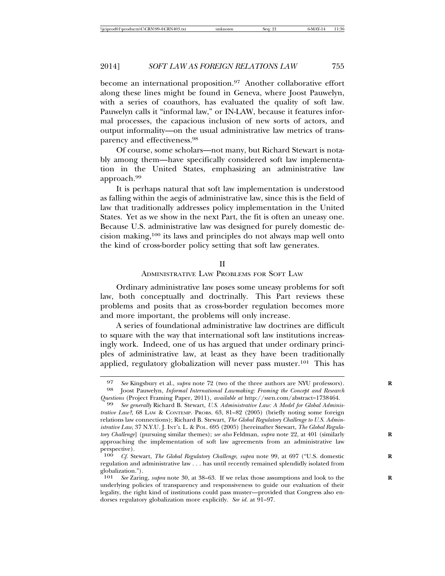become an international proposition.<sup>97</sup> Another collaborative effort along these lines might be found in Geneva, where Joost Pauwelyn, with a series of coauthors, has evaluated the quality of soft law. Pauwelyn calls it "informal law," or IN-LAW, because it features informal processes, the capacious inclusion of new sorts of actors, and output informality—on the usual administrative law metrics of transparency and effectiveness.98

Of course, some scholars—not many, but Richard Stewart is notably among them—have specifically considered soft law implementation in the United States, emphasizing an administrative law approach.99

It is perhaps natural that soft law implementation is understood as falling within the aegis of administrative law, since this is the field of law that traditionally addresses policy implementation in the United States. Yet as we show in the next Part, the fit is often an uneasy one. Because U.S. administrative law was designed for purely domestic decision making,100 its laws and principles do not always map well onto the kind of cross-border policy setting that soft law generates.

#### II

ADMINISTRATIVE LAW PROBLEMS FOR SOFT LAW

Ordinary administrative law poses some uneasy problems for soft law, both conceptually and doctrinally. This Part reviews these problems and posits that as cross-border regulation becomes more and more important, the problems will only increase.

A series of foundational administrative law doctrines are difficult to square with the way that international soft law institutions increasingly work. Indeed, one of us has argued that under ordinary principles of administrative law, at least as they have been traditionally applied, regulatory globalization will never pass muster.101 This has

<sup>97</sup> *See* Kingsbury et al., *supra* note 72 (two of the three authors are NYU professors).<br>98 **Loost Pauwelyn**, *Informal International Lawmaking: Framing the Concept and Research* 98 Joost Pauwelyn, *Informal International Lawmaking: Framing the Concept and Research*

<sup>&</sup>lt;sup>99</sup> See generally Richard B. Stewart, *U.S. Administrative Law: A Model for Global Administrative Law?*, 68 LAW & CONTEMP. PROBS. 63, 81-82 (2005) (briefly noting some foreign relations law connections); Richard B. Stewart, *The Global Regulatory Challenge to U.S. Administrative Law*, 37 N.Y.U. J. INT'L L. & POL. 695 (2005) [hereinafter Stewart, *The Global Regulatory Challenge*] (pursuing similar themes); *see also* Feldman, *supra* note 22, at 401 (similarly approaching the implementation of soft law agreements from an administrative law perspective).

<sup>100</sup> *Cf.* Stewart, *The Global Regulatory Challenge*, *supra* note 99, at 697 ("U.S. domestic **R** regulation and administrative law . . . has until recently remained splendidly isolated from globalization.").<br> $101 \, \text{See}$  Zarin

See Zaring, *supra* note 30, at 38–63. If we relax those assumptions and look to the underlying policies of transparency and responsiveness to guide our evaluation of their legality, the right kind of institutions could pass muster—provided that Congress also endorses regulatory globalization more explicitly. *See id.* at 91–97.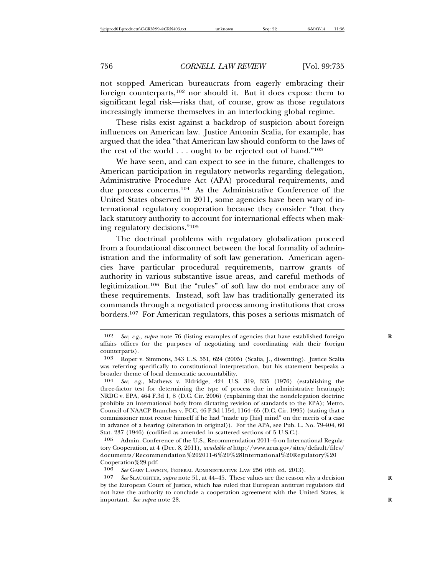not stopped American bureaucrats from eagerly embracing their foreign counterparts,102 nor should it. But it does expose them to significant legal risk—risks that, of course, grow as those regulators increasingly immerse themselves in an interlocking global regime.

These risks exist against a backdrop of suspicion about foreign influences on American law. Justice Antonin Scalia, for example, has argued that the idea "that American law should conform to the laws of the rest of the world . . . ought to be rejected out of hand."103

We have seen, and can expect to see in the future, challenges to American participation in regulatory networks regarding delegation, Administrative Procedure Act (APA) procedural requirements, and due process concerns.104 As the Administrative Conference of the United States observed in 2011, some agencies have been wary of international regulatory cooperation because they consider "that they lack statutory authority to account for international effects when making regulatory decisions."105

The doctrinal problems with regulatory globalization proceed from a foundational disconnect between the local formality of administration and the informality of soft law generation. American agencies have particular procedural requirements, narrow grants of authority in various substantive issue areas, and careful methods of legitimization.106 But the "rules" of soft law do not embrace any of these requirements. Instead, soft law has traditionally generated its commands through a negotiated process among institutions that cross borders.107 For American regulators, this poses a serious mismatch of

See GARY LAWSON, FEDERAL ADMINISTRATIVE LAW 256 (6th ed. 2013).

107 *See* SLAUGHTER, *supra* note 51, at 44–45. These values are the reason why a decision **R** by the European Court of Justice, which has ruled that European antitrust regulators did not have the authority to conclude a cooperation agreement with the United States, is important. *See supra* note 28. **R**

<sup>102</sup> *See, e.g.*, *supra* note 76 (listing examples of agencies that have established foreign **R** affairs offices for the purposes of negotiating and coordinating with their foreign counterparts).

<sup>103</sup> Roper v. Simmons, 543 U.S. 551, 624 (2005) (Scalia, J., dissenting). Justice Scalia was referring specifically to constitutional interpretation, but his statement bespeaks a broader theme of local democratic accountability.

<sup>104</sup> *See, e.g.*, Mathews v. Eldridge, 424 U.S. 319, 335 (1976) (establishing the three-factor test for determining the type of process due in administrative hearings); NRDC v. EPA, 464 F.3d 1, 8 (D.C. Cir. 2006) (explaining that the nondelegation doctrine prohibits an international body from dictating revision of standards to the EPA); Metro. Council of NAACP Branches v. FCC, 46 F.3d 1154, 1164–65 (D.C. Cir. 1995) (stating that a commissioner must recuse himself if he had "made up [his] mind" on the merits of a case in advance of a hearing (alteration in original)). For the APA, see Pub. L. No. 79-404, 60 Stat. 237 (1946) (codified as amended in scattered sections of 5 U.S.C.).

<sup>105</sup> Admin. Conference of the U.S., Recommendation 2011–6 on International Regulatory Cooperation, at 4 (Dec. 8, 2011), *available at* http://www.acus.gov/sites/default/files/ documents/Recommendation%202011-6%20%28International%20Regulatory%20 Cooperation%29.pdf.<br>106 See GARY LAWS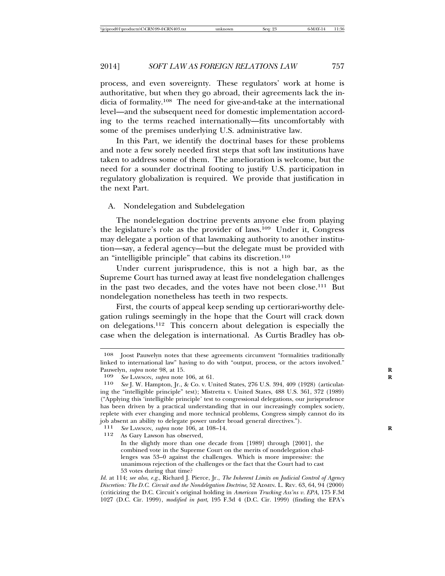process, and even sovereignty. These regulators' work at home is authoritative, but when they go abroad, their agreements lack the indicia of formality.108 The need for give-and-take at the international level—and the subsequent need for domestic implementation according to the terms reached internationally—fits uncomfortably with some of the premises underlying U.S. administrative law.

In this Part, we identify the doctrinal bases for these problems and note a few sorely needed first steps that soft law institutions have taken to address some of them. The amelioration is welcome, but the need for a sounder doctrinal footing to justify U.S. participation in regulatory globalization is required. We provide that justification in the next Part.

#### A. Nondelegation and Subdelegation

The nondelegation doctrine prevents anyone else from playing the legislature's role as the provider of laws.109 Under it, Congress may delegate a portion of that lawmaking authority to another institution—say, a federal agency—but the delegate must be provided with an "intelligible principle" that cabins its discretion.<sup>110</sup>

Under current jurisprudence, this is not a high bar, as the Supreme Court has turned away at least five nondelegation challenges in the past two decades, and the votes have not been close.111 But nondelegation nonetheless has teeth in two respects.

First, the courts of appeal keep sending up certiorari-worthy delegation rulings seemingly in the hope that the Court will crack down on delegations.112 This concern about delegation is especially the case when the delegation is international. As Curtis Bradley has ob-

111 *See Lawson, supra* note 106, at 108–14.<br>112 As Gary Lawson has observed

As Gary Lawson has observed,

In the slightly more than one decade from [1989] through [2001], the combined vote in the Supreme Court on the merits of nondelegation challenges was 53–0 against the challenges. Which is more impressive: the unanimous rejection of the challenges or the fact that the Court had to cast 53 votes during that time?

<sup>108</sup> Joost Pauwelyn notes that these agreements circumvent "formalities traditionally linked to international law" having to do with "output, process, or the actors involved." Pauwelyn, *supra* note 98, at 15.<br>109 *See LAWSON subra* note

<sup>109</sup> *See* Lawson, *supra* note 106, at 61.<br>110 *See* I. W. Hampton, Ir., & Co. v. Ur.

See J. W. Hampton, Jr., & Co. v. United States, 276 U.S. 394, 409 (1928) (articulating the "intelligible principle" test); Mistretta v. United States, 488 U.S. 361, 372 (1989) ("Applying this 'intelligible principle' test to congressional delegations, our jurisprudence has been driven by a practical understanding that in our increasingly complex society, replete with ever changing and more technical problems, Congress simply cannot do its job absent an ability to delegate power under broad general directives.").<br> $111 \text{ }$ See LAWSON, subra note 106 at 108–14

*Id.* at 114; *see also, e.g.*, Richard J. Pierce, Jr., *The Inherent Limits on Judicial Control of Agency Discretion: The D.C. Circuit and the Nondelegation Doctrine*, 52 ADMIN. L. REV. 63, 64, 94 (2000) (criticizing the D.C. Circuit's original holding in *American Trucking Ass'ns v. EPA*, 175 F.3d 1027 (D.C. Cir. 1999), *modified in part*, 195 F.3d 4 (D.C. Cir. 1999) (finding the EPA's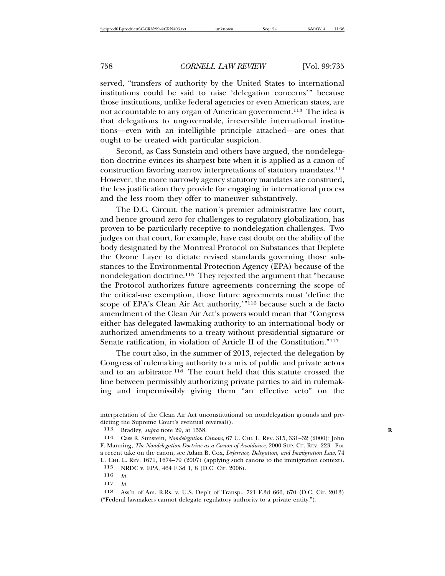served, "transfers of authority by the United States to international institutions could be said to raise 'delegation concerns'" because those institutions, unlike federal agencies or even American states, are not accountable to any organ of American government.113 The idea is that delegations to ungovernable, irreversible international institutions—even with an intelligible principle attached—are ones that ought to be treated with particular suspicion.

Second, as Cass Sunstein and others have argued, the nondelegation doctrine evinces its sharpest bite when it is applied as a canon of construction favoring narrow interpretations of statutory mandates.114 However, the more narrowly agency statutory mandates are construed, the less justification they provide for engaging in international process and the less room they offer to maneuver substantively.

The D.C. Circuit, the nation's premier administrative law court, and hence ground zero for challenges to regulatory globalization, has proven to be particularly receptive to nondelegation challenges. Two judges on that court, for example, have cast doubt on the ability of the body designated by the Montreal Protocol on Substances that Deplete the Ozone Layer to dictate revised standards governing those substances to the Environmental Protection Agency (EPA) because of the nondelegation doctrine.115 They rejected the argument that "because the Protocol authorizes future agreements concerning the scope of the critical-use exemption, those future agreements must 'define the scope of EPA's Clean Air Act authority,'"116 because such a de facto amendment of the Clean Air Act's powers would mean that "Congress either has delegated lawmaking authority to an international body or authorized amendments to a treaty without presidential signature or Senate ratification, in violation of Article II of the Constitution."117

The court also, in the summer of 2013, rejected the delegation by Congress of rulemaking authority to a mix of public and private actors and to an arbitrator.118 The court held that this statute crossed the line between permissibly authorizing private parties to aid in rulemaking and impermissibly giving them "an effective veto" on the

interpretation of the Clean Air Act unconstitutional on nondelegation grounds and predicting the Supreme Court's eventual reversal)).

<sup>113</sup> Bradley, *supra* note 29, at 1558. **R**

<sup>114</sup> Cass R. Sunstein, *Nondelegation Canons*, 67 U. CHI. L. REV. 315, 331–32 (2000); John F. Manning, *The Nondelegation Doctrine as a Canon of Avoidance*, 2000 SUP. CT. REV. 223. For a recent take on the canon, see Adam B. Cox, *Deference, Delegation, and Immigration Law*, 74 U. CHI. L. REV. 1671, 1674–79 (2007) (applying such canons to the immigration context).

<sup>115</sup> NRDC v. EPA, 464 F.3d 1, 8 (D.C. Cir. 2006).

<sup>116</sup> *Id.*

<sup>117</sup> *Id.*

<sup>118</sup> Ass'n of Am. R.Rs. v. U.S. Dep't of Transp., 721 F.3d 666, 670 (D.C. Cir. 2013) ("Federal lawmakers cannot delegate regulatory authority to a private entity.").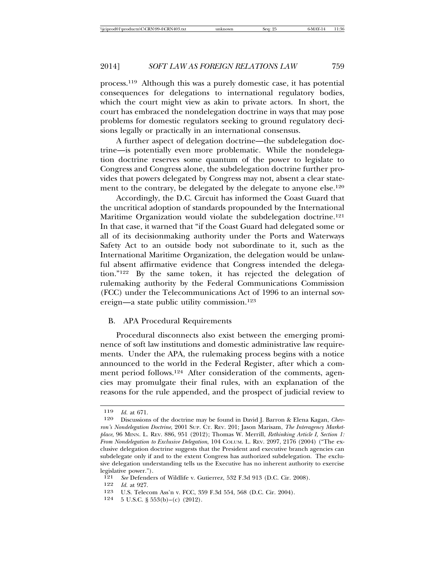process.119 Although this was a purely domestic case, it has potential consequences for delegations to international regulatory bodies, which the court might view as akin to private actors. In short, the court has embraced the nondelegation doctrine in ways that may pose problems for domestic regulators seeking to ground regulatory decisions legally or practically in an international consensus.

A further aspect of delegation doctrine—the subdelegation doctrine—is potentially even more problematic. While the nondelegation doctrine reserves some quantum of the power to legislate to Congress and Congress alone, the subdelegation doctrine further provides that powers delegated by Congress may not, absent a clear statement to the contrary, be delegated by the delegate to anyone else.<sup>120</sup>

Accordingly, the D.C. Circuit has informed the Coast Guard that the uncritical adoption of standards propounded by the International Maritime Organization would violate the subdelegation doctrine.<sup>121</sup> In that case, it warned that "if the Coast Guard had delegated some or all of its decisionmaking authority under the Ports and Waterways Safety Act to an outside body not subordinate to it, such as the International Maritime Organization, the delegation would be unlawful absent affirmative evidence that Congress intended the delegation."122 By the same token, it has rejected the delegation of rulemaking authority by the Federal Communications Commission (FCC) under the Telecommunications Act of 1996 to an internal sovereign—a state public utility commission.123

# B. APA Procedural Requirements

Procedural disconnects also exist between the emerging prominence of soft law institutions and domestic administrative law requirements. Under the APA, the rulemaking process begins with a notice announced to the world in the Federal Register, after which a comment period follows.124 After consideration of the comments, agencies may promulgate their final rules, with an explanation of the reasons for the rule appended, and the prospect of judicial review to

<sup>119</sup> *Id.* at 671.

Discussions of the doctrine may be found in David J. Barron & Elena Kagan, *Chevron's Nondelegation Doctrine*, 2001 SUP. CT. REV. 201; Jason Marisam, *The Interagency Marketplace*, 96 MINN. L. REV. 886, 951 (2012); Thomas W. Merrill, *Rethinking Article I, Section 1: From Nondelegation to Exclusive Delegation*, 104 COLUM. L. REV. 2097, 2176 (2004) ("The exclusive delegation doctrine suggests that the President and executive branch agencies can subdelegate only if and to the extent Congress has authorized subdelegation. The exclusive delegation understanding tells us the Executive has no inherent authority to exercise legislative power.").<br>121 See Defender

<sup>121</sup> *See* Defenders of Wildlife v. Gutierrez, 532 F.3d 913 (D.C. Cir. 2008).<br>122 *Id.* at 927

<sup>122</sup> *Id.* at 927.

<sup>123</sup> U.S. Telecom Ass'n v. FCC, 359 F.3d 554, 568 (D.C. Cir. 2004).<br>124 5 U.S.C. 8 553(b) (c) (2012).

<sup>5</sup> U.S.C. § 553(b)–(c) (2012).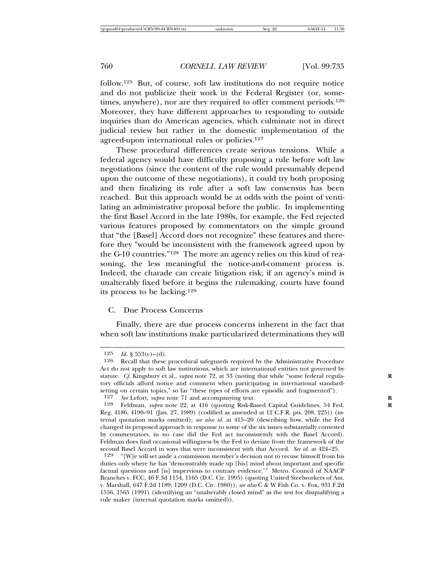follow.125 But, of course, soft law institutions do not require notice and do not publicize their work in the Federal Register (or, sometimes, anywhere), nor are they required to offer comment periods.<sup>126</sup> Moreover, they have different approaches to responding to outside inquiries than do American agencies, which culminate not in direct judicial review but rather in the domestic implementation of the agreed-upon international rules or policies.127

These procedural differences create serious tensions. While a federal agency would have difficulty proposing a rule before soft law negotiations (since the content of the rule would presumably depend upon the outcome of these negotiations), it could try both proposing and then finalizing its rule after a soft law consensus has been reached. But this approach would be at odds with the point of ventilating an administrative proposal before the public. In implementing the first Basel Accord in the late 1980s, for example, the Fed rejected various features proposed by commentators on the simple ground that "the [Basel] Accord does not recognize" these features and therefore they "would be inconsistent with the framework agreed upon by the G-10 countries."128 The more an agency relies on this kind of reasoning, the less meaningful the notice-and-comment process is. Indeed, the charade can create litigation risk; if an agency's mind is unalterably fixed before it begins the rulemaking, courts have found its process to be lacking.129

## C. Due Process Concerns

Finally, there are due process concerns inherent in the fact that when soft law institutions make particularized determinations they will

<sup>125</sup> *Id.* § 553(c)–(d).<br>126 **Recall that these** 

Recall that these procedural safeguards required by the Administrative Procedure Act do not apply to soft law institutions, which are international entities not governed by statute. *Cf.* Kingsbury et al., *supra* note 72, at 33 (noting that while "some federal regulatory officials afford notice and comment when participating in international standardsetting on certain topics," so far "these types of efforts are episodic and fragmented").<br> $\frac{127}{8}$  See Lefort, subra note 71 and accompanying text

<sup>127</sup> *See* Lefort, *supra* note 71 and accompanying text.<br>128 **Feldman** *supra* note 22 at 416 (quoting Risk-Re

Feldman, *supra* note 22, at 416 (quoting Risk-Based Capital Guidelines, 54 Fed. Reg. 4186, 4190–91 (Jan. 27, 1989) (codified as amended at 12 C.F.R. pts. 208, 225)) (internal quotation marks omitted); *see also id.* at 415–20 (describing how, while the Fed changed its proposed approach in response to some of the six issues substantially contested by commentators, in no case did the Fed act inconsistently with the Basel Accord). Feldman does find occasional willingness by the Fed to deviate from the framework of the second Basel Accord in ways that were inconsistent with that Accord. *See id.* at 424–25.

<sup>129</sup> "[W]e will set aside a commission member's decision not to recuse himself from his duties only where he has 'demonstrably made up [his] mind about important and specific factual questions and [is] impervious to contrary evidence.'" Metro. Council of NAACP Branches v. FCC, 46 F.3d 1154, 1165 (D.C. Cir. 1995) (quoting United Steelworkers of Am. v. Marshall, 647 F.2d 1189, 1209 (D.C. Cir. 1980)); *see also* C & W Fish Co. v. Fox, 931 F.2d 1556, 1565 (1991) (identifying an "unalterably closed mind" as the test for disqualifying a rule maker (internal quotation marks omitted)).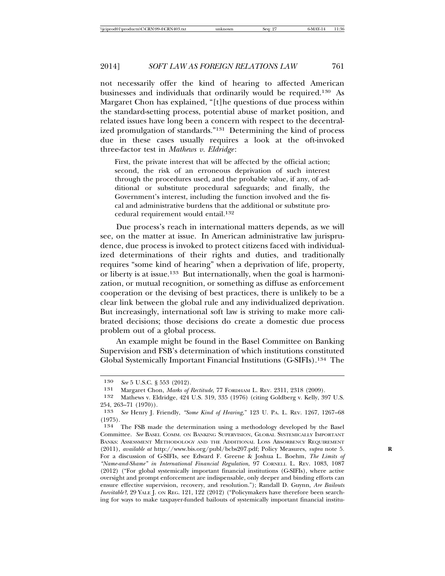not necessarily offer the kind of hearing to affected American businesses and individuals that ordinarily would be required.130 As Margaret Chon has explained, "[t]he questions of due process within the standard-setting process, potential abuse of market position, and related issues have long been a concern with respect to the decentralized promulgation of standards."131 Determining the kind of process due in these cases usually requires a look at the oft-invoked three-factor test in *Mathews v. Eldridge*:

First, the private interest that will be affected by the official action; second, the risk of an erroneous deprivation of such interest through the procedures used, and the probable value, if any, of additional or substitute procedural safeguards; and finally, the Government's interest, including the function involved and the fiscal and administrative burdens that the additional or substitute procedural requirement would entail.132

Due process's reach in international matters depends, as we will see, on the matter at issue. In American administrative law jurisprudence, due process is invoked to protect citizens faced with individualized determinations of their rights and duties, and traditionally requires "some kind of hearing" when a deprivation of life, property, or liberty is at issue.133 But internationally, when the goal is harmonization, or mutual recognition, or something as diffuse as enforcement cooperation or the devising of best practices, there is unlikely to be a clear link between the global rule and any individualized deprivation. But increasingly, international soft law is striving to make more calibrated decisions; those decisions do create a domestic due process problem out of a global process.

An example might be found in the Basel Committee on Banking Supervision and FSB's determination of which institutions constituted Global Systemically Important Financial Institutions (G-SIFIs).134 The

<sup>130</sup> *See* 5 U.S.C. § 553 (2012).

<sup>131</sup> Margaret Chon, *Marks of Rectitude*, 77 FORDHAM L. REV. 2311, 2318 (2009).

Mathews v. Eldridge, 424 U.S. 319, 335 (1976) (citing Goldberg v. Kelly, 397 U.S. 254, 263–71  $(1970)$ ).<br>133 *See* Henry I. I

<sup>133</sup> *See* Henry J. Friendly, *"Some Kind of Hearing*," 123 U. PA. L. REV. 1267, 1267–68  $(1975).$ <br>134

The FSB made the determination using a methodology developed by the Basel Committee. *See* BASEL COMM. ON BANKING SUPERVISION, GLOBAL SYSTEMICALLY IMPORTANT BANKS: ASSESSMENT METHODOLOGY AND THE ADDITIONAL LOSS ABSORBENCY REQUIREMENT (2011), *available at* http://www.bis.org/publ/bcbs207.pdf; Policy Measures, *supra* note 5. **R** For a discussion of G-SIFIs, see Edward F. Greene & Joshua L. Boehm, *The Limits of "Name-and-Shame" in International Financial Regulation*, 97 CORNELL L. REV. 1083, 1087 (2012) ("For global systemically important financial institutions (G-SIFIs), where active oversight and prompt enforcement are indispensable, only deeper and binding efforts can ensure effective supervision, recovery, and resolution."); Randall D. Guynn, *Are Bailouts Inevitable?*, 29 YALE J. ON REG. 121, 122 (2012) ("Policymakers have therefore been searching for ways to make taxpayer-funded bailouts of systemically important financial institu-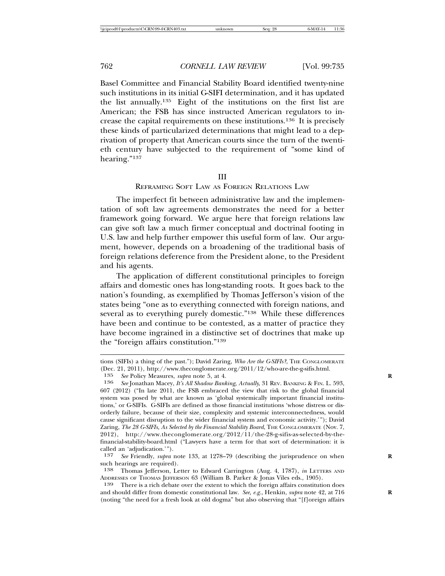Basel Committee and Financial Stability Board identified twenty-nine such institutions in its initial G-SIFI determination, and it has updated the list annually.135 Eight of the institutions on the first list are American; the FSB has since instructed American regulators to increase the capital requirements on these institutions.136 It is precisely these kinds of particularized determinations that might lead to a deprivation of property that American courts since the turn of the twentieth century have subjected to the requirement of "some kind of hearing."137

#### III

#### REFRAMING SOFT LAW AS FOREIGN RELATIONS LAW

The imperfect fit between administrative law and the implementation of soft law agreements demonstrates the need for a better framework going forward. We argue here that foreign relations law can give soft law a much firmer conceptual and doctrinal footing in U.S. law and help further empower this useful form of law. Our argument, however, depends on a broadening of the traditional basis of foreign relations deference from the President alone, to the President and his agents.

The application of different constitutional principles to foreign affairs and domestic ones has long-standing roots. It goes back to the nation's founding, as exemplified by Thomas Jefferson's vision of the states being "one as to everything connected with foreign nations, and several as to everything purely domestic."138 While these differences have been and continue to be contested, as a matter of practice they have become ingrained in a distinctive set of doctrines that make up the "foreign affairs constitution."139

tions (SIFIs) a thing of the past."); David Zaring, *Who Are the G-SIFIs?*, THE CONGLOMERATE (Dec. 21, 2011), http://www.theconglomerate.org/2011/12/who-are-the-g-sifis.html.

<sup>135</sup> *See* Policy Measures, *supra* note 5, at 4. **R**

<sup>136</sup> *See* Jonathan Macey, *It's All Shadow Banking, Actually*, 31 REV. BANKING & FIN. L. 593, 607 (2012) ("In late 2011, the FSB embraced the view that risk to the global financial system was posed by what are known as 'global systemically important financial institutions,' or G-SIFIs. G-SIFIs are defined as those financial institutions 'whose distress or disorderly failure, because of their size, complexity and systemic interconnectedness, would cause significant disruption to the wider financial system and economic activity.'"); David Zaring, *The 28 G-SIFIs, As Selected by the Financial Stability Board*, THE CONGLOMERATE (Nov. 7, 2012), http://www.theconglomerate.org/2012/11/the-28-g-sifis-as-selected-by-thefinancial-stability-board.html ("Lawyers have a term for that sort of determination: it is called an 'adjudication.'").

<sup>137</sup> *See* Friendly, *supra* note 133, at 1278–79 (describing the jurisprudence on when **R** such hearings are required).

<sup>138</sup> Thomas Jefferson, Letter to Edward Carrington (Aug. 4, 1787), *in* LETTERS AND ADDRESSES OF THOMAS JEFFERSON 63 (William B. Parker & Jonas Viles eds., 1905).

<sup>139</sup> There is a rich debate over the extent to which the foreign affairs constitution does and should differ from domestic constitutional law. See, e.g., Henkin, *supra* note 42, at 716 (noting "the need for a fresh look at old dogma" but also observing that "[f]oreign affairs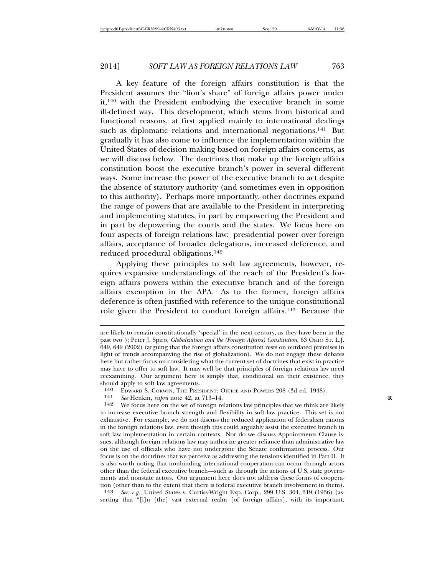A key feature of the foreign affairs constitution is that the President assumes the "lion's share" of foreign affairs power under it,140 with the President embodying the executive branch in some ill-defined way. This development, which stems from historical and functional reasons, at first applied mainly to international dealings such as diplomatic relations and international negotiations.<sup>141</sup> But gradually it has also come to influence the implementation within the United States of decision making based on foreign affairs concerns, as we will discuss below. The doctrines that make up the foreign affairs constitution boost the executive branch's power in several different ways. Some increase the power of the executive branch to act despite the absence of statutory authority (and sometimes even in opposition to this authority). Perhaps more importantly, other doctrines expand the range of powers that are available to the President in interpreting and implementing statutes, in part by empowering the President and in part by depowering the courts and the states. We focus here on four aspects of foreign relations law: presidential power over foreign affairs, acceptance of broader delegations, increased deference, and reduced procedural obligations.142

Applying these principles to soft law agreements, however, requires expansive understandings of the reach of the President's foreign affairs powers within the executive branch and of the foreign affairs exemption in the APA. As to the former, foreign affairs deference is often justified with reference to the unique constitutional role given the President to conduct foreign affairs.143 Because the

143 *See, e.g.*, United States v. Curtiss-Wright Exp. Corp., 299 U.S. 304, 319 (1936) (asserting that "[i]n [the] vast external realm [of foreign affairs], with its important,

are likely to remain constitutionally 'special' in the next century, as they have been in the past two"); Peter J. Spiro, *Globalization and the (Foreign Affairs) Constitution*, 63 OHIO ST. L.J. 649, 649 (2002) (arguing that the foreign affairs constitution rests on outdated premises in light of trends accompanying the rise of globalization). We do not engage these debates here but rather focus on considering what the current set of doctrines that exist in practice may have to offer to soft law. It may well be that principles of foreign relations law need reexamining. Our argument here is simply that, conditional on their existence, they should apply to soft law agreements.<br>140 FDWARD S CORWIN THE PRES

<sup>140</sup> EDWARD S. CORWIN, THE PRESIDENT: OFFICE AND POWERS 208 (3d ed. 1948).<br>
141 *See* Henkin, *supra* note 42, at 713–14.<br>
142 **We focus here on the set of foreign relations law principles that we think are** 

We focus here on the set of foreign relations law principles that we think are likely to increase executive branch strength and flexibility in soft law practice. This set is not exhaustive. For example, we do not discuss the reduced application of federalism canons in the foreign relations law, even though this could arguably assist the executive branch in soft law implementation in certain contexts. Nor do we discuss Appointments Clause issues, although foreign relations law may authorize greater reliance than administrative law on the use of officials who have not undergone the Senate confirmation process. Our focus is on the doctrines that we perceive as addressing the tensions identified in Part II. It is also worth noting that nonbinding international cooperation can occur through actors other than the federal executive branch—such as through the actions of U.S. state governments and nonstate actors. Our argument here does not address these forms of cooperation (other than to the extent that there is federal executive branch involvement in them).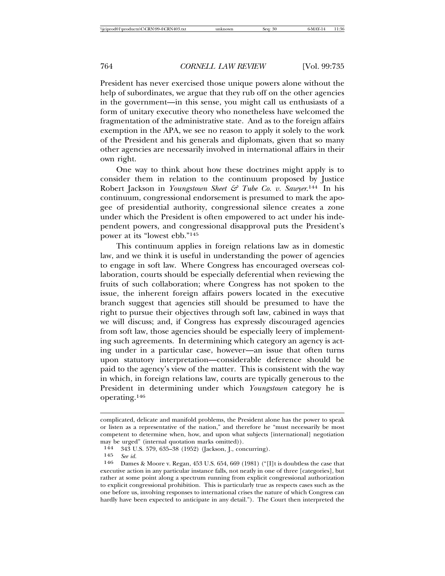President has never exercised those unique powers alone without the help of subordinates, we argue that they rub off on the other agencies in the government—in this sense, you might call us enthusiasts of a form of unitary executive theory who nonetheless have welcomed the fragmentation of the administrative state. And as to the foreign affairs exemption in the APA, we see no reason to apply it solely to the work of the President and his generals and diplomats, given that so many other agencies are necessarily involved in international affairs in their own right.

One way to think about how these doctrines might apply is to consider them in relation to the continuum proposed by Justice Robert Jackson in *Youngstown Sheet & Tube Co. v. Sawyer*.<sup>144</sup> In his continuum, congressional endorsement is presumed to mark the apogee of presidential authority, congressional silence creates a zone under which the President is often empowered to act under his independent powers, and congressional disapproval puts the President's power at its "lowest ebb."145

This continuum applies in foreign relations law as in domestic law, and we think it is useful in understanding the power of agencies to engage in soft law. Where Congress has encouraged overseas collaboration, courts should be especially deferential when reviewing the fruits of such collaboration; where Congress has not spoken to the issue, the inherent foreign affairs powers located in the executive branch suggest that agencies still should be presumed to have the right to pursue their objectives through soft law, cabined in ways that we will discuss; and, if Congress has expressly discouraged agencies from soft law, those agencies should be especially leery of implementing such agreements. In determining which category an agency is acting under in a particular case, however—an issue that often turns upon statutory interpretation—considerable deference should be paid to the agency's view of the matter. This is consistent with the way in which, in foreign relations law, courts are typically generous to the President in determining under which *Youngstown* category he is operating.146

complicated, delicate and manifold problems, the President alone has the power to speak or listen as a representative of the nation," and therefore he "must necessarily be most competent to determine when, how, and upon what subjects [international] negotiation may be urged" (internal quotation marks omitted)).<br> $144 - 343$  U.S. 579–635–38 (1952) (Jackson L. con

<sup>144 343</sup> U.S. 579, 635–38 (1952) (Jackson, J., concurring).<br>145 See id

<sup>145</sup> *See id.*

Dames & Moore v. Regan,  $453$  U.S.  $654$ ,  $669$  (1981) ("[I]t is doubtless the case that executive action in any particular instance falls, not neatly in one of three [categories], but rather at some point along a spectrum running from explicit congressional authorization to explicit congressional prohibition. This is particularly true as respects cases such as the one before us, involving responses to international crises the nature of which Congress can hardly have been expected to anticipate in any detail."). The Court then interpreted the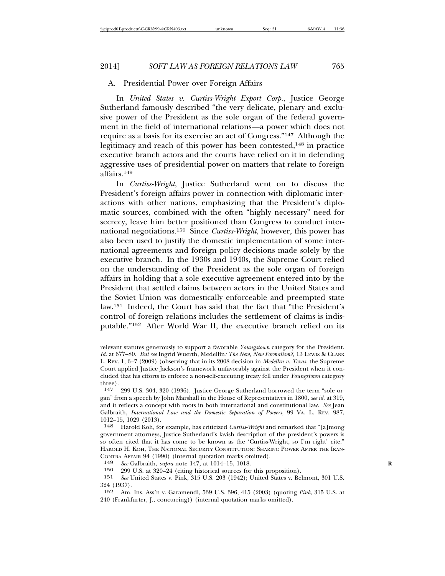#### A. Presidential Power over Foreign Affairs

In *United States v. Curtiss-Wright Export Corp.*, Justice George Sutherland famously described "the very delicate, plenary and exclusive power of the President as the sole organ of the federal government in the field of international relations—a power which does not require as a basis for its exercise an act of Congress."147 Although the legitimacy and reach of this power has been contested,148 in practice executive branch actors and the courts have relied on it in defending aggressive uses of presidential power on matters that relate to foreign affairs.149

In *Curtiss-Wright*, Justice Sutherland went on to discuss the President's foreign affairs power in connection with diplomatic interactions with other nations, emphasizing that the President's diplomatic sources, combined with the often "highly necessary" need for secrecy, leave him better positioned than Congress to conduct international negotiations.150 Since *Curtiss-Wright*, however, this power has also been used to justify the domestic implementation of some international agreements and foreign policy decisions made solely by the executive branch. In the 1930s and 1940s, the Supreme Court relied on the understanding of the President as the sole organ of foreign affairs in holding that a sole executive agreement entered into by the President that settled claims between actors in the United States and the Soviet Union was domestically enforceable and preempted state law.151 Indeed, the Court has said that the fact that "the President's control of foreign relations includes the settlement of claims is indisputable."152 After World War II, the executive branch relied on its

relevant statutes generously to support a favorable *Youngstown* category for the President. *Id.* at 677–80. *But see* Ingrid Wuerth, Medell´ın*: The New, New Formalism?*, 13 LEWIS & CLARK L. Rev. 1, 6–7 (2009) (observing that in its 2008 decision in *Medellín v. Texas*, the Supreme Court applied Justice Jackson's framework unfavorably against the President when it concluded that his efforts to enforce a non-self-executing treaty fell under *Youngstown* category three).

<sup>147</sup> 299 U.S. 304, 320 (1936). Justice George Sutherland borrowed the term "sole organ" from a speech by John Marshall in the House of Representatives in 1800, *see id*. at 319, and it reflects a concept with roots in both international and constitutional law. *See* Jean Galbraith, *International Law and the Domestic Separation of Powers*, 99 VA. L. REV. 987, 1012–15, 1029 (2013).

<sup>148</sup> Harold Koh, for example, has criticized *Curtiss-Wright* and remarked that "[a]mong government attorneys, Justice Sutherland's lavish description of the president's powers is so often cited that it has come to be known as the 'Curtiss-Wright, so I'm right' cite." HAROLD H. KOH, THE NATIONAL SECURITY CONSTITUTION: SHARING POWER AFTER THE IRAN-CONTRA AFFAIR 94 (1990) (internal quotation marks omitted).<br>149 See Galbraith subra note 147 at 1014–15 1018

<sup>149</sup> *See* Galbraith, *supra* note 147, at 1014–15, 1018. **R**

<sup>150 299</sup> U.S. at 320–24 (citing historical sources for this proposition).<br>151 See United States v. Pink. 315 U.S. 203 (1942): United States v. Be

<sup>151</sup> *See* United States v. Pink, 315 U.S. 203 (1942); United States v. Belmont, 301 U.S.  $324$  (1937).<br>152 Am.

<sup>152</sup> Am. Ins. Ass'n v. Garamendi, 539 U.S. 396, 415 (2003) (quoting *Pink*, 315 U.S. at 240 (Frankfurter, J., concurring)) (internal quotation marks omitted).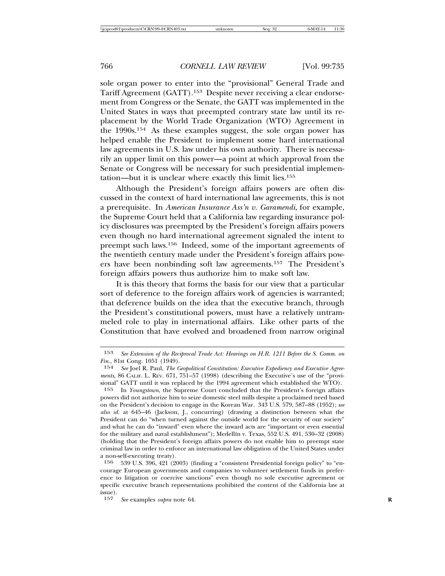sole organ power to enter into the "provisional" General Trade and Tariff Agreement (GATT).153 Despite never receiving a clear endorsement from Congress or the Senate, the GATT was implemented in the United States in ways that preempted contrary state law until its replacement by the World Trade Organization (WTO) Agreement in the 1990s.154 As these examples suggest, the sole organ power has helped enable the President to implement some hard international law agreements in U.S. law under his own authority. There is necessarily an upper limit on this power—a point at which approval from the Senate or Congress will be necessary for such presidential implementation—but it is unclear where exactly this limit lies.155

Although the President's foreign affairs powers are often discussed in the context of hard international law agreements, this is not a prerequisite. In *American Insurance Ass'n v. Garamendi*, for example, the Supreme Court held that a California law regarding insurance policy disclosures was preempted by the President's foreign affairs powers even though no hard international agreement signaled the intent to preempt such laws.156 Indeed, some of the important agreements of the twentieth century made under the President's foreign affairs powers have been nonbinding soft law agreements.157 The President's foreign affairs powers thus authorize him to make soft law.

It is this theory that forms the basis for our view that a particular sort of deference to the foreign affairs work of agencies is warranted; that deference builds on the idea that the executive branch, through the President's constitutional powers, must have a relatively untrammeled role to play in international affairs. Like other parts of the Constitution that have evolved and broadened from narrow original

<sup>153</sup> *See Extension of the Reciprocal Trade Act: Hearings on H.R. 1211 Before the S. Comm. on Fin.*, 81st Cong. 1051 (1949).<br>154 *See* Joel R. Paul. *The G.* 

<sup>154</sup> *See* Joel R. Paul, *The Geopolitical Constitution: Executive Expediency and Executive Agreements*, 86 CALIF. L. REV. 671, 751–57 (1998) (describing the Executive's use of the "provisional" GATT until it was replaced by the 1994 agreement which established the WTO).

<sup>155</sup> In *Youngstown*, the Supreme Court concluded that the President's foreign affairs powers did not authorize him to seize domestic steel mills despite a proclaimed need based on the President's decision to engage in the Korean War. 343 U.S. 579, 587–88 (1952); *see also id.* at 645–46 (Jackson, J., concurring) (drawing a distinction between what the President can do "when turned against the outside world for the security of our society" and what he can do "inward" even where the inward acts are "important or even essential for the military and naval establishment"); Medellín v. Texas, 552 U.S. 491, 530–32 (2008) (holding that the President's foreign affairs powers do not enable him to preempt state criminal law in order to enforce an international law obligation of the United States under a non-self-executing treaty).<br> $156$  539 U.S. 396, 491 (9)

<sup>156</sup> 539 U.S. 396, 421 (2003) (finding a "consistent Presidential foreign policy" to "encourage European governments and companies to volunteer settlement funds in preference to litigation or coercive sanctions" even though no sole executive agreement or specific executive branch representations prohibited the content of the California law at issue).

<sup>157</sup> *See* examples *supra* note 64.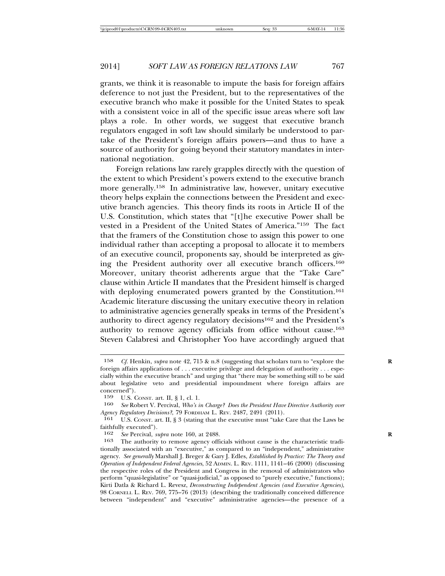grants, we think it is reasonable to impute the basis for foreign affairs deference to not just the President, but to the representatives of the executive branch who make it possible for the United States to speak with a consistent voice in all of the specific issue areas where soft law plays a role. In other words, we suggest that executive branch regulators engaged in soft law should similarly be understood to partake of the President's foreign affairs powers—and thus to have a source of authority for going beyond their statutory mandates in international negotiation.

Foreign relations law rarely grapples directly with the question of the extent to which President's powers extend to the executive branch more generally.158 In administrative law, however, unitary executive theory helps explain the connections between the President and executive branch agencies. This theory finds its roots in Article II of the U.S. Constitution, which states that "[t]he executive Power shall be vested in a President of the United States of America."159 The fact that the framers of the Constitution chose to assign this power to one individual rather than accepting a proposal to allocate it to members of an executive council, proponents say, should be interpreted as giving the President authority over all executive branch officers.160 Moreover, unitary theorist adherents argue that the "Take Care" clause within Article II mandates that the President himself is charged with deploying enumerated powers granted by the Constitution.<sup>161</sup> Academic literature discussing the unitary executive theory in relation to administrative agencies generally speaks in terms of the President's authority to direct agency regulatory decisions162 and the President's authority to remove agency officials from office without cause.163 Steven Calabresi and Christopher Yoo have accordingly argued that

<sup>158</sup> *Cf.* Henkin, *supra* note 42, 715 & n.8 (suggesting that scholars turn to "explore the **R** foreign affairs applications of . . . executive privilege and delegation of authority . . . especially within the executive branch" and urging that "there may be something still to be said about legislative veto and presidential impoundment where foreign affairs are concerned").

<sup>159</sup> U.S. CONST. art. II,  $\S 1$ , cl. 1.<br>160 See Robert V. Percival Who's i

<sup>160</sup> *See* Robert V. Percival, *Who's in Charge? Does the President Have Directive Authority over Agency Regulatory Decisions?*, 79 FORDHAM L. REV. 2487, 2491 (2011).

<sup>161</sup> U.S. CONST. art. II, § 3 (stating that the executive must "take Care that the Laws be faithfully executed").<br> $162 \text{ See } \text{Percival}$ 

<sup>162</sup> *See* Percival, *supra* note 160, at 2488. **R**

The authority to remove agency officials without cause is the characteristic traditionally associated with an "executive," as compared to an "independent," administrative agency. *See generally* Marshall J. Breger & Gary J. Edles, *Established by Practice: The Theory and Operation of Independent Federal Agencies*, 52 ADMIN. L. REV. 1111, 1141–46 (2000) (discussing the respective roles of the President and Congress in the removal of administrators who perform "quasi-legislative" or "quasi-judicial," as opposed to "purely executive," functions); Kirti Datla & Richard L. Revesz, *Deconstructing Independent Agencies (and Executive Agencies)*, 98 CORNELL L. REV. 769, 775–76 (2013) (describing the traditionally conceived difference between "independent" and "executive" administrative agencies—the presence of a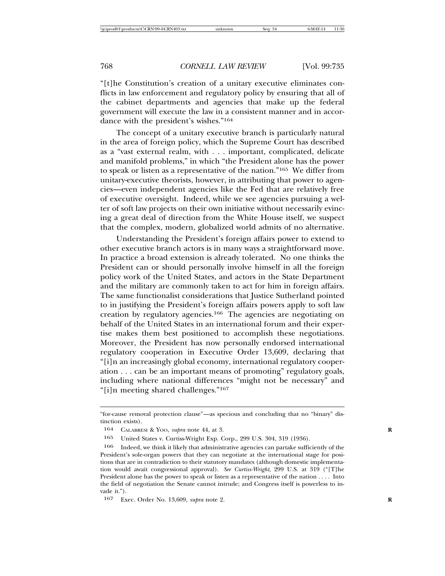"[t]he Constitution's creation of a unitary executive eliminates conflicts in law enforcement and regulatory policy by ensuring that all of the cabinet departments and agencies that make up the federal government will execute the law in a consistent manner and in accordance with the president's wishes."164

The concept of a unitary executive branch is particularly natural in the area of foreign policy, which the Supreme Court has described as a "vast external realm, with . . . important, complicated, delicate and manifold problems," in which "the President alone has the power to speak or listen as a representative of the nation."165 We differ from unitary-executive theorists, however, in attributing that power to agencies—even independent agencies like the Fed that are relatively free of executive oversight. Indeed, while we see agencies pursuing a welter of soft law projects on their own initiative without necessarily evincing a great deal of direction from the White House itself, we suspect that the complex, modern, globalized world admits of no alternative.

Understanding the President's foreign affairs power to extend to other executive branch actors is in many ways a straightforward move. In practice a broad extension is already tolerated. No one thinks the President can or should personally involve himself in all the foreign policy work of the United States, and actors in the State Department and the military are commonly taken to act for him in foreign affairs. The same functionalist considerations that Justice Sutherland pointed to in justifying the President's foreign affairs powers apply to soft law creation by regulatory agencies.166 The agencies are negotiating on behalf of the United States in an international forum and their expertise makes them best positioned to accomplish these negotiations. Moreover, the President has now personally endorsed international regulatory cooperation in Executive Order 13,609, declaring that "[i]n an increasingly global economy, international regulatory cooperation . . . can be an important means of promoting" regulatory goals, including where national differences "might not be necessary" and "[i]n meeting shared challenges."167

<sup>&</sup>quot;for-cause removal protection clause"—as specious and concluding that no "binary" distinction exists).

<sup>164</sup> CALABRESI & YOO, *supra* note 44, at 3. **R**

<sup>165</sup> United States v. Curtiss-Wright Exp. Corp., 299 U.S. 304, 319 (1936).

<sup>166</sup> Indeed, we think it likely that administrative agencies can partake sufficiently of the President's sole-organ powers that they can negotiate at the international stage for positions that are in contradiction to their statutory mandates (although domestic implementation would await congressional approval). *See Curtiss-Wright*, 299 U.S. at 319 ("[T]he President alone has the power to speak or listen as a representative of the nation . . . . Into the field of negotiation the Senate cannot intrude; and Congress itself is powerless to invade it.").

<sup>167</sup> Exec. Order No. 13,609, *supra* note 2. **R**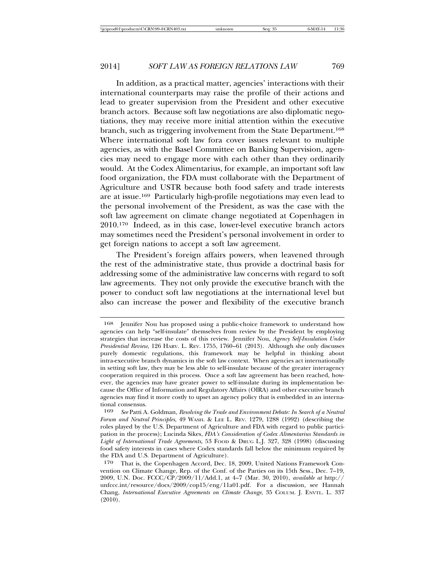In addition, as a practical matter, agencies' interactions with their international counterparts may raise the profile of their actions and lead to greater supervision from the President and other executive branch actors. Because soft law negotiations are also diplomatic negotiations, they may receive more initial attention within the executive branch, such as triggering involvement from the State Department.168 Where international soft law fora cover issues relevant to multiple agencies, as with the Basel Committee on Banking Supervision, agencies may need to engage more with each other than they ordinarily would. At the Codex Alimentarius, for example, an important soft law food organization, the FDA must collaborate with the Department of Agriculture and USTR because both food safety and trade interests are at issue.169 Particularly high-profile negotiations may even lead to the personal involvement of the President, as was the case with the soft law agreement on climate change negotiated at Copenhagen in 2010.170 Indeed, as in this case, lower-level executive branch actors may sometimes need the President's personal involvement in order to get foreign nations to accept a soft law agreement.

The President's foreign affairs powers, when leavened through the rest of the administrative state, thus provide a doctrinal basis for addressing some of the administrative law concerns with regard to soft law agreements. They not only provide the executive branch with the power to conduct soft law negotiations at the international level but also can increase the power and flexibility of the executive branch

<sup>168</sup> Jennifer Nou has proposed using a public-choice framework to understand how agencies can help "self-insulate" themselves from review by the President by employing strategies that increase the costs of this review. Jennifer Nou, *Agency Self-Insulation Under Presidential Review*, 126 HARV. L. REV. 1755, 1760–61 (2013). Although she only discusses purely domestic regulations, this framework may be helpful in thinking about intra-executive branch dynamics in the soft law context. When agencies act internationally in setting soft law, they may be less able to self-insulate because of the greater interagency cooperation required in this process. Once a soft law agreement has been reached, however, the agencies may have greater power to self-insulate during its implementation because the Office of Information and Regulatory Affairs (OIRA) and other executive branch agencies may find it more costly to upset an agency policy that is embedded in an international consensus.<br>169 See Patti A

<sup>169</sup> *See* Patti A. Goldman, *Resolving the Trade and Environment Debate: In Search of a Neutral Forum and Neutral Principles*, 49 WASH. & LEE L. REV. 1279, 1288 (1992) (describing the roles played by the U.S. Department of Agriculture and FDA with regard to public participation in the process); Lucinda Sikes, *FDA's Consideration of Codex Alimentarius Standards in* Light of International Trade Agreements, 53 FOOD & DRUG L.J. 327, 328 (1998) (discussing food safety interests in cases where Codex standards fall below the minimum required by the FDA and U.S. Department of Agriculture).

<sup>170</sup> That is, the Copenhagen Accord, Dec. 18, 2009, United Nations Framework Convention on Climate Change, Rep. of the Conf. of the Parties on its 15th Sess., Dec. 7–19, 2009, U.N. Doc. FCCC/CP/2009/11/Add.1, at 4–7 (Mar. 30, 2010), *available at* http:// unfccc.int/resource/docs/2009/cop15/eng/11a01.pdf. For a discussion, see Hannah Chang, *International Executive Agreements on Climate Change*, 35 COLUM. J. ENVTL. L. 337 (2010).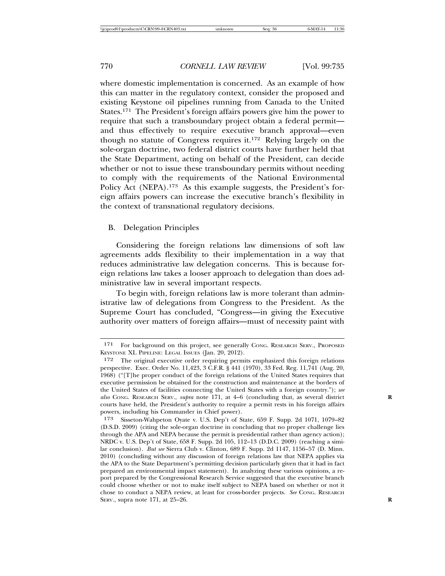where domestic implementation is concerned. As an example of how this can matter in the regulatory context, consider the proposed and existing Keystone oil pipelines running from Canada to the United States.171 The President's foreign affairs powers give him the power to require that such a transboundary project obtain a federal permit and thus effectively to require executive branch approval—even though no statute of Congress requires it.172 Relying largely on the sole-organ doctrine, two federal district courts have further held that the State Department, acting on behalf of the President, can decide whether or not to issue these transboundary permits without needing to comply with the requirements of the National Environmental Policy Act (NEPA).<sup>173</sup> As this example suggests, the President's foreign affairs powers can increase the executive branch's flexibility in the context of transnational regulatory decisions.

## B. Delegation Principles

Considering the foreign relations law dimensions of soft law agreements adds flexibility to their implementation in a way that reduces administrative law delegation concerns. This is because foreign relations law takes a looser approach to delegation than does administrative law in several important respects.

To begin with, foreign relations law is more tolerant than administrative law of delegations from Congress to the President. As the Supreme Court has concluded, "Congress—in giving the Executive authority over matters of foreign affairs—must of necessity paint with

<sup>171</sup> For background on this project, see generally CONG. RESEARCH SERV., PROPOSED KEYSTONE XL PIPELINE: LEGAL ISSUES (Jan. 20, 2012).

<sup>172</sup> The original executive order requiring permits emphasized this foreign relations perspective. Exec. Order No. 11,423, 3 C.F.R. § 441 (1970), 33 Fed. Reg. 11,741 (Aug. 20, 1968) ("[T]he proper conduct of the foreign relations of the United States requires that executive permission be obtained for the construction and maintenance at the borders of the United States of facilities connecting the United States with a foreign country."); *see also* CONG. RESEARCH SERV., *supra* note 171, at 4–6 (concluding that, as several district **R** courts have held, the President's authority to require a permit rests in his foreign affairs powers, including his Commander in Chief power).

<sup>173</sup> Sisseton-Wahpeton Oyate v. U.S. Dep't of State, 659 F. Supp. 2d 1071, 1079–82 (D.S.D. 2009) (citing the sole-organ doctrine in concluding that no proper challenge lies through the APA and NEPA because the permit is presidential rather than agency action); NRDC v. U.S. Dep't of State, 658 F. Supp. 2d 105, 112–13 (D.D.C. 2009) (reaching a similar conclusion). *But see* Sierra Club v. Clinton, 689 F. Supp. 2d 1147, 1156–57 (D. Minn. 2010) (concluding without any discussion of foreign relations law that NEPA applies via the APA to the State Department's permitting decision particularly given that it had in fact prepared an environmental impact statement). In analyzing these various opinions, a report prepared by the Congressional Research Service suggested that the executive branch could choose whether or not to make itself subject to NEPA based on whether or not it chose to conduct a NEPA review, at least for cross-border projects. *See* CONG. RESEARCH SERV., supra note 171, at 25–26. **R**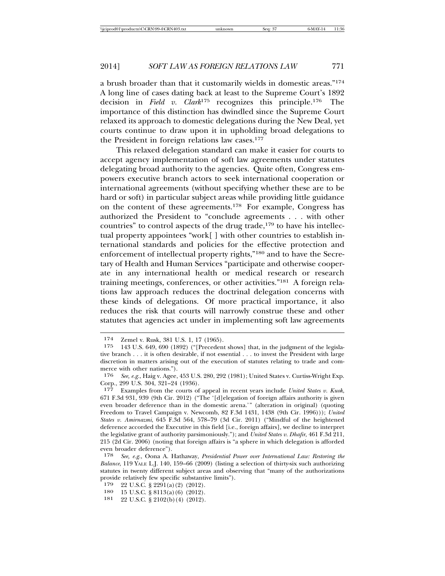a brush broader than that it customarily wields in domestic areas."174 A long line of cases dating back at least to the Supreme Court's 1892 decision in *Field v. Clark*175 recognizes this principle.176 The importance of this distinction has dwindled since the Supreme Court relaxed its approach to domestic delegations during the New Deal, yet courts continue to draw upon it in upholding broad delegations to the President in foreign relations law cases.177

This relaxed delegation standard can make it easier for courts to accept agency implementation of soft law agreements under statutes delegating broad authority to the agencies. Quite often, Congress empowers executive branch actors to seek international cooperation or international agreements (without specifying whether these are to be hard or soft) in particular subject areas while providing little guidance on the content of these agreements.178 For example, Congress has authorized the President to "conclude agreements . . . with other countries" to control aspects of the drug trade,<sup>179</sup> to have his intellectual property appointees "work[ ] with other countries to establish international standards and policies for the effective protection and enforcement of intellectual property rights,"180 and to have the Secretary of Health and Human Services "participate and otherwise cooperate in any international health or medical research or research training meetings, conferences, or other activities."181 A foreign relations law approach reduces the doctrinal delegation concerns with these kinds of delegations. Of more practical importance, it also reduces the risk that courts will narrowly construe these and other statutes that agencies act under in implementing soft law agreements

- 179 22 U.S.C. § 2291(a)(2) (2012).
- 180 15 U.S.C.  $\S 8113(a)(6) (2012)$ .<br>181 22 U.S.C.  $\S 2102(b)(4) (2012)$
- 22 U.S.C. § 2102(b)(4) (2012).

<sup>174</sup> Zemel v. Rusk, 381 U.S. 1, 17 (1965).<br>175 143 U.S. 649 690 (1899) ("[Preceden]

<sup>143</sup> U.S. 649, 690 (1892) ("[Precedent shows] that, in the judgment of the legislative branch . . . it is often desirable, if not essential . . . to invest the President with large discretion in matters arising out of the execution of statutes relating to trade and commerce with other nations.").

<sup>176</sup> *See, e.g.*, Haig v. Agee, 453 U.S. 280, 292 (1981); United States v. Curtiss-Wright Exp. Corp., 299 U.S. 304, 321–24 (1936).

<sup>177</sup> Examples from the courts of appeal in recent years include *United States v. Kuok*, 671 F.3d 931, 939 (9th Cir. 2012) ("The '[d]elegation of foreign affairs authority is given even broader deference than in the domestic arena.'" (alteration in original) (quoting Freedom to Travel Campaign v. Newcomb, 82 F.3d 1431, 1438 (9th Cir. 1996))); *United States v. Amirnazmi*, 645 F.3d 564, 578–79 (3d Cir. 2011) ("Mindful of the heightened deference accorded the Executive in this field [i.e., foreign affairs], we decline to interpret the legislative grant of authority parsimoniously."); and *United States v. Dhafir*, 461 F.3d 211, 215 (2d Cir. 2006) (noting that foreign affairs is "a sphere in which delegation is afforded even broader deference").

<sup>178</sup> *See, e.g.*, Oona A. Hathaway, *Presidential Power over International Law: Restoring the Balance*, 119 YALE L.J. 140, 159–66 (2009) (listing a selection of thirty-six such authorizing statutes in twenty different subject areas and observing that "many of the authorizations provide relatively few specific substantive limits").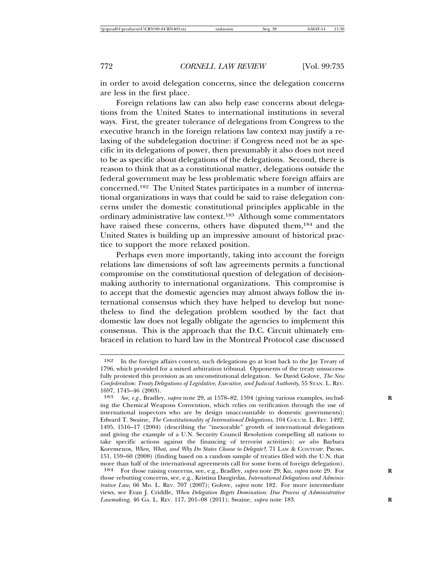in order to avoid delegation concerns, since the delegation concerns are less in the first place.

Foreign relations law can also help ease concerns about delegations from the United States to international institutions in several ways. First, the greater tolerance of delegations from Congress to the executive branch in the foreign relations law context may justify a relaxing of the subdelegation doctrine: if Congress need not be as specific in its delegations of power, then presumably it also does not need to be as specific about delegations of the delegations. Second, there is reason to think that as a constitutional matter, delegations outside the federal government may be less problematic where foreign affairs are concerned.182 The United States participates in a number of international organizations in ways that could be said to raise delegation concerns under the domestic constitutional principles applicable in the ordinary administrative law context.183 Although some commentators have raised these concerns, others have disputed them,<sup>184</sup> and the United States is building up an impressive amount of historical practice to support the more relaxed position.

Perhaps even more importantly, taking into account the foreign relations law dimensions of soft law agreements permits a functional compromise on the constitutional question of delegation of decisionmaking authority to international organizations. This compromise is to accept that the domestic agencies may almost always follow the international consensus which they have helped to develop but nonetheless to find the delegation problem soothed by the fact that domestic law does not legally obligate the agencies to implement this consensus. This is the approach that the D.C. Circuit ultimately embraced in relation to hard law in the Montreal Protocol case discussed

<sup>182</sup> In the foreign affairs context, such delegations go at least back to the Jay Treaty of 1796, which provided for a mixed arbitration tribunal. Opponents of the treaty unsuccessfully protested this provision as an unconstitutional delegation. *See* David Golove, *The New Confederalism: Treaty Delegations of Legislative, Executive, and Judicial Authority*, 55 STAN. L. REV. 1697, 1745–46 (2003).<br>183 See e.g. Bradley

See, e.g., Bradley, *supra* note 29, at 1578–82, 1594 (giving various examples, including the Chemical Weapons Convention, which relies on verification through the use of international inspectors who are by design unaccountable to domestic governments); Edward T. Swaine, *The Constitutionality of International Delegations*, 104 COLUM. L. REV. 1492, 1495, 1516–17 (2004) (describing the "inexorable" growth of international delegations and giving the example of a U.N. Security Council Resolution compelling all nations to take specific actions against the financing of terrorist activities); *see also* Barbara Koremenos, *When, What, and Why Do States Choose to Delegate?*, 71 LAW & CONTEMP. PROBS. 151, 159–60 (2008) (finding based on a random sample of treaties filed with the U.N. that more than half of the international agreements call for some form of foreign delegation).

<sup>184</sup> For those raising concerns, see, e.g., Bradley, *supra* note 29; Ku, *supra* note 29. For **R** those rebutting concerns, see, e.g., Kristina Daugirdas, *International Delegations and Administrative Law*, 66 MD. L. REV. 707 (2007); Golove, *supra* note 182. For more intermediate views, see Evan J. Criddle, *When Delegation Begets Domination: Due Process of Administrative Lawmaking*, 46 GA. L. REV. 117, 201–08 (2011); Swaine, *supra* note 183. **R**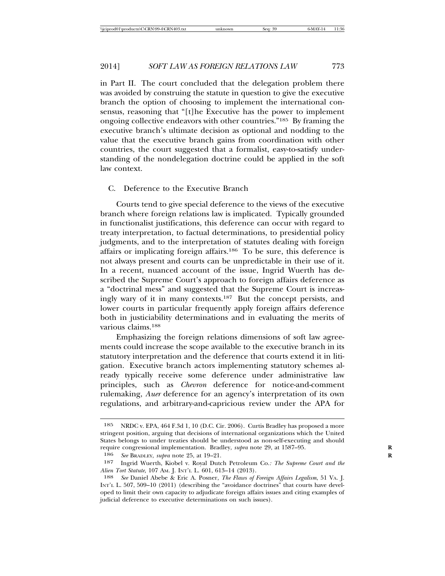in Part II. The court concluded that the delegation problem there was avoided by construing the statute in question to give the executive branch the option of choosing to implement the international consensus, reasoning that "[t]he Executive has the power to implement ongoing collective endeavors with other countries."185 By framing the executive branch's ultimate decision as optional and nodding to the value that the executive branch gains from coordination with other countries, the court suggested that a formalist, easy-to-satisfy understanding of the nondelegation doctrine could be applied in the soft law context.

### C. Deference to the Executive Branch

Courts tend to give special deference to the views of the executive branch where foreign relations law is implicated. Typically grounded in functionalist justifications, this deference can occur with regard to treaty interpretation, to factual determinations, to presidential policy judgments, and to the interpretation of statutes dealing with foreign affairs or implicating foreign affairs.186 To be sure, this deference is not always present and courts can be unpredictable in their use of it. In a recent, nuanced account of the issue, Ingrid Wuerth has described the Supreme Court's approach to foreign affairs deference as a "doctrinal mess" and suggested that the Supreme Court is increasingly wary of it in many contexts.187 But the concept persists, and lower courts in particular frequently apply foreign affairs deference both in justiciability determinations and in evaluating the merits of various claims.188

Emphasizing the foreign relations dimensions of soft law agreements could increase the scope available to the executive branch in its statutory interpretation and the deference that courts extend it in litigation. Executive branch actors implementing statutory schemes already typically receive some deference under administrative law principles, such as *Chevron* deference for notice-and-comment rulemaking, *Auer* deference for an agency's interpretation of its own regulations, and arbitrary-and-capricious review under the APA for

<sup>185</sup> NRDC v. EPA, 464 F.3d 1, 10 (D.C. Cir. 2006). Curtis Bradley has proposed a more stringent position, arguing that decisions of international organizations which the United States belongs to under treaties should be understood as non-self-executing and should require congressional implementation. Bradley, *supra* note 29, at 1587–95.

<sup>186</sup> *See* BRADLEY, *supra* note 25, at 19–21. **R**

<sup>187</sup> Ingrid Wuerth, Kiobel v. Royal Dutch Petroleum Co.*: The Supreme Court and the Alien Tort Statute*, 107 AM. J. INT'L L. 601, 613–14 (2013).<br>188 *See* Daniel Abebe & Fric A. Posner, *The Flazus of* 

<sup>188</sup> *See* Daniel Abebe & Eric A. Posner, *The Flaws of Foreign Affairs Legalism*, 51 VA. J. INT'L L. 507, 509–10 (2011) (describing the "avoidance doctrines" that courts have developed to limit their own capacity to adjudicate foreign affairs issues and citing examples of judicial deference to executive determinations on such issues).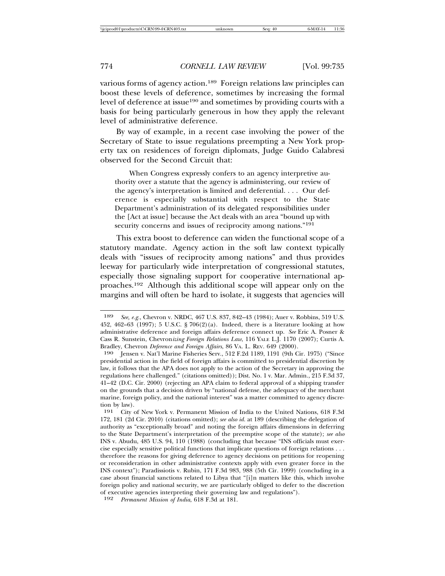various forms of agency action.189 Foreign relations law principles can boost these levels of deference, sometimes by increasing the formal level of deference at issue190 and sometimes by providing courts with a basis for being particularly generous in how they apply the relevant level of administrative deference.

By way of example, in a recent case involving the power of the Secretary of State to issue regulations preempting a New York property tax on residences of foreign diplomats, Judge Guido Calabresi observed for the Second Circuit that:

When Congress expressly confers to an agency interpretive authority over a statute that the agency is administering, our review of the agency's interpretation is limited and deferential. . . . Our deference is especially substantial with respect to the State Department's administration of its delegated responsibilities under the [Act at issue] because the Act deals with an area "bound up with security concerns and issues of reciprocity among nations."<sup>191</sup>

This extra boost to deference can widen the functional scope of a statutory mandate. Agency action in the soft law context typically deals with "issues of reciprocity among nations" and thus provides leeway for particularly wide interpretation of congressional statutes, especially those signaling support for cooperative international approaches.192 Although this additional scope will appear only on the margins and will often be hard to isolate, it suggests that agencies will

192 *Permanent Mission of India*, 618 F.3d at 181.

<sup>189</sup> *See, e.g.*, Chevron v. NRDC, 467 U.S. 837, 842–43 (1984); Auer v. Robbins, 519 U.S. 452, 462–63 (1997); 5 U.S.C. § 706(2)(a). Indeed, there is a literature looking at how administrative deference and foreign affairs deference connect up. *See* Eric A. Posner & Cass R. Sunstein, Chevron*izing Foreign Relations Law*, 116 YALE L.J. 1170 (2007); Curtis A. Bradley, Chevron *Deference and Foreign Affairs*, 86 VA. L. REV. 649 (2000).

<sup>190</sup> Jensen v. Nat'l Marine Fisheries Serv., 512 F.2d 1189, 1191 (9th Cir. 1975) ("Since presidential action in the field of foreign affairs is committed to presidential discretion by law, it follows that the APA does not apply to the action of the Secretary in approving the regulations here challenged." (citations omitted)); Dist. No. 1 v. Mar. Admin., 215 F.3d 37, 41–42 (D.C. Cir. 2000) (rejecting an APA claim to federal approval of a shipping transfer on the grounds that a decision driven by "national defense, the adequacy of the merchant marine, foreign policy, and the national interest" was a matter committed to agency discretion by law).<br> $\frac{191}{\text{City }6}$ 

<sup>191</sup> City of New York v. Permanent Mission of India to the United Nations, 618 F.3d 172, 181 (2d Cir. 2010) (citations omitted); *see also id.* at 189 (describing the delegation of authority as "exceptionally broad" and noting the foreign affairs dimensions in deferring to the State Department's interpretation of the preemptive scope of the statute); *see also* INS v. Abudu, 485 U.S. 94, 110 (1988) (concluding that because "INS officials must exercise especially sensitive political functions that implicate questions of foreign relations . . . therefore the reasons for giving deference to agency decisions on petitions for reopening or reconsideration in other administrative contexts apply with even greater force in the INS context"); Paradissiotis v. Rubin, 171 F.3d 983, 988 (5th Cir. 1999) (concluding in a case about financial sanctions related to Libya that "[i]n matters like this, which involve foreign policy and national security, we are particularly obliged to defer to the discretion of executive agencies interpreting their governing law and regulations").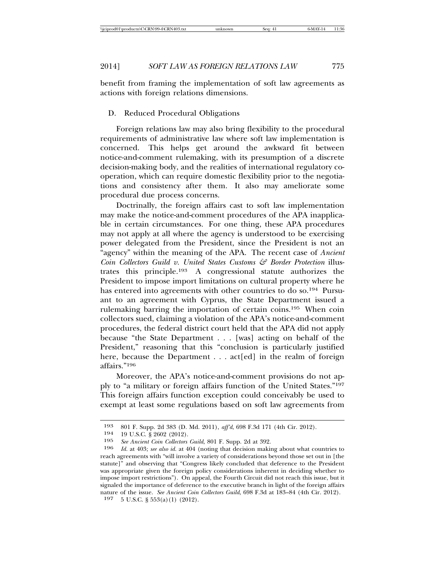benefit from framing the implementation of soft law agreements as actions with foreign relations dimensions.

D. Reduced Procedural Obligations

Foreign relations law may also bring flexibility to the procedural requirements of administrative law where soft law implementation is concerned. This helps get around the awkward fit between notice-and-comment rulemaking, with its presumption of a discrete decision-making body, and the realities of international regulatory cooperation, which can require domestic flexibility prior to the negotiations and consistency after them. It also may ameliorate some procedural due process concerns.

Doctrinally, the foreign affairs cast to soft law implementation may make the notice-and-comment procedures of the APA inapplicable in certain circumstances. For one thing, these APA procedures may not apply at all where the agency is understood to be exercising power delegated from the President, since the President is not an "agency" within the meaning of the APA. The recent case of *Ancient Coin Collectors Guild v. United States Customs & Border Protection* illustrates this principle.193 A congressional statute authorizes the President to impose import limitations on cultural property where he has entered into agreements with other countries to do so.<sup>194</sup> Pursuant to an agreement with Cyprus, the State Department issued a rulemaking barring the importation of certain coins.195 When coin collectors sued, claiming a violation of the APA's notice-and-comment procedures, the federal district court held that the APA did not apply because "the State Department . . . [was] acting on behalf of the President," reasoning that this "conclusion is particularly justified here, because the Department . . . act [ed] in the realm of foreign affairs."196

Moreover, the APA's notice-and-comment provisions do not apply to "a military or foreign affairs function of the United States."197 This foreign affairs function exception could conceivably be used to exempt at least some regulations based on soft law agreements from

<sup>193</sup> 801 F. Supp. 2d 383 (D. Md. 2011), *aff'd*, 698 F.3d 171 (4th Cir. 2012).

<sup>194 19</sup> U.S.C. § 2602 (2012).<br>195 See Ancient Coin Collectors

<sup>195</sup> *See Ancient Coin Collectors Guild*, 801 F. Supp. 2d at 392.

Id. at 403; see also id. at 404 (noting that decision making about what countries to reach agreements with "will involve a variety of considerations beyond those set out in [the statute]" and observing that "Congress likely concluded that deference to the President was appropriate given the foreign policy considerations inherent in deciding whether to impose import restrictions"). On appeal, the Fourth Circuit did not reach this issue, but it signaled the importance of deference to the executive branch in light of the foreign affairs nature of the issue. *See Ancient Coin Collectors Guild*, 698 F.3d at 183–84 (4th Cir. 2012).

<sup>197</sup> 5 U.S.C. § 553(a)(1) (2012).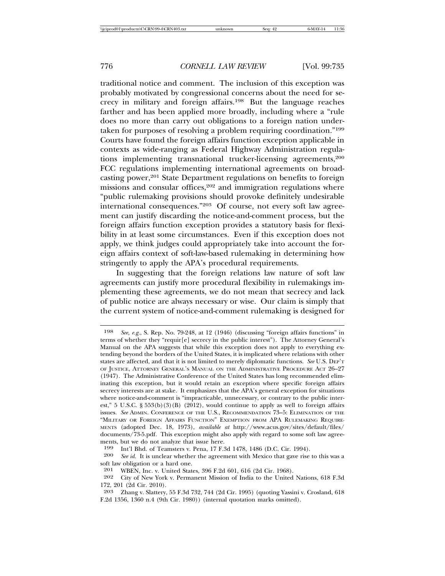traditional notice and comment. The inclusion of this exception was probably motivated by congressional concerns about the need for secrecy in military and foreign affairs.198 But the language reaches farther and has been applied more broadly, including where a "rule does no more than carry out obligations to a foreign nation undertaken for purposes of resolving a problem requiring coordination."199 Courts have found the foreign affairs function exception applicable in contexts as wide-ranging as Federal Highway Administration regulations implementing transnational trucker-licensing agreements,200 FCC regulations implementing international agreements on broadcasting power,<sup>201</sup> State Department regulations on benefits to foreign missions and consular offices,<sup>202</sup> and immigration regulations where "public rulemaking provisions should provoke definitely undesirable international consequences."203 Of course, not every soft law agreement can justify discarding the notice-and-comment process, but the foreign affairs function exception provides a statutory basis for flexibility in at least some circumstances. Even if this exception does not apply, we think judges could appropriately take into account the foreign affairs context of soft-law-based rulemaking in determining how stringently to apply the APA's procedural requirements.

In suggesting that the foreign relations law nature of soft law agreements can justify more procedural flexibility in rulemakings implementing these agreements, we do not mean that secrecy and lack of public notice are always necessary or wise. Our claim is simply that the current system of notice-and-comment rulemaking is designed for

<sup>198</sup> *See, e.g.*, S. Rep. No. 79-248, at 12 (1946) (discussing "foreign affairs functions" in terms of whether they "requir[e] secrecy in the public interest"). The Attorney General's Manual on the APA suggests that while this exception does not apply to everything extending beyond the borders of the United States, it is implicated where relations with other states are affected, and that it is not limited to merely diplomatic functions. *See* U.S. DEP'T OF JUSTICE, ATTORNEY GENERAL'S MANUAL ON THE ADMINISTRATIVE PROCEDURE ACT 26–27 (1947). The Administrative Conference of the United States has long recommended eliminating this exception, but it would retain an exception where specific foreign affairs secrecy interests are at stake. It emphasizes that the APA's general exception for situations where notice-and-comment is "impracticable, unnecessary, or contrary to the public interest," 5 U.S.C. § 553(b)(3)(B) (2012), would continue to apply as well to foreign affairs issues. *See* ADMIN. CONFERENCE OF THE U.S., RECOMMENDATION 73–5: ELIMINATION OF THE "MILITARY OR FOREIGN AFFAIRS FUNCTION" EXEMPTION FROM APA RULEMAKING REQUIRE-MENTS (adopted Dec. 18, 1973), *available at* http://www.acus.gov/sites/default/files/ documents/73-5.pdf. This exception might also apply with regard to some soft law agreements, but we do not analyze that issue here.<br>199 Int'l Bhd of Teamsters v Pena 17 F<sup>5</sup>

<sup>199</sup> Int'l Bhd. of Teamsters v. Pena, 17 F.3d 1478, 1486 (D.C. Cir. 1994).<br>200 See id. It is unclear whether the agreement with Mexico that gave rise

See id. It is unclear whether the agreement with Mexico that gave rise to this was a soft law obligation or a hard one.

<sup>201</sup> WBEN, Inc. v. United States, 396 F.2d 601, 616 (2d Cir. 1968).<br>202 City of New York v. Permanent Mission of India to the United

<sup>202</sup> City of New York v. Permanent Mission of India to the United Nations, 618 F.3d 172, 201 (2d Cir. 2010).

<sup>203</sup> Zhang v. Slattery, 55 F.3d 732, 744 (2d Cir. 1995) (quoting Yassini v. Crosland, 618 F.2d 1356, 1360 n.4 (9th Cir. 1980)) (internal quotation marks omitted).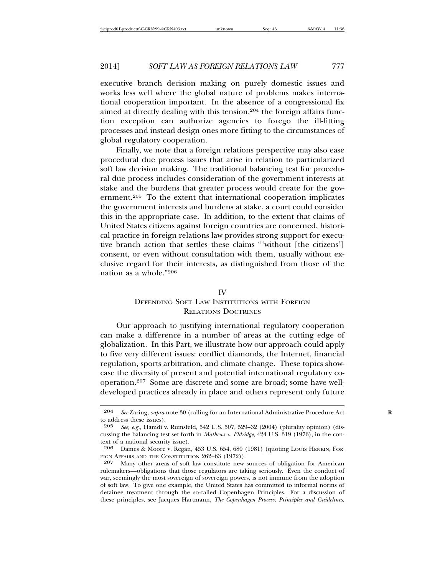executive branch decision making on purely domestic issues and works less well where the global nature of problems makes international cooperation important. In the absence of a congressional fix aimed at directly dealing with this tension,<sup>204</sup> the foreign affairs function exception can authorize agencies to forego the ill-fitting processes and instead design ones more fitting to the circumstances of global regulatory cooperation.

Finally, we note that a foreign relations perspective may also ease procedural due process issues that arise in relation to particularized soft law decision making. The traditional balancing test for procedural due process includes consideration of the government interests at stake and the burdens that greater process would create for the government.205 To the extent that international cooperation implicates the government interests and burdens at stake, a court could consider this in the appropriate case. In addition, to the extent that claims of United States citizens against foreign countries are concerned, historical practice in foreign relations law provides strong support for executive branch action that settles these claims "'without [the citizens'] consent, or even without consultation with them, usually without exclusive regard for their interests, as distinguished from those of the nation as a whole."206

#### IV

# DEFENDING SOFT LAW INSTITUTIONS WITH FOREIGN RELATIONS DOCTRINES

Our approach to justifying international regulatory cooperation can make a difference in a number of areas at the cutting edge of globalization. In this Part, we illustrate how our approach could apply to five very different issues: conflict diamonds, the Internet, financial regulation, sports arbitration, and climate change. These topics showcase the diversity of present and potential international regulatory cooperation.207 Some are discrete and some are broad; some have welldeveloped practices already in place and others represent only future

<sup>204</sup> *See* Zaring, *supra* note 30 (calling for an International Administrative Procedure Act **R** to address these issues).

<sup>205</sup> *See, e.g.*, Hamdi v. Rumsfeld, 542 U.S. 507, 529–32 (2004) (plurality opinion) (discussing the balancing test set forth in *Mathews v. Eldridge*, 424 U.S. 319 (1976), in the context of a national security issue).<br>206 Dames & Moore v. Regan

Dames & Moore v. Regan, 453 U.S. 654, 680 (1981) (quoting Louis HENKIN, FOR-EIGN AFFAIRS AND THE CONSTITUTION 262-63 (1972)).

<sup>207</sup> Many other areas of soft law constitute new sources of obligation for American rulemakers—obligations that those regulators are taking seriously. Even the conduct of war, seemingly the most sovereign of sovereign powers, is not immune from the adoption of soft law. To give one example, the United States has committed to informal norms of detainee treatment through the so-called Copenhagen Principles. For a discussion of these principles, see Jacques Hartmann, *The Copenhagen Process: Principles and Guidelines*,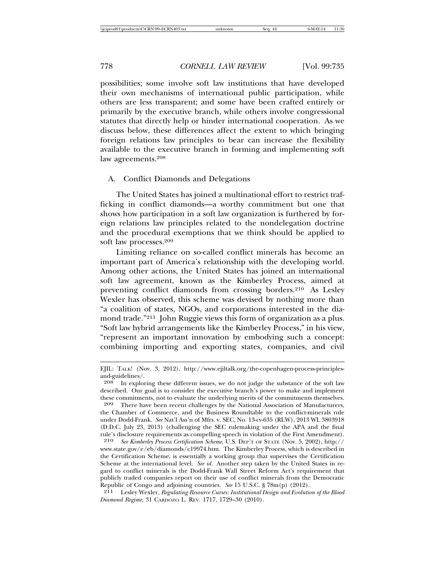possibilities; some involve soft law institutions that have developed their own mechanisms of international public participation, while others are less transparent; and some have been crafted entirely or primarily by the executive branch, while others involve congressional statutes that directly help or hinder international cooperation. As we discuss below, these differences affect the extent to which bringing foreign relations law principles to bear can increase the flexibility available to the executive branch in forming and implementing soft law agreements.208

#### A. Conflict Diamonds and Delegations

The United States has joined a multinational effort to restrict trafficking in conflict diamonds—a worthy commitment but one that shows how participation in a soft law organization is furthered by foreign relations law principles related to the nondelegation doctrine and the procedural exemptions that we think should be applied to soft law processes.209

Limiting reliance on so-called conflict minerals has become an important part of America's relationship with the developing world. Among other actions, the United States has joined an international soft law agreement, known as the Kimberley Process, aimed at preventing conflict diamonds from crossing borders.210 As Lesley Wexler has observed, this scheme was devised by nothing more than "a coalition of states, NGOs, and corporations interested in the diamond trade."<sup>211</sup> John Ruggie views this form of organization as a plus. "Soft law hybrid arrangements like the Kimberley Process," in his view, "represent an important innovation by embodying such a concept: combining importing and exporting states, companies, and civil

EJIL: TALK! (Nov. 3, 2012), http://www.ejiltalk.org/the-copenhagen-process-principlesand-guidelines/.

<sup>208</sup> In exploring these different issues, we do not judge the substance of the soft law described. Our goal is to consider the executive branch's power to make and implement these commitments, not to evaluate the underlying merits of the commitments themselves.<br>
209 There have been recent challenges by the National Association of Manufacturers

There have been recent challenges by the National Association of Manufacturers, the Chamber of Commerce, and the Business Roundtable to the conflict-minerals rule under Dodd-Frank. *See* Nat'l Ass'n of Mfrs. v. SEC, No. 13-cv-635 (RLW), 2013 WL 3803918 (D.D.C. July 23, 2013) (challenging the SEC rulemaking under the APA and the final rule's disclosure requirements as compelling speech in violation of the First Amendment).<br>210 See Kimberley Process Certification Scheme U.S. DEP'T OF STATE (Nov. 5, 2002), http://

<sup>210</sup> *See Kimberley Process Certification Scheme*, U.S. DEP'T OF STATE (Nov. 5, 2002), http:// www.state.gov/e/eb/diamonds/c19974.htm. The Kimberley Process, which is described in the Certification Scheme, is essentially a working group that supervises the Certification Scheme at the international level. *See id.* Another step taken by the United States in regard to conflict minerals is the Dodd-Frank Wall Street Reform Act's requirement that publicly traded companies report on their use of conflict minerals from the Democratic Republic of Congo and adjoining countries. *See* 15 U.S.C. § 78m(p) (2012).

<sup>211</sup> Lesley Wexler, *Regulating Resource Curses: Institutional Design and Evolution of the Blood Diamond Regime*, 31 CARDOZO L. REV. 1717, 1729–30 (2010).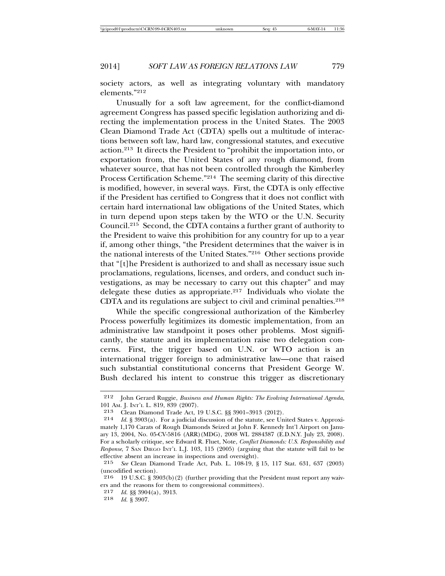society actors, as well as integrating voluntary with mandatory elements."212

Unusually for a soft law agreement, for the conflict-diamond agreement Congress has passed specific legislation authorizing and directing the implementation process in the United States. The 2003 Clean Diamond Trade Act (CDTA) spells out a multitude of interactions between soft law, hard law, congressional statutes, and executive action.213 It directs the President to "prohibit the importation into, or exportation from, the United States of any rough diamond, from whatever source, that has not been controlled through the Kimberley Process Certification Scheme."214 The seeming clarity of this directive is modified, however, in several ways. First, the CDTA is only effective if the President has certified to Congress that it does not conflict with certain hard international law obligations of the United States, which in turn depend upon steps taken by the WTO or the U.N. Security Council.215 Second, the CDTA contains a further grant of authority to the President to waive this prohibition for any country for up to a year if, among other things, "the President determines that the waiver is in the national interests of the United States."216 Other sections provide that "[t]he President is authorized to and shall as necessary issue such proclamations, regulations, licenses, and orders, and conduct such investigations, as may be necessary to carry out this chapter" and may delegate these duties as appropriate.217 Individuals who violate the CDTA and its regulations are subject to civil and criminal penalties.<sup>218</sup>

While the specific congressional authorization of the Kimberley Process powerfully legitimizes its domestic implementation, from an administrative law standpoint it poses other problems. Most significantly, the statute and its implementation raise two delegation concerns. First, the trigger based on U.N. or WTO action is an international trigger foreign to administrative law—one that raised such substantial constitutional concerns that President George W. Bush declared his intent to construe this trigger as discretionary

<sup>212</sup> John Gerard Ruggie, *Business and Human Rights: The Evolving International Agenda*, 101 AM. J. INT'L L. 819, 839 (2007).

<sup>213</sup> Clean Diamond Trade Act, 19 U.S.C. §§ 3901–3913 (2012).

<sup>214</sup> *Id.* § 3903(a). For a judicial discussion of the statute, see United States v. Approximately 1,170 Carats of Rough Diamonds Seized at John F. Kennedy Int'l Airport on January 13, 2004, No. 05-CV-5816 (ARR)(MDG), 2008 WL 2884387 (E.D.N.Y. July 23, 2008). For a scholarly critique, see Edward R. Fluet, Note, *Conflict Diamonds: U.S. Responsibility and Response*, 7 SAN DIEGO INT'L L.J. 103, 115 (2005) (arguing that the statute will fail to be effective absent an increase in inspections and oversight).<br>215 See Clean Diamond Trade Act, Pub, L. 108-19, 8

<sup>215</sup> *See* Clean Diamond Trade Act, Pub. L. 108-19, § 15, 117 Stat. 631, 637 (2003) (uncodified section).<br> $216 - 19$  J J S C  $-8$  30

<sup>216</sup> 19 U.S.C. § 3903(b)(2) (further providing that the President must report any waivers and the reasons for them to congressional committees).

<sup>217</sup> *Id.* §§ 3904(a), 3913.

<sup>218</sup> *Id.* § 3907.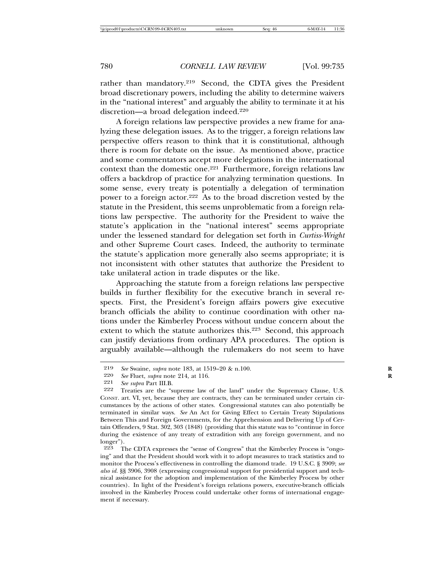rather than mandatory.219 Second, the CDTA gives the President broad discretionary powers, including the ability to determine waivers in the "national interest" and arguably the ability to terminate it at his discretion—a broad delegation indeed.220

A foreign relations law perspective provides a new frame for analyzing these delegation issues. As to the trigger, a foreign relations law perspective offers reason to think that it is constitutional, although there is room for debate on the issue. As mentioned above, practice and some commentators accept more delegations in the international context than the domestic one.<sup>221</sup> Furthermore, foreign relations law offers a backdrop of practice for analyzing termination questions. In some sense, every treaty is potentially a delegation of termination power to a foreign actor.222 As to the broad discretion vested by the statute in the President, this seems unproblematic from a foreign relations law perspective. The authority for the President to waive the statute's application in the "national interest" seems appropriate under the lessened standard for delegation set forth in *Curtiss-Wright* and other Supreme Court cases. Indeed, the authority to terminate the statute's application more generally also seems appropriate; it is not inconsistent with other statutes that authorize the President to take unilateral action in trade disputes or the like.

Approaching the statute from a foreign relations law perspective builds in further flexibility for the executive branch in several respects. First, the President's foreign affairs powers give executive branch officials the ability to continue coordination with other nations under the Kimberley Process without undue concern about the extent to which the statute authorizes this.<sup>223</sup> Second, this approach can justify deviations from ordinary APA procedures. The option is arguably available—although the rulemakers do not seem to have

The CDTA expresses the "sense of Congress" that the Kimberley Process is "ongoing" and that the President should work with it to adopt measures to track statistics and to monitor the Process's effectiveness in controlling the diamond trade. 19 U.S.C. § 3909; *see also id.* §§ 3906, 3908 (expressing congressional support for presidential support and technical assistance for the adoption and implementation of the Kimberley Process by other countries). In light of the President's foreign relations powers, executive-branch officials involved in the Kimberley Process could undertake other forms of international engagement if necessary.

<sup>219</sup> *See* Swaine, *supra* note 183, at 1519–20 & n.100. **R**

<sup>220</sup> *See* Fluet, *supra* note 214, at 116.<br>221 *See subra* Part III B

<sup>221</sup> *See supra* Part III.B.

Treaties are the "supreme law of the land" under the Supremacy Clause, U.S. CONST. art. VI, yet, because they are contracts, they can be terminated under certain circumstances by the actions of other states. Congressional statutes can also potentially be terminated in similar ways. *See* An Act for Giving Effect to Certain Treaty Stipulations Between This and Foreign Governments, for the Apprehension and Delivering Up of Certain Offenders, 9 Stat. 302, 303 (1848) (providing that this statute was to "continue in force during the existence of any treaty of extradition with any foreign government, and no  $\frac{\text{longer}}{223}$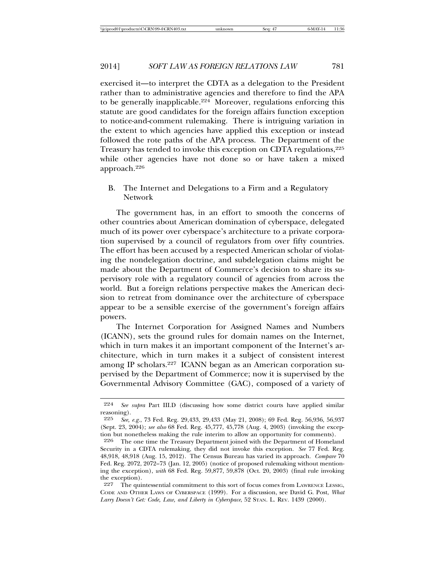exercised it—to interpret the CDTA as a delegation to the President rather than to administrative agencies and therefore to find the APA to be generally inapplicable.224 Moreover, regulations enforcing this statute are good candidates for the foreign affairs function exception to notice-and-comment rulemaking. There is intriguing variation in the extent to which agencies have applied this exception or instead followed the rote paths of the APA process. The Department of the Treasury has tended to invoke this exception on CDTA regulations, <sup>225</sup> while other agencies have not done so or have taken a mixed approach.226

B. The Internet and Delegations to a Firm and a Regulatory Network

The government has, in an effort to smooth the concerns of other countries about American domination of cyberspace, delegated much of its power over cyberspace's architecture to a private corporation supervised by a council of regulators from over fifty countries. The effort has been accused by a respected American scholar of violating the nondelegation doctrine, and subdelegation claims might be made about the Department of Commerce's decision to share its supervisory role with a regulatory council of agencies from across the world. But a foreign relations perspective makes the American decision to retreat from dominance over the architecture of cyberspace appear to be a sensible exercise of the government's foreign affairs powers.

The Internet Corporation for Assigned Names and Numbers (ICANN), sets the ground rules for domain names on the Internet, which in turn makes it an important component of the Internet's architecture, which in turn makes it a subject of consistent interest among IP scholars.227 ICANN began as an American corporation supervised by the Department of Commerce; now it is supervised by the Governmental Advisory Committee (GAC), composed of a variety of

<sup>224</sup> *See supra* Part III.D (discussing how some district courts have applied similar reasoning).<br>225  $\frac{e}{\sqrt{e}}$ 

<sup>225</sup> *See, e.g.*, 73 Fed. Reg. 29,433, 29,433 (May 21, 2008); 69 Fed. Reg. 56,936, 56,937 (Sept. 23, 2004); *see also* 68 Fed. Reg. 45,777, 45,778 (Aug. 4, 2003) (invoking the exception but nonetheless making the rule interim to allow an opportunity for comments).

<sup>226</sup> The one time the Treasury Department joined with the Department of Homeland Security in a CDTA rulemaking, they did not invoke this exception. *See* 77 Fed. Reg. 48,918, 48,918 (Aug. 15, 2012). The Census Bureau has varied its approach. *Compare* 70 Fed. Reg. 2072, 2072–73 (Jan. 12, 2005) (notice of proposed rulemaking without mentioning the exception), *with* 68 Fed. Reg. 59,877, 59,878 (Oct. 20, 2003) (final rule invoking the exception).

<sup>227</sup> The quintessential commitment to this sort of focus comes from LAWRENCE LESSIG, CODE AND OTHER LAWS OF CYBERSPACE (1999). For a discussion, see David G. Post, *What Larry Doesn't Get: Code, Law, and Liberty in Cyberspace*, 52 STAN. L. REV. 1439 (2000).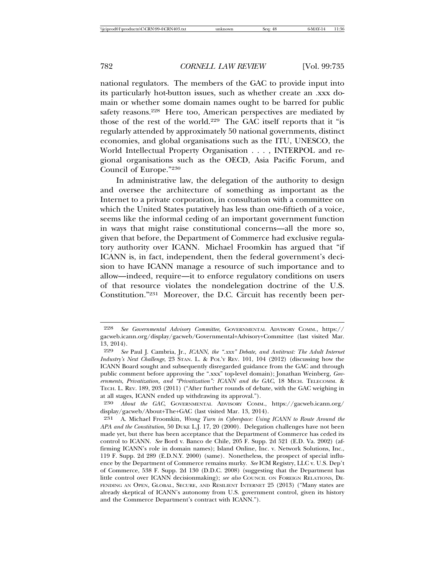national regulators. The members of the GAC to provide input into its particularly hot-button issues, such as whether create an .xxx domain or whether some domain names ought to be barred for public safety reasons.<sup>228</sup> Here too, American perspectives are mediated by those of the rest of the world.229 The GAC itself reports that it "is regularly attended by approximately 50 national governments, distinct economies, and global organisations such as the ITU, UNESCO, the World Intellectual Property Organisation . . . , INTERPOL and regional organisations such as the OECD, Asia Pacific Forum, and Council of Europe."230

In administrative law, the delegation of the authority to design and oversee the architecture of something as important as the Internet to a private corporation, in consultation with a committee on which the United States putatively has less than one-fiftieth of a voice, seems like the informal ceding of an important government function in ways that might raise constitutional concerns—all the more so, given that before, the Department of Commerce had exclusive regulatory authority over ICANN. Michael Froomkin has argued that "if ICANN is, in fact, independent, then the federal government's decision to have ICANN manage a resource of such importance and to allow—indeed, require—it to enforce regulatory conditions on users of that resource violates the nondelegation doctrine of the U.S. Constitution."231 Moreover, the D.C. Circuit has recently been per-

<sup>228</sup> *See Governmental Advisory Committee*, GOVERNMENTAL ADVISORY COMM., https:// gacweb.icann.org/display/gacweb/Governmental+Advisory+Committee (last visited Mar. 13, 2014).

<sup>229</sup> *See* Paul J. Cambria, Jr., *ICANN, the ".xxx" Debate, and Antitrust: The Adult Internet Industry's Next Challenge*, 23 STAN. L. & POL'Y REV. 101, 104 (2012) (discussing how the ICANN Board sought and subsequently disregarded guidance from the GAC and through public comment before approving the ".xxx" top-level domain); Jonathan Weinberg, *Governments, Privatization, and "Privatization": ICANN and the GAC*, 18 MICH. TELECOMM. & TECH. L. REV. 189, 203 (2011) ("After further rounds of debate, with the GAC weighing in at all stages, ICANN ended up withdrawing its approval.").

<sup>230</sup> *About the GAC*, GOVERNMENTAL ADVISORY COMM., https://gacweb.icann.org/ display/gacweb/About+The+GAC (last visited Mar. 13, 2014).

<sup>231</sup> A. Michael Froomkin, *Wrong Turn in Cyberspace: Using ICANN to Route Around the APA and the Constitution*, 50 DUKE L.J. 17, 20 (2000). Delegation challenges have not been made yet, but there has been acceptance that the Department of Commerce has ceded its control to ICANN. *See* Bord v. Banco de Chile, 205 F. Supp. 2d 521 (E.D. Va. 2002) (affirming ICANN's role in domain names); Island Online, Inc. v. Network Solutions, Inc., 119 F. Supp. 2d 289 (E.D.N.Y. 2000) (same). Nonetheless, the prospect of special influence by the Department of Commerce remains murky. *See* ICM Registry, LLC v. U.S. Dep't of Commerce, 538 F. Supp. 2d 130 (D.D.C. 2008) (suggesting that the Department has little control over ICANN decisionmaking); *see also* COUNCIL ON FOREIGN RELATIONS, DE-FENDING AN OPEN, GLOBAL, SECURE, AND RESILIENT INTERNET 25 (2013) ("Many states are already skeptical of ICANN's autonomy from U.S. government control, given its history and the Commerce Department's contract with ICANN.").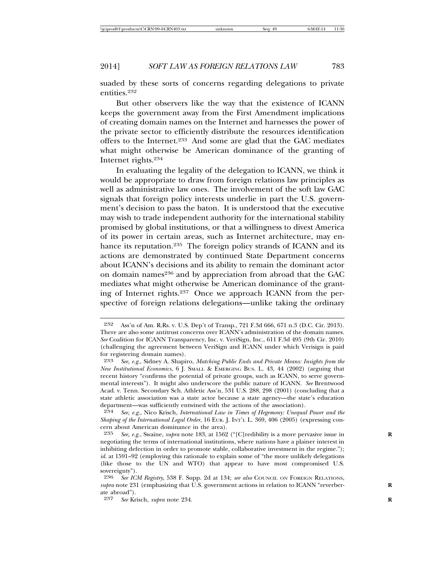suaded by these sorts of concerns regarding delegations to private entities.232

But other observers like the way that the existence of ICANN keeps the government away from the First Amendment implications of creating domain names on the Internet and harnesses the power of the private sector to efficiently distribute the resources identification offers to the Internet.233 And some are glad that the GAC mediates what might otherwise be American dominance of the granting of Internet rights.234

In evaluating the legality of the delegation to ICANN, we think it would be appropriate to draw from foreign relations law principles as well as administrative law ones. The involvement of the soft law GAC signals that foreign policy interests underlie in part the U.S. government's decision to pass the baton. It is understood that the executive may wish to trade independent authority for the international stability promised by global institutions, or that a willingness to divest America of its power in certain areas, such as Internet architecture, may enhance its reputation.235 The foreign policy strands of ICANN and its actions are demonstrated by continued State Department concerns about ICANN's decisions and its ability to remain the dominant actor on domain names<sup>236</sup> and by appreciation from abroad that the GAC mediates what might otherwise be American dominance of the granting of Internet rights.237 Once we approach ICANN from the perspective of foreign relations delegations—unlike taking the ordinary

<sup>232</sup> Ass'n of Am. R.Rs. v. U.S. Dep't of Transp., 721 F.3d 666, 671 n.3 (D.C. Cir. 2013). There are also some antitrust concerns over ICANN's administration of the domain names. *See* Coalition for ICANN Transparency, Inc. v. VeriSign, Inc., 611 F.3d 495 (9th Cir. 2010) (challenging the agreement between VeriSign and ICANN under which Verisign is paid for registering domain names).<br> $233 \text{ See } e.g.,$  Sidney A. Shapi

<sup>233</sup> *See, e.g.*, Sidney A. Shapiro, *Matching Public Ends and Private Means: Insights from the New Institutional Economics*, 6 J. SMALL & EMERGING BUS. L. 43, 44 (2002) (arguing that recent history "confirms the potential of private groups, such as ICANN, to serve governmental interests"). It might also underscore the public nature of ICANN. *See* Brentwood Acad. v. Tenn. Secondary Sch. Athletic Ass'n, 531 U.S. 288, 298 (2001) (concluding that a state athletic association was a state actor because a state agency—the state's education department—was sufficiently entwined with the actions of the association).

<sup>234</sup> *See, e.g.*, Nico Krisch, *International Law in Times of Hegemony: Unequal Power and the Shaping of the International Legal Order*, 16 EUR. J. INT'L L. 369, 406 (2005) (expressing concern about American dominance in the area).<br>235 See e.g. Swaine, subra note 183, at 1569

See, e.g., Swaine, *supra* note 183, at 1562 ("[C]redibility is a more pervasive issue in negotiating the terms of international institutions, where nations have a plainer interest in inhibiting defection in order to promote stable, collaborative investment in the regime."); *id.* at 1591–92 (employing this rationale to explain some of "the more unlikely delegations (like those to the UN and WTO) that appear to have most compromised U.S. sovereignty").<br>  $236$  See IC.

<sup>236</sup> *See ICM Registry*, 538 F. Supp. 2d at 134; *see also* COUNCIL ON FOREIGN RELATIONS, *supra* note 231 (emphasizing that U.S. government actions in relation to ICANN "reverber- **R** ate abroad").<br>237 See Kr

<sup>237</sup> *See* Krisch, *supra* note 234. **R**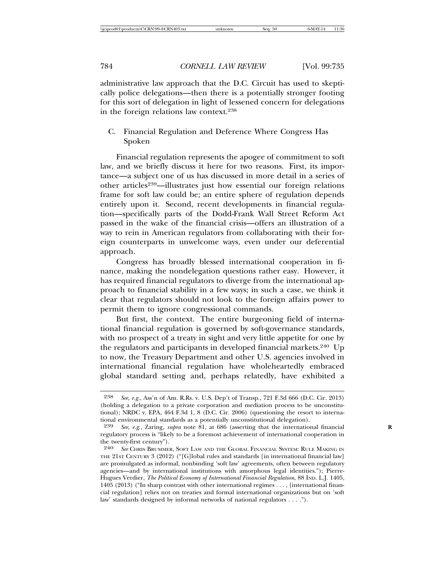administrative law approach that the D.C. Circuit has used to skeptically police delegations—then there is a potentially stronger footing for this sort of delegation in light of lessened concern for delegations in the foreign relations law context.238

C. Financial Regulation and Deference Where Congress Has Spoken

Financial regulation represents the apogee of commitment to soft law, and we briefly discuss it here for two reasons. First, its importance—a subject one of us has discussed in more detail in a series of other articles239—illustrates just how essential our foreign relations frame for soft law could be; an entire sphere of regulation depends entirely upon it. Second, recent developments in financial regulation—specifically parts of the Dodd-Frank Wall Street Reform Act passed in the wake of the financial crisis—offers an illustration of a way to rein in American regulators from collaborating with their foreign counterparts in unwelcome ways, even under our deferential approach.

Congress has broadly blessed international cooperation in finance, making the nondelegation questions rather easy. However, it has required financial regulators to diverge from the international approach to financial stability in a few ways; in such a case, we think it clear that regulators should not look to the foreign affairs power to permit them to ignore congressional commands.

But first, the context. The entire burgeoning field of international financial regulation is governed by soft-governance standards, with no prospect of a treaty in sight and very little appetite for one by the regulators and participants in developed financial markets.<sup>240</sup> Up to now, the Treasury Department and other U.S. agencies involved in international financial regulation have wholeheartedly embraced global standard setting and, perhaps relatedly, have exhibited a

<sup>238</sup> *See, e.g.*, Ass'n of Am. R.Rs. v. U.S. Dep't of Transp., 721 F.3d 666 (D.C. Cir. 2013) (holding a delegation to a private corporation and mediation process to be unconstitutional); NRDC v. EPA, 464 F.3d 1, 8 (D.C. Cir. 2006) (questioning the resort to international environmental standards as a potentially unconstitutional delegation).

<sup>239</sup> *See, e.g.*, Zaring, *supra* note 81, at 686 (asserting that the international financial **R** regulatory process is "likely to be a foremost achievement of international cooperation in the twenty-first century").<br>240 See CHRIS BRUMME

See CHRIS BRUMMER, SOFT LAW AND THE GLOBAL FINANCIAL SYSTEM: RULE MAKING IN THE 21ST CENTURY 3 (2012) ("[G]lobal rules and standards [in international financial law] are promulgated as informal, nonbinding 'soft law' agreements, often between regulatory agencies—and by international institutions with amorphous legal identities."); Pierre-Hugues Verdier, *The Political Economy of International Financial Regulation*, 88 IND. L.J. 1405, 1405 (2013) ("In sharp contrast with other international regimes . . . , [international financial regulation] relies not on treaties and formal international organizations but on 'soft law' standards designed by informal networks of national regulators . . . .").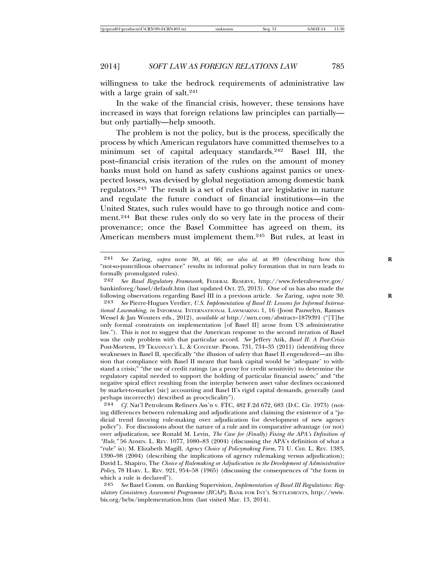willingness to take the bedrock requirements of administrative law with a large grain of salt.<sup>241</sup>

In the wake of the financial crisis, however, these tensions have increased in ways that foreign relations law principles can partially but only partially—help smooth.

The problem is not the policy, but is the process, specifically the process by which American regulators have committed themselves to a minimum set of capital adequacy standards.242 Basel III, the post–financial crisis iteration of the rules on the amount of money banks must hold on hand as safety cushions against panics or unexpected losses, was devised by global negotiation among domestic bank regulators.243 The result is a set of rules that are legislative in nature and regulate the future conduct of financial institutions—in the United States, such rules would have to go through notice and comment.244 But these rules only do so very late in the process of their provenance; once the Basel Committee has agreed on them, its American members must implement them.245 But rules, at least in

<sup>241</sup> *See* Zaring, *supra* note 30, at 66; *see also id.* at 89 (describing how this **R** "not-so-punctilious observance" results in informal policy formation that in turn leads to formally promulgated rules).<br>242 See Basel Revulatory F

<sup>242</sup> *See Basel Regulatory Framework*, FEDERAL RESERVE, http://www.federalreserve.gov/ bankinforeg/basel/default.htm (last updated Oct. 25, 2013). One of us has also made the following observations regarding Basel III in a previous article. *See* Zaring, *supra* note 30. **R** See Pierre-Hugues Verdier, *U.S. Implementation of Basel II: Lessons for Informal International Lawmaking*, *in* INFORMAL INTERNATIONAL LAWMAKING 1, 16 (Joost Pauwelyn, Ramses Wessel & Jan Wouters eds., 2012), *available at* http://ssrn.com/abstract=1879391 ("[T]he only formal constraints on implementation [of Basel II] arose from US administrative law."). This is not to suggest that the American response to the second iteration of Basel was the only problem with that particular accord. *See* Jeffery Atik, *Basel II: A Post-Crisis* Post-Mortem, 19 TRANSNAT'L L. & CONTEMP. PROBS. 731, 734–35 (2011) (identifying three

weaknesses in Basel II, specifically "the illusion of safety that Basel II engendered—an illusion that compliance with Basel II meant that bank capital would be 'adequate' to withstand a crisis;" "the use of credit ratings (as a proxy for credit sensitivity) to determine the regulatory capital needed to support the holding of particular financial assets;" and "the negative spiral effect resulting from the interplay between asset value declines occasioned by market-to-market [sic] accounting and Basel II's rigid capital demands, generally (and perhaps incorrectly) described as procyclicality").<br> $244$  Cf Nat'l Petroleum Refiners Ass'n v FTC

<sup>244</sup> *Cf.* Nat'l Petroleum Refiners Ass'n v. FTC, 482 F.2d 672, 683 (D.C. Cir. 1973) (noting differences between rulemaking and adjudications and claiming the existence of a "judicial trend favoring rule-making over adjudication for development of new agency policy"). For discussions about the nature of a rule and its comparative advantage (or not) over adjudication, see Ronald M. Levin, *The Case for (Finally) Fixing the APA's Definition of "Rule*,*"* 56 ADMIN. L. REV. 1077, 1080–83 (2004) (discussing the APA's definition of what a "rule" is); M. Elizabeth Magill, *Agency Choice of Policymaking Form*, 71 U. CHI. L. REV. 1383, 1390–98 (2004) (describing the implications of agency rulemaking versus adjudication); David L. Shapiro, The *Choice of Rulemaking or Adjudication in the Development of Administrative Policy*, 78 HARV. L. REV. 921, 954–58 (1965) (discussing the consequences of "the form in which a rule is declared").

<sup>245</sup> *See* Basel Comm. on Banking Supervision, *Implementation of Basel III Regulations: Regulatory Consistency Assessment Programme (RCAP)*, BANK FOR INT'L SETTLEMENTS, http://www. bis.org/bcbs/implementation.htm (last visited Mar. 13, 2014).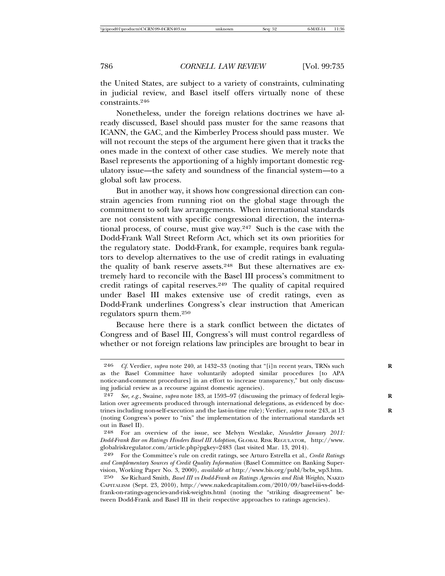the United States, are subject to a variety of constraints, culminating in judicial review, and Basel itself offers virtually none of these constraints.246

Nonetheless, under the foreign relations doctrines we have already discussed, Basel should pass muster for the same reasons that ICANN, the GAC, and the Kimberley Process should pass muster. We will not recount the steps of the argument here given that it tracks the ones made in the context of other case studies. We merely note that Basel represents the apportioning of a highly important domestic regulatory issue—the safety and soundness of the financial system—to a global soft law process.

But in another way, it shows how congressional direction can constrain agencies from running riot on the global stage through the commitment to soft law arrangements. When international standards are not consistent with specific congressional direction, the international process, of course, must give way.247 Such is the case with the Dodd-Frank Wall Street Reform Act, which set its own priorities for the regulatory state. Dodd-Frank, for example, requires bank regulators to develop alternatives to the use of credit ratings in evaluating the quality of bank reserve assets.<sup>248</sup> But these alternatives are extremely hard to reconcile with the Basel III process's commitment to credit ratings of capital reserves.249 The quality of capital required under Basel III makes extensive use of credit ratings, even as Dodd-Frank underlines Congress's clear instruction that American regulators spurn them.250

Because here there is a stark conflict between the dictates of Congress and of Basel III, Congress's will must control regardless of whether or not foreign relations law principles are brought to bear in

<sup>&</sup>lt;sup>246</sup> *Cf.* Verdier, *supra* note 240, at 1432-33 (noting that "[i]n recent years, TRNs such as the Basel Committee have voluntarily adopted similar procedures [to APA notice-and-comment procedures] in an effort to increase transparency," but only discussing judicial review as a recourse against domestic agencies).

<sup>247</sup> *See, e.g.*, Swaine, *supra* note 183, at 1593–97 (discussing the primacy of federal legis- **R** lation over agreements produced through international delegations, as evidenced by doctrines including non-self-execution and the last-in-time rule); Verdier, *supra* note 243, at 13 **R** (noting Congress's power to "nix" the implementation of the international standards set out in Basel II).

<sup>248</sup> For an overview of the issue, see Melvyn Westlake, *Newsletter January 2011: Dodd-Frank Bar on Ratings Hinders Basel III Adoption*, GLOBAL RISK REGULATOR, http://www. globalriskregulator.com/article.php?pgkey=2483 (last visited Mar. 13, 2014).

<sup>249</sup> For the Committee's rule on credit ratings, see Arturo Estrella et al., *Credit Ratings and Complementary Sources of Credit Quality Information* (Basel Committee on Banking Supervision, Working Paper No. 3, 2000), *available at* http://www.bis.org/publ/bcbs\_wp3.htm.

<sup>250</sup> *See* Richard Smith, *Basel III vs Dodd-Frank on Ratings Agencies and Risk Weights*, NAKED CAPITALISM (Sept. 23, 2010), http://www.nakedcapitalism.com/2010/09/basel-iii-vs-doddfrank-on-ratings-agencies-and-risk-weights.html (noting the "striking disagreement" between Dodd-Frank and Basel III in their respective approaches to ratings agencies).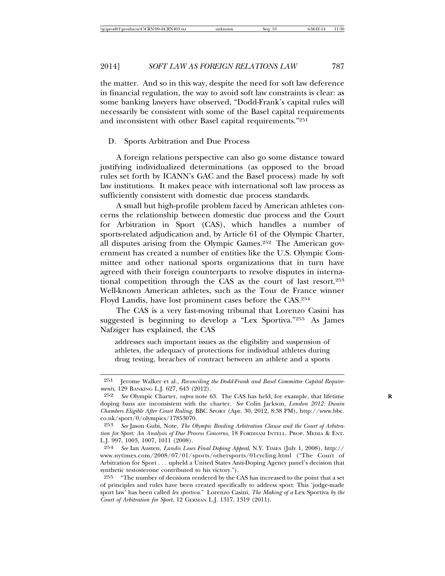the matter. And so in this way, despite the need for soft law deference in financial regulation, the way to avoid soft law constraints is clear: as some banking lawyers have observed, "Dodd-Frank's capital rules will necessarily be consistent with some of the Basel capital requirements and inconsistent with other Basel capital requirements."251

### D. Sports Arbitration and Due Process

A foreign relations perspective can also go some distance toward justifying individualized determinations (as opposed to the broad rules set forth by ICANN's GAC and the Basel process) made by soft law institutions. It makes peace with international soft law process as sufficiently consistent with domestic due process standards.

A small but high-profile problem faced by American athletes concerns the relationship between domestic due process and the Court for Arbitration in Sport (CAS), which handles a number of sports-related adjudication and, by Article 61 of the Olympic Charter, all disputes arising from the Olympic Games.252 The American government has created a number of entities like the U.S. Olympic Committee and other national sports organizations that in turn have agreed with their foreign counterparts to resolve disputes in international competition through the CAS as the court of last resort.253 Well-known American athletes, such as the Tour de France winner Floyd Landis, have lost prominent cases before the CAS.254

The CAS is a very fast-moving tribunal that Lorenzo Casini has suggested is beginning to develop a "Lex Sportiva."255 As James Nafziger has explained, the CAS

addresses such important issues as the eligibility and suspension of athletes, the adequacy of protections for individual athletes during drug testing, breaches of contract between an athlete and a sports

<sup>251</sup> Jerome Walker et al., *Reconciling the Dodd-Frank and Basel Committee Capital Requirements*, 129 BANKING L.J. 627, 643 (2012).

<sup>252</sup> *See* Olympic Charter, *supra* note 63. The CAS has held, for example, that lifetime **R** doping bans are inconsistent with the charter. *See* Colin Jackson, *London 2012: Dwain Chambers Eligible After Court Ruling*, BBC SPORT (Apr. 30, 2012, 8:38 PM), http://www.bbc. co.uk/sport/0/olympics/17853070.

<sup>253</sup> *See* Jason Gubi, Note, *The Olympic Binding Arbitration Clause and the Court of Arbitration for Sport: An Analysis of Due Process Concerns*, 18 FORDHAM INTELL. PROP. MEDIA & ENT. L.J. 997, 1003, 1007, 1011 (2008).

<sup>254</sup> *See* Ian Austen, *Landis Loses Final Doping Appeal*, N.Y. TIMES (July 1, 2008), http:// www.nytimes.com/2008/07/01/sports/othersports/01cycling.html ("The Court of Arbitration for Sport . . . upheld a United States Anti-Doping Agency panel's decision that synthetic testosterone contributed to his victory.").

<sup>255</sup> "The number of decisions rendered by the CAS has increased to the point that a set of principles and rules have been created specifically to address sport: This 'judge-made sport law' has been called *lex sportiva*." Lorenzo Casini, *The Making of a* Lex Sportiva *by the Court of Arbitration for Sport*, 12 GERMAN L.J. 1317, 1319 (2011).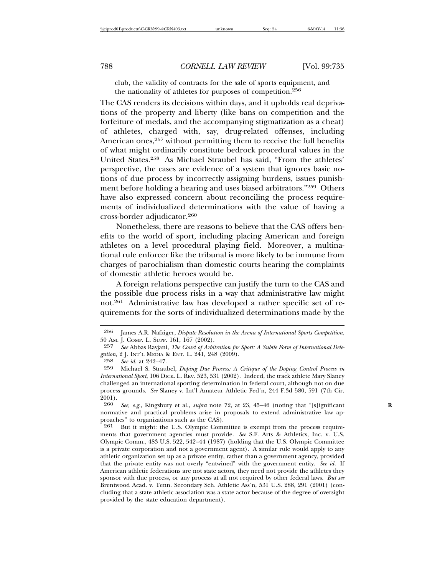club, the validity of contracts for the sale of sports equipment, and the nationality of athletes for purposes of competition.256

The CAS renders its decisions within days, and it upholds real deprivations of the property and liberty (like bans on competition and the forfeiture of medals, and the accompanying stigmatization as a cheat) of athletes, charged with, say, drug-related offenses, including American ones,<sup>257</sup> without permitting them to receive the full benefits of what might ordinarily constitute bedrock procedural values in the United States.258 As Michael Straubel has said, "From the athletes' perspective, the cases are evidence of a system that ignores basic notions of due process by incorrectly assigning burdens, issues punishment before holding a hearing and uses biased arbitrators."259 Others have also expressed concern about reconciling the process requirements of individualized determinations with the value of having a cross-border adjudicator.260

Nonetheless, there are reasons to believe that the CAS offers benefits to the world of sport, including placing American and foreign athletes on a level procedural playing field. Moreover, a multinational rule enforcer like the tribunal is more likely to be immune from charges of parochialism than domestic courts hearing the complaints of domestic athletic heroes would be.

A foreign relations perspective can justify the turn to the CAS and the possible due process risks in a way that administrative law might not.261 Administrative law has developed a rather specific set of requirements for the sorts of individualized determinations made by the

See, e.g., Kingsbury et al., *supra* note 72, at 23, 45-46 (noting that "[s]ignificant normative and practical problems arise in proposals to extend administrative law approaches" to organizations such as the CAS).

261 But it might: the U.S. Olympic Committee is exempt from the process requirements that government agencies must provide. *See* S.F. Arts & Athletics, Inc. v. U.S. Olympic Comm., 483 U.S. 522, 542–44 (1987) (holding that the U.S. Olympic Committee is a private corporation and not a government agent). A similar rule would apply to any athletic organization set up as a private entity, rather than a government agency, provided that the private entity was not overly "entwined" with the government entity. *See id.* If American athletic federations are not state actors, they need not provide the athletes they sponsor with due process, or any process at all not required by other federal laws. *But see* Brentwood Acad. v. Tenn. Secondary Sch. Athletic Ass'n, 531 U.S. 288, 291 (2001) (concluding that a state athletic association was a state actor because of the degree of oversight provided by the state education department).

<sup>256</sup> James A.R. Nafziger, *Dispute Resolution in the Arena of International Sports Competition*, 50 Am. J. COMP. L. SUPP. 161, 167 (2002).<br>257 See Abbas Raviani. The Court of Arbitr

<sup>257</sup> *See* Abbas Ravjani, *The Court of Arbitration for Sport: A Subtle Form of International Delegation*, 2 J. INT'L MEDIA & ENT. L. 241, 248 (2009).<br>258 See id at 949–47

<sup>258</sup> *See id.* at 242–47.

<sup>259</sup> Michael S. Straubel, *Doping Due Process: A Critique of the Doping Control Process in International Sport*, 106 DICK. L. REV. 523, 531 (2002). Indeed, the track athlete Mary Slaney challenged an international sporting determination in federal court, although not on due process grounds. *See* Slaney v. Int'l Amateur Athletic Fed'n, 244 F.3d 580, 591 (7th Cir.  $\frac{2001}{260}$ .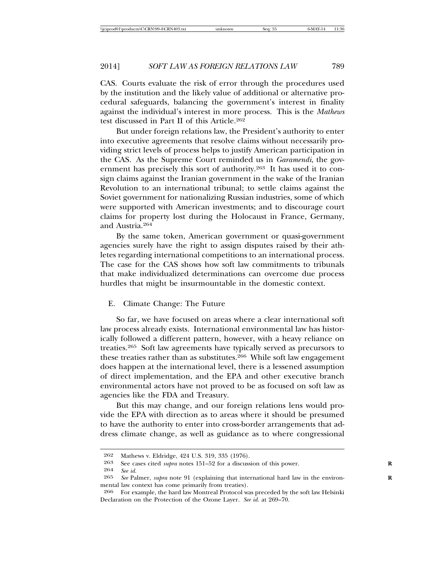CAS. Courts evaluate the risk of error through the procedures used by the institution and the likely value of additional or alternative procedural safeguards, balancing the government's interest in finality against the individual's interest in more process. This is the *Mathews* test discussed in Part II of this Article.262

But under foreign relations law, the President's authority to enter into executive agreements that resolve claims without necessarily providing strict levels of process helps to justify American participation in the CAS. As the Supreme Court reminded us in *Garamendi*, the government has precisely this sort of authority.263 It has used it to consign claims against the Iranian government in the wake of the Iranian Revolution to an international tribunal; to settle claims against the Soviet government for nationalizing Russian industries, some of which were supported with American investments; and to discourage court claims for property lost during the Holocaust in France, Germany, and Austria.264

By the same token, American government or quasi-government agencies surely have the right to assign disputes raised by their athletes regarding international competitions to an international process. The case for the CAS shows how soft law commitments to tribunals that make individualized determinations can overcome due process hurdles that might be insurmountable in the domestic context.

## E. Climate Change: The Future

So far, we have focused on areas where a clear international soft law process already exists. International environmental law has historically followed a different pattern, however, with a heavy reliance on treaties.265 Soft law agreements have typically served as precursors to these treaties rather than as substitutes.266 While soft law engagement does happen at the international level, there is a lessened assumption of direct implementation, and the EPA and other executive branch environmental actors have not proved to be as focused on soft law as agencies like the FDA and Treasury.

But this may change, and our foreign relations lens would provide the EPA with direction as to areas where it should be presumed to have the authority to enter into cross-border arrangements that address climate change, as well as guidance as to where congressional

 $262$  Mathews v. Eldridge,  $424$  U.S.  $319, 335$  (1976).<br> $263$  See cases cited subra notes  $151-52$  for a discuss

<sup>263</sup> See cases cited *supra* notes 151–52 for a discussion of this power. 264 See id

<sup>264</sup> *See id.*

*See* Palmer, *supra* note 91 (explaining that international hard law in the environmental law context has come primarily from treaties).

<sup>266</sup> For example, the hard law Montreal Protocol was preceded by the soft law Helsinki Declaration on the Protection of the Ozone Layer. *See id.* at 269–70.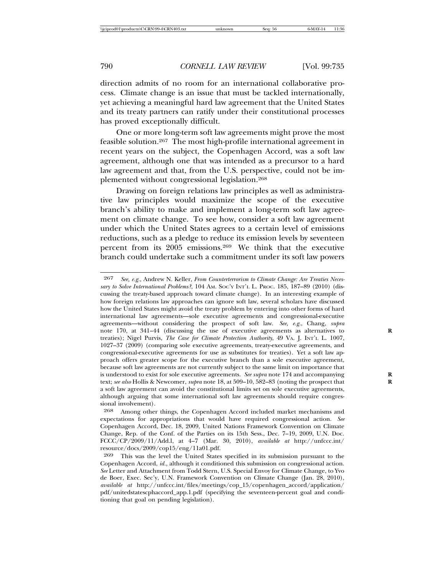direction admits of no room for an international collaborative process. Climate change is an issue that must be tackled internationally, yet achieving a meaningful hard law agreement that the United States and its treaty partners can ratify under their constitutional processes has proved exceptionally difficult.

One or more long-term soft law agreements might prove the most feasible solution.267 The most high-profile international agreement in recent years on the subject, the Copenhagen Accord, was a soft law agreement, although one that was intended as a precursor to a hard law agreement and that, from the U.S. perspective, could not be implemented without congressional legislation.268

Drawing on foreign relations law principles as well as administrative law principles would maximize the scope of the executive branch's ability to make and implement a long-term soft law agreement on climate change. To see how, consider a soft law agreement under which the United States agrees to a certain level of emissions reductions, such as a pledge to reduce its emission levels by seventeen percent from its 2005 emissions.269 We think that the executive branch could undertake such a commitment under its soft law powers

<sup>267</sup> *See, e.g.*, Andrew N. Keller, *From Counterterrorism to Climate Change: Are Treaties Necessary to Solve International Problems?*, 104 AM. SOC'Y INT'L L. PROC. 185, 187–89 (2010) (discussing the treaty-based approach toward climate change). In an interesting example of how foreign relations law approaches can ignore soft law, several scholars have discussed how the United States might avoid the treaty problem by entering into other forms of hard international law agreements—sole executive agreements and congressional-executive agreements—without considering the prospect of soft law. *See, e.g.*, Chang, *supra* note 170, at 341–44 (discussing the use of executive agreements as alternatives to **R** treaties); Nigel Purvis, *The Case for Climate Protection Authority*, 49 VA. J. INT'L L. 1007, 1027–37 (2009) (comparing sole executive agreements, treaty-executive agreements, and congressional-executive agreements for use as substitutes for treaties). Yet a soft law approach offers greater scope for the executive branch than a sole executive agreement, because soft law agreements are not currently subject to the same limit on importance that is understood to exist for sole executive agreements. *See supra* note 174 and accompanying text; *see also* Hollis & Newcomer, *supra* note 18, at 509–10, 582–83 (noting the prospect that **R** a soft law agreement can avoid the constitutional limits set on sole executive agreements, although arguing that some international soft law agreements should require congressional involvement).

<sup>268</sup> Among other things, the Copenhagen Accord included market mechanisms and expectations for appropriations that would have required congressional action. *See* Copenhagen Accord, Dec. 18, 2009, United Nations Framework Convention on Climate Change, Rep. of the Conf. of the Parties on its 15th Sess., Dec. 7–19, 2009, U.N. Doc. FCCC/CP/2009/11/Add.l, at 4–7 (Mar. 30, 2010), *available at* http://unfccc.int/ resource/docs/2009/cop15/eng/11a01.pdf.

<sup>269</sup> This was the level the United States specified in its submission pursuant to the Copenhagen Accord, *id.*, although it conditioned this submission on congressional action. *See* Letter and Attachment from Todd Stern, U.S. Special Envoy for Climate Change, to Yvo de Boer, Exec. Sec'y, U.N. Framework Convention on Climate Change (Jan. 28, 2010), *available at* http://unfccc.int/files/meetings/cop\_15/copenhagen\_accord/application/ pdf/unitedstatescphaccord\_app.1.pdf (specifying the seventeen-percent goal and conditioning that goal on pending legislation).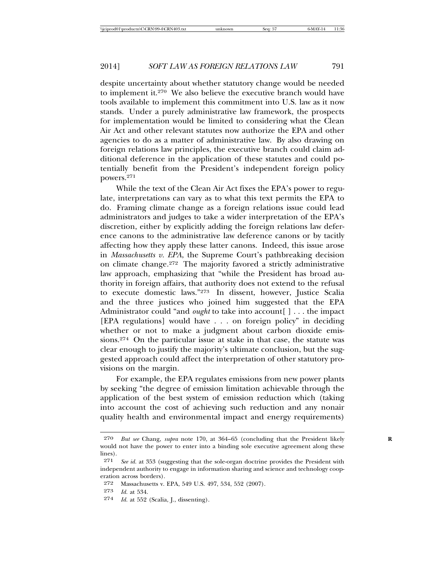despite uncertainty about whether statutory change would be needed to implement it.270 We also believe the executive branch would have tools available to implement this commitment into U.S. law as it now stands. Under a purely administrative law framework, the prospects for implementation would be limited to considering what the Clean Air Act and other relevant statutes now authorize the EPA and other agencies to do as a matter of administrative law. By also drawing on foreign relations law principles, the executive branch could claim additional deference in the application of these statutes and could potentially benefit from the President's independent foreign policy powers.271

While the text of the Clean Air Act fixes the EPA's power to regulate, interpretations can vary as to what this text permits the EPA to do. Framing climate change as a foreign relations issue could lead administrators and judges to take a wider interpretation of the EPA's discretion, either by explicitly adding the foreign relations law deference canons to the administrative law deference canons or by tacitly affecting how they apply these latter canons. Indeed, this issue arose in *Massachusetts v. EPA*, the Supreme Court's pathbreaking decision on climate change.272 The majority favored a strictly administrative law approach, emphasizing that "while the President has broad authority in foreign affairs, that authority does not extend to the refusal to execute domestic laws."273 In dissent, however, Justice Scalia and the three justices who joined him suggested that the EPA Administrator could "and *ought* to take into account[] . . . the impact [EPA regulations] would have . . . on foreign policy" in deciding whether or not to make a judgment about carbon dioxide emissions.274 On the particular issue at stake in that case, the statute was clear enough to justify the majority's ultimate conclusion, but the suggested approach could affect the interpretation of other statutory provisions on the margin.

For example, the EPA regulates emissions from new power plants by seeking "the degree of emission limitation achievable through the application of the best system of emission reduction which (taking into account the cost of achieving such reduction and any nonair quality health and environmental impact and energy requirements)

274 *Id.* at 552 (Scalia, J., dissenting).

<sup>270</sup> *But see* Chang, *supra* note 170, at 364–65 (concluding that the President likely **R** would not have the power to enter into a binding sole executive agreement along these lines).

<sup>271</sup> *See id.* at 353 (suggesting that the sole-organ doctrine provides the President with independent authority to engage in information sharing and science and technology cooperation across borders).

<sup>272</sup> Massachusetts v. EPA, 549 U.S. 497, 534, 552 (2007).

<sup>273</sup> *Id.* at 534.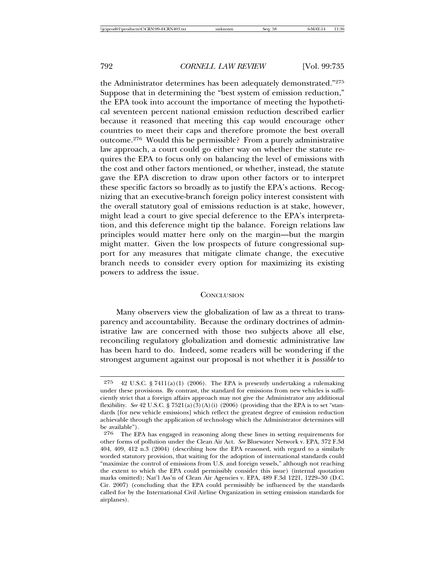the Administrator determines has been adequately demonstrated."275 Suppose that in determining the "best system of emission reduction," the EPA took into account the importance of meeting the hypothetical seventeen percent national emission reduction described earlier because it reasoned that meeting this cap would encourage other countries to meet their caps and therefore promote the best overall outcome.276 Would this be permissible? From a purely administrative law approach, a court could go either way on whether the statute requires the EPA to focus only on balancing the level of emissions with the cost and other factors mentioned, or whether, instead, the statute gave the EPA discretion to draw upon other factors or to interpret these specific factors so broadly as to justify the EPA's actions. Recognizing that an executive-branch foreign policy interest consistent with the overall statutory goal of emissions reduction is at stake, however, might lead a court to give special deference to the EPA's interpretation, and this deference might tip the balance. Foreign relations law principles would matter here only on the margin—but the margin might matter. Given the low prospects of future congressional support for any measures that mitigate climate change, the executive branch needs to consider every option for maximizing its existing powers to address the issue.

# **CONCLUSION**

Many observers view the globalization of law as a threat to transparency and accountability. Because the ordinary doctrines of administrative law are concerned with those two subjects above all else, reconciling regulatory globalization and domestic administrative law has been hard to do. Indeed, some readers will be wondering if the strongest argument against our proposal is not whether it is *possible* to

<sup>275</sup> 42 U.S.C. § 7411(a)(1) (2006). The EPA is presently undertaking a rulemaking under these provisions. By contrast, the standard for emissions from new vehicles is sufficiently strict that a foreign affairs approach may not give the Administrator any additional flexibility. *See* 42 U.S.C. § 7521(a)(3)(A)(i) (2006) (providing that the EPA is to set "standards [for new vehicle emissions] which reflect the greatest degree of emission reduction achievable through the application of technology which the Administrator determines will be available").<br>276 The FI

The EPA has engaged in reasoning along these lines in setting requirements for other forms of pollution under the Clean Air Act. *See* Bluewater Network v. EPA, 372 F.3d 404, 409, 412 n.3 (2004) (describing how the EPA reasoned, with regard to a similarly worded statutory provision, that waiting for the adoption of international standards could "maximize the control of emissions from U.S. and foreign vessels," although not reaching the extent to which the EPA could permissibly consider this issue) (internal quotation marks omitted); Nat'l Ass'n of Clean Air Agencies v. EPA, 489 F.3d 1221, 1229–30 (D.C. Cir. 2007) (concluding that the EPA could permissibly be influenced by the standards called for by the International Civil Airline Organization in setting emission standards for airplanes).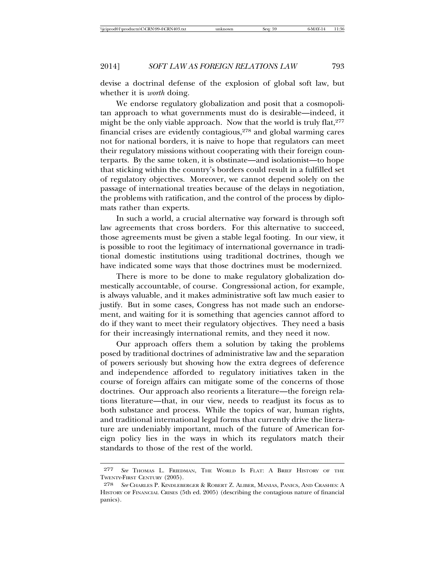devise a doctrinal defense of the explosion of global soft law, but whether it is *worth* doing.

We endorse regulatory globalization and posit that a cosmopolitan approach to what governments must do is desirable—indeed, it might be the only viable approach. Now that the world is truly flat, $277$ financial crises are evidently contagious,278 and global warming cares not for national borders, it is naive to hope that regulators can meet their regulatory missions without cooperating with their foreign counterparts. By the same token, it is obstinate—and isolationist—to hope that sticking within the country's borders could result in a fulfilled set of regulatory objectives. Moreover, we cannot depend solely on the passage of international treaties because of the delays in negotiation, the problems with ratification, and the control of the process by diplomats rather than experts.

In such a world, a crucial alternative way forward is through soft law agreements that cross borders. For this alternative to succeed, those agreements must be given a stable legal footing. In our view, it is possible to root the legitimacy of international governance in traditional domestic institutions using traditional doctrines, though we have indicated some ways that those doctrines must be modernized.

There is more to be done to make regulatory globalization domestically accountable, of course. Congressional action, for example, is always valuable, and it makes administrative soft law much easier to justify. But in some cases, Congress has not made such an endorsement, and waiting for it is something that agencies cannot afford to do if they want to meet their regulatory objectives. They need a basis for their increasingly international remits, and they need it now.

Our approach offers them a solution by taking the problems posed by traditional doctrines of administrative law and the separation of powers seriously but showing how the extra degrees of deference and independence afforded to regulatory initiatives taken in the course of foreign affairs can mitigate some of the concerns of those doctrines. Our approach also reorients a literature—the foreign relations literature—that, in our view, needs to readjust its focus as to both substance and process. While the topics of war, human rights, and traditional international legal forms that currently drive the literature are undeniably important, much of the future of American foreign policy lies in the ways in which its regulators match their standards to those of the rest of the world.

<sup>277</sup> *See* THOMAS L. FRIEDMAN, THE WORLD IS FLAT: A BRIEF HISTORY OF THE TWENTY-FIRST CENTURY (2005).

<sup>278</sup> *See* CHARLES P. KINDLEBERGER & ROBERT Z. ALIBER, MANIAS, PANICS, AND CRASHES: A HISTORY OF FINANCIAL CRISES (5th ed. 2005) (describing the contagious nature of financial panics).